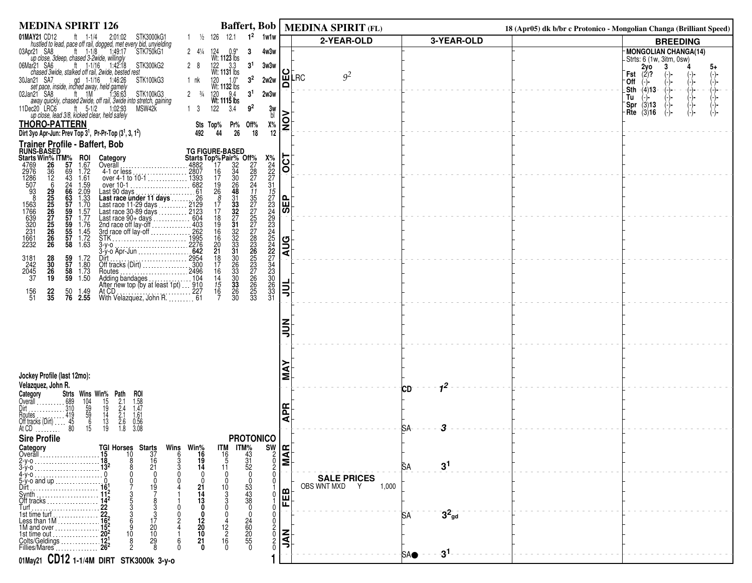| <b>MEDINA SPIRIT 126</b>                                                                                                                                                                                                                                                                                                                                                  |                                                                                                                                                                                |                                                                | Baffert, Bob   MEDINA SPIRIT (FL)            |                                         | 18 (Apr05) dk b/br c Protonico - Mongolian Changa (Brilliant Speed) |                                                                                                                        |
|---------------------------------------------------------------------------------------------------------------------------------------------------------------------------------------------------------------------------------------------------------------------------------------------------------------------------------------------------------------------------|--------------------------------------------------------------------------------------------------------------------------------------------------------------------------------|----------------------------------------------------------------|----------------------------------------------|-----------------------------------------|---------------------------------------------------------------------|------------------------------------------------------------------------------------------------------------------------|
| 01MAY21 CD12                                                                                                                                                                                                                                                                                                                                                              | $1^2$<br>$1 \frac{1}{2}$ 126 12.1<br>1w1w                                                                                                                                      |                                                                | 2-YEAR-OLD                                   | 3-YEAR-OLD                              |                                                                     | <b>BREEDING</b>                                                                                                        |
| IAY21 CD12 ft 1-1/4 2:01:02 STK3000kG1<br>hustled to lead, pace off rail, dogged, met every bid, unyielding<br>pr21 SA8 ft 1-1/8 1:49:17 STK750kG1<br>up close, 3deep, chased 3-2wide, willingly<br>03Apr21 SA8<br>ft $1-1/16$ 1.42.18<br>06Mar21 SA6<br>STK300kG2<br>chased 3wide, stalked off rail, 2wide, bested rest<br>gd 1-1/16 1:46:26<br>30Jan21 SA7<br>STK100kG3 | 2 $4\frac{1}{4}$<br>124 0.9*<br>Wt: <b>1123</b> lbs<br>4w3w<br>3<br>3 <sup>1</sup><br>122 3.3<br>Wt: 1131 lbs<br>3w3w<br>28<br>3 <sup>2</sup><br>2w2w<br>$1.0*$<br>120<br>1 nk | ပ<br>Δ                                                         | 9 <sup>2</sup><br>∣ш̃LRC                     |                                         |                                                                     | MONGOLIAN CHANGA(14)<br>Strts: 6 (1w, 3itm, 0sw)<br>$2y0$<br>(2)?<br>3<br>5+<br>Fst<br>$(-)$ -<br>(-)-<br>'0ff<br>(−)− |
| set pace, inside, inched away, held gamely<br>02Jan21 SA8<br>an21 SA8 ft 1M<br>away quickly, chased 2wide, off rail, 3wide into stretch, gaining<br>11Dec20 LRC6<br>ec20 LRC6 ft 5-1/2 1:02:93<br>up close, lead 3/8, kicked clear, held safely<br>MSW42K<br><b>THORO-PATTERN</b>                                                                                         | Wt: 1132 lbs<br>$120$ $9.4$<br>Wt: 1115 lbs<br>3 <sup>1</sup><br>$2 \frac{3}{4}$<br>2w3w<br>122<br>1 <sup>3</sup><br>$9^2$<br>3.4<br>$X\%$<br>Sts Top%<br>Pr% Off%             | 3w<br>bl<br>$\overline{\widetilde{\mathsf{S}}}$                |                                              |                                         |                                                                     | (-)<br>(-)-<br>(-)-<br>(-)-<br>(-)-<br>Sth $-(4)$ 13<br>Tu<br><b>Spr</b> (3)13<br>(-)-<br>Rte $(3)$ 16<br>(-)-         |
| Dirt 3yo Apr-Jun: Prev Top $3^1$ , Pr-Pr-Top $(3^1, 3, 1^2)$                                                                                                                                                                                                                                                                                                              | 44<br>26<br>18<br>492                                                                                                                                                          | 12                                                             |                                              |                                         |                                                                     |                                                                                                                        |
| Trainer Profile - Baffert, Bob                                                                                                                                                                                                                                                                                                                                            |                                                                                                                                                                                |                                                                |                                              |                                         |                                                                     |                                                                                                                        |
| <b>Frainer Profile -<br/>Riarts Win% TTM%<br/>4769 26 36 928<br/>2976 36 12 43<br/>2976 9225 5557<br/>563 225 225 559<br/>563 225 225 559<br/>320 275 286 927<br/>320 225 226<br/>320 225 226<br/>320 225 226<br/>1661 226</b><br><b>ROI</b><br>1.67<br>1.72<br>1.61<br>Category                                                                                          | $X_{24}^{\%}$<br>$24$<br>$22$<br>$27$<br>$31$                                                                                                                                  | $\overline{OCT}$                                               |                                              |                                         |                                                                     |                                                                                                                        |
| $\begin{array}{c} 1.59 \\ 2.09 \\ 1.33 \\ 1.70 \\ \end{array}$                                                                                                                                                                                                                                                                                                            | $\frac{31}{22}$<br>$\frac{33}{27}$<br>$\frac{32}{32}$<br>$\frac{32}{31}$                                                                                                       | <b>ABS</b>                                                     |                                              |                                         |                                                                     |                                                                                                                        |
| Coverall<br>4882<br>4-1 or less<br>over 4-1 to 10-1<br>over 4-1 to 10-1<br>Last race under 11 days<br>Last race 11-29 days<br>Last race 11-29 days<br>Last race 11-29 days<br>Last race 00-6 days<br>Last race 00-6 days<br>Last race 00-6 days<br>Las<br>$1.57$<br>$1.77$<br>$1.76$<br>$1.45$<br>$1.72$<br>$1.63$                                                        | 1222222222223306331<br>322222236537766653<br>18<br>19<br>16<br>16<br>21<br>18<br>17                                                                                            | <b>AUG</b>                                                     |                                              |                                         |                                                                     |                                                                                                                        |
| 28<br>30<br>26<br>19<br>59<br>57<br>58<br>59<br>3181<br>242<br>2045<br>37<br>1.72<br>1.80<br>1.73<br>1.50<br>$\frac{22}{35}$<br>50<br><b>76</b><br>156<br>51<br>1.49<br>2.55                                                                                                                                                                                              | $\frac{30}{26}$<br>33<br>16<br>$\frac{14}{15}$<br>$\frac{15}{16}$<br>$\frac{30}{33}$<br>26<br>30                                                                               | 빏                                                              |                                              |                                         |                                                                     |                                                                                                                        |
|                                                                                                                                                                                                                                                                                                                                                                           |                                                                                                                                                                                | $\frac{z}{z}$                                                  |                                              |                                         |                                                                     |                                                                                                                        |
| Jockey Profile (last 12mo):<br>Velazquez, John R.                                                                                                                                                                                                                                                                                                                         |                                                                                                                                                                                | ≨                                                              |                                              | 1 <sup>2</sup>                          |                                                                     |                                                                                                                        |
| <b>Stris Wins Win% Path</b><br>Stris Wins Win% Path<br>1689 104 15 2.1<br>19 59 14 2.4<br>19 59 14 2.1<br>16 13 2.6<br>19 1.2.1<br>16 19 1.8<br><b>ROI</b><br>1.58<br>1.47<br>Category<br>Overall<br>$\frac{1.61}{0.56}$<br>3.08<br>Routes<br>Off tracks (Dirt)<br>At CD<br>At CD                                                                                         |                                                                                                                                                                                | <b>APR</b>                                                     |                                              | СD                                      |                                                                     |                                                                                                                        |
| .<br><b>Sire Profile</b><br>TGI Horses Starts<br>Category<br>Overall<br>10<br>37<br>15<br>16<br>21                                                                                                                                                                                                                                                                        | <b>PROTONICO</b><br>Wins Win% ITM<br>$\begin{array}{r} 1 \text{TM} \% \\ 43 \\ 31 \\ 52 \\ 0 \end{array}$<br>16<br>$\begin{array}{c} 16 \\ 5 \end{array}$<br>19<br>14<br>11    | $rac{SW}{S}$<br>$\begin{matrix} 2 \\ 0 \\ 2 \end{matrix}$<br>0 |                                              | З<br>SA.<br>3 <sup>1</sup><br><b>SA</b> |                                                                     |                                                                                                                        |
| $5-y$ -o and up<br>Dirt<br>19<br>Synth.<br>Off tracks<br>$Turf$                                                                                                                                                                                                                                                                                                           | 53<br>43<br>38<br>0<br>10<br>13                                                                                                                                                | മ<br>匨                                                         | <b>SALE PRICES</b><br>OBS WNT MXD Y<br>1,000 | $3^2$ <sub>gd</sub><br>15A              |                                                                     |                                                                                                                        |
| 1st time turf<br>Less than 1M<br>162<br>1M and over<br>20<br>10<br>10<br>1st time out $\ldots \ldots$<br>29<br>Colts/Geldings<br>Fillies/Mares                                                                                                                                                                                                                            | 24<br>60<br>20<br>55<br>55<br>0<br>20<br>12<br>10<br>21<br>16<br>$\Omega$<br>n                                                                                                 | <b>NAL</b><br>0<br>0                                           |                                              | $-3^1$<br><b>SA●</b>                    |                                                                     |                                                                                                                        |
| 01May21 CD12 1-1/4M DIRT STK3000k 3-y-0                                                                                                                                                                                                                                                                                                                                   |                                                                                                                                                                                |                                                                |                                              |                                         |                                                                     |                                                                                                                        |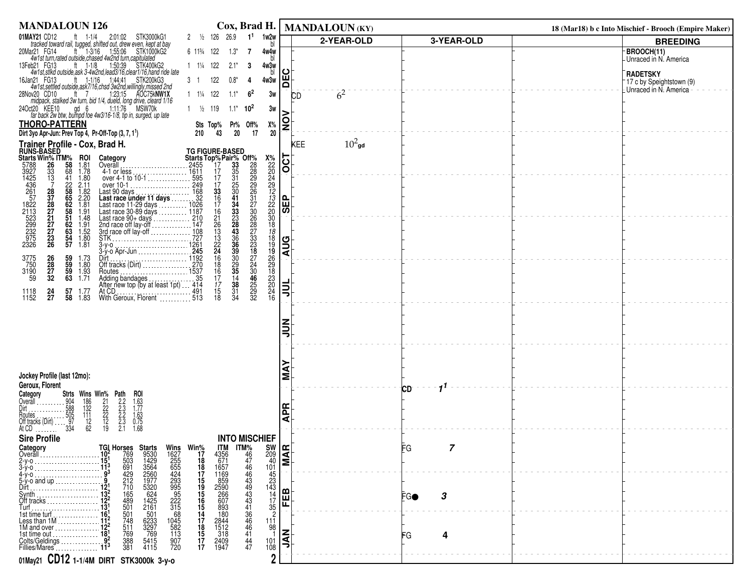| <b>MANDALOUN 126</b>                                                                                                                                                                                                                                                                                                                                                                                                                                                                                     | Cox, Brad H.                                                                                                                         |                       | MANDALOUN (KY) |            | 18 (Mar18) b c Into Mischief - Brooch (Empire Maker)     |
|----------------------------------------------------------------------------------------------------------------------------------------------------------------------------------------------------------------------------------------------------------------------------------------------------------------------------------------------------------------------------------------------------------------------------------------------------------------------------------------------------------|--------------------------------------------------------------------------------------------------------------------------------------|-----------------------|----------------|------------|----------------------------------------------------------|
| 01MAY21 CD12<br><b>IAY21</b> CD12 ft 1-1/4 2:01:02 STK3000kG1<br>tracked toward rail, tugged, shifted out, drew even, kept at bay<br>alar21 FG14 ft 1-3/16 1:55:06 STK1000kG2<br>4w1st turn,rated outside,chased 4w2nd turn,capitulated<br>eb21 FG13 ft 1-1/8 1                                                                                                                                                                                                                                          | 2 $\frac{1}{2}$ 126 26.9 1 <sup>1</sup><br>1w2w                                                                                      |                       | 2-YEAR-OLD     | 3-YEAR-OLD | <b>BREEDING</b>                                          |
| 20Mar21 FG14                                                                                                                                                                                                                                                                                                                                                                                                                                                                                             | 6 11 <sup>3</sup> / <sub>4</sub> 122<br>$1.3*$<br>4w4w<br>7                                                                          |                       |                |            | BROOCH(11)                                               |
| 13Feb21 FG13                                                                                                                                                                                                                                                                                                                                                                                                                                                                                             | $1 \t1\frac{1}{4} \t122$<br>$2.1*$<br>4w3w<br>3                                                                                      |                       |                |            | - Unraced in N. America                                  |
| 16Jan21 FG13                                                                                                                                                                                                                                                                                                                                                                                                                                                                                             | 122<br>$0.8*$<br>4w3w<br>31<br>4                                                                                                     | ပ<br>В                |                |            | <b>RADETSKY</b><br><sup>-</sup> 17 c by Speightstown (9) |
| 28Nov20 CD10                                                                                                                                                                                                                                                                                                                                                                                                                                                                                             | $1 \t1\frac{1}{4} \t122$<br>$1.1*$<br>6 <sup>2</sup>                                                                                 |                       | $6^2$          |            | Unraced in N. America                                    |
| 4w1st,settled outside, ask7/16, chad. 1:44:41 STK200KG3<br>4w1st,settled outside, ask7/16, chad. 3w2nd. willingly, missed 2nd<br>ov20 CD10 ti 7 1:23:15 AOC75kNW1X<br>midpack, stalked 3w turn, bid 1/4, dueld, long drive, cleard 1/16                                                                                                                                                                                                                                                                  | 3w                                                                                                                                   |                       | <b>CD</b>      |            |                                                          |
| 24Oct20 KEE10<br>far back 2w btw, bumpd foe 4w3/16-1/8, tip in, surged, up late                                                                                                                                                                                                                                                                                                                                                                                                                          | $1 \frac{1}{2}$ 119<br>$1.1*$<br>$10^2$<br>3w                                                                                        |                       |                |            |                                                          |
| <b>THORO-PATTERN</b>                                                                                                                                                                                                                                                                                                                                                                                                                                                                                     | Χ%<br>Sts Top% Pr% Off%                                                                                                              | $\frac{8}{1}$         |                |            |                                                          |
| Dirt 3yo Apr-Jun: Prev Top 4, Pr-Off-Top (3, 7, 1 <sup>1</sup> )                                                                                                                                                                                                                                                                                                                                                                                                                                         |                                                                                                                                      |                       |                |            |                                                          |
|                                                                                                                                                                                                                                                                                                                                                                                                                                                                                                          |                                                                                                                                      |                       | $10^2$ gd      |            |                                                          |
|                                                                                                                                                                                                                                                                                                                                                                                                                                                                                                          |                                                                                                                                      |                       |                |            |                                                          |
|                                                                                                                                                                                                                                                                                                                                                                                                                                                                                                          |                                                                                                                                      |                       |                |            |                                                          |
|                                                                                                                                                                                                                                                                                                                                                                                                                                                                                                          |                                                                                                                                      |                       |                |            |                                                          |
|                                                                                                                                                                                                                                                                                                                                                                                                                                                                                                          |                                                                                                                                      |                       |                |            |                                                          |
|                                                                                                                                                                                                                                                                                                                                                                                                                                                                                                          |                                                                                                                                      |                       |                |            |                                                          |
| Trainer Profile - Cox, Brad H.<br>RUNS-BASED 26, Brad H.<br>Starts Win% ITM% ROI Category<br>5788 26 58 1.81 Overall<br>3927 33 68 1.82 Last 90 da<br>1425 33 68 1.82 Last 90 da<br>1425 7 22 2.11 over 10-1<br>261 7 22 2.11 over 10-1<br>267<br>2455<br>4-1 or less<br>4-1 or less<br>over 4-1 to 10-1<br>Last 90 days<br>Last race under 11 days<br>Last race 11-29 days<br>Last race 11-29 days<br>Last race 11-29 days<br>Last race 30-89 days<br>Last race 90-4 days<br>Last race 90-4 days<br>Las | 21<br>26<br>13<br>13<br>22<br>24<br>16                                                                                               |                       |                |            |                                                          |
|                                                                                                                                                                                                                                                                                                                                                                                                                                                                                                          |                                                                                                                                      |                       |                |            |                                                          |
|                                                                                                                                                                                                                                                                                                                                                                                                                                                                                                          |                                                                                                                                      |                       |                |            |                                                          |
| Dirt 1192<br>Off tracks (Dirt) 270                                                                                                                                                                                                                                                                                                                                                                                                                                                                       |                                                                                                                                      |                       |                |            |                                                          |
| 3775<br>750<br>3190<br>59<br>26<br>28<br>27<br>32<br>59 1.73<br>59 1.80<br>59 1.93                                                                                                                                                                                                                                                                                                                                                                                                                       | 27<br>24<br>30<br>46<br>25<br>29<br>32<br>$\frac{18}{16}$                                                                            |                       |                |            |                                                          |
| 63 1.71<br>Adding bandages<br>After new top (by at least 1pt)  414                                                                                                                                                                                                                                                                                                                                                                                                                                       |                                                                                                                                      |                       |                |            |                                                          |
| 57<br>$\frac{24}{27}$<br>1118<br>1152<br>1.77<br>58 1.83                                                                                                                                                                                                                                                                                                                                                                                                                                                 | $\frac{17}{17}$<br>$\frac{17}{18}$<br>34                                                                                             |                       |                |            |                                                          |
|                                                                                                                                                                                                                                                                                                                                                                                                                                                                                                          |                                                                                                                                      |                       |                |            |                                                          |
|                                                                                                                                                                                                                                                                                                                                                                                                                                                                                                          |                                                                                                                                      |                       |                |            |                                                          |
|                                                                                                                                                                                                                                                                                                                                                                                                                                                                                                          |                                                                                                                                      |                       |                |            |                                                          |
|                                                                                                                                                                                                                                                                                                                                                                                                                                                                                                          |                                                                                                                                      |                       |                |            |                                                          |
|                                                                                                                                                                                                                                                                                                                                                                                                                                                                                                          |                                                                                                                                      |                       |                |            |                                                          |
|                                                                                                                                                                                                                                                                                                                                                                                                                                                                                                          |                                                                                                                                      |                       |                |            |                                                          |
| Jockey Profile (last 12mo):<br>Geroux, Florent                                                                                                                                                                                                                                                                                                                                                                                                                                                           |                                                                                                                                      | Σ                     |                |            |                                                          |
| Category                                                                                                                                                                                                                                                                                                                                                                                                                                                                                                 |                                                                                                                                      |                       |                | 11<br>СD   |                                                          |
| Overāll                                                                                                                                                                                                                                                                                                                                                                                                                                                                                                  |                                                                                                                                      |                       |                |            |                                                          |
| <b>Strts Wins Win% Path</b><br>- 904 186 21 2.2<br>- 588 132 22 2.3<br>- 505 111 22 2.3<br>- 97 12 12 2.3<br>- 334 62 19 2.1<br>ROI<br>1.63<br>1.77<br>1.63<br>0.75<br>1.68<br>Houtes<br>Off tracks (Dirt)                                                                                                                                                                                                                                                                                               |                                                                                                                                      | <b>APR</b>            |                |            |                                                          |
| At CD                                                                                                                                                                                                                                                                                                                                                                                                                                                                                                    |                                                                                                                                      |                       |                |            |                                                          |
| <b>Sire Profile</b>                                                                                                                                                                                                                                                                                                                                                                                                                                                                                      | <b>INTO MISCHIEF</b>                                                                                                                 |                       |                |            |                                                          |
| Category<br>Overall                                                                                                                                                                                                                                                                                                                                                                                                                                                                                      | %Win<br>17                                                                                                                           | $\frac{209}{101}$ MAR |                | FG         |                                                          |
|                                                                                                                                                                                                                                                                                                                                                                                                                                                                                                          | $\frac{101}{45}$                                                                                                                     |                       |                |            |                                                          |
| 4-y-o<br>5-y-o and up .<br>Dirt                                                                                                                                                                                                                                                                                                                                                                                                                                                                          |                                                                                                                                      |                       |                |            |                                                          |
| <b>Wins</b><br>1627<br>255<br>655<br>4293<br>955<br>222<br>315<br>682<br>1045<br>582<br>113<br>Synth                                                                                                                                                                                                                                                                                                                                                                                                     | $\frac{23}{143}$<br>143                                                                                                              | മ                     |                |            |                                                          |
| Off tracks<br>Turf                                                                                                                                                                                                                                                                                                                                                                                                                                                                                       |                                                                                                                                      | 匣                     |                | 3<br>EGO   |                                                          |
| 1st time turf                                                                                                                                                                                                                                                                                                                                                                                                                                                                                            | $\frac{17}{35}$<br>$\frac{2}{2}$<br>$\frac{11}{98}$                                                                                  |                       |                |            |                                                          |
| Less than 1M<br>$\frac{511}{769}$<br>1M and over.                                                                                                                                                                                                                                                                                                                                                                                                                                                        |                                                                                                                                      |                       |                |            |                                                          |
| 1425<br>2161<br>501<br>5233<br>3297<br>5415<br>5415<br>4115<br>1<br>1<br>Colts/Geldings<br>Fillies/Mares<br>1<br>$\frac{388}{381}$<br>907<br>720                                                                                                                                                                                                                                                                                                                                                         | TM<br>4356<br>1657<br>1659<br>16990667<br>2844<br>2844<br>2844<br>245<br>318<br>240<br>1947<br>1887595654778577<br>$\frac{101}{108}$ | I<br>Sl               |                | FG         |                                                          |
|                                                                                                                                                                                                                                                                                                                                                                                                                                                                                                          | 47                                                                                                                                   |                       |                |            |                                                          |
| 01May21 CD12 1-1/4M DIRT STK3000k 3-y-0                                                                                                                                                                                                                                                                                                                                                                                                                                                                  | $\overline{2}$                                                                                                                       |                       |                |            |                                                          |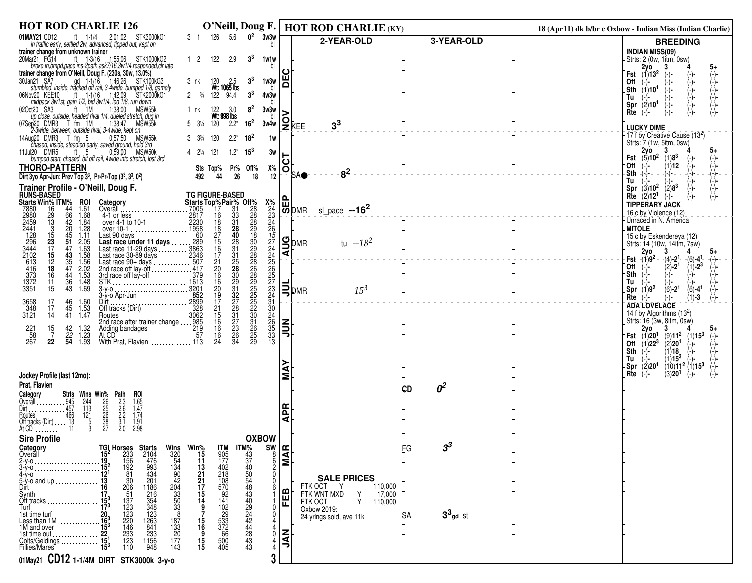| <b>HOT ROD CHARLIE 126</b><br>O'Neill, Doug F.                                                                                                                                                                                                                                                                             | <b>HOT ROD CHARLIE (KY)</b>                                  | 18 (Apr11) dk b/br c Oxbow - Indian Miss (Indian Charlie)                         |
|----------------------------------------------------------------------------------------------------------------------------------------------------------------------------------------------------------------------------------------------------------------------------------------------------------------------------|--------------------------------------------------------------|-----------------------------------------------------------------------------------|
| $0^2$<br>3w3w<br>01MAY21 CD12<br>ft 1-1/4 2:01:02 STK3000kG1<br>5.6<br>126<br>31<br>in traffic early, settled 2w, advanced, tipped out, kept on                                                                                                                                                                            | 2-YEAR-OLD<br>3-YEAR-OLD                                     | <b>BREEDING</b>                                                                   |
| trainer change from unknown trainer<br>20Mar21 FG14<br>122<br>3 <sup>3</sup><br>lar21 FG14 ft 1-3/16 1:55:06 STK1000kG2<br>broke in,bmpd,pace ins-2path,ask7/16,3w1/4,responded,clr late<br>$1\quad 2$<br>2.9<br>1w1w<br>trainer change from O'Neill, Doug F. (230s, 30w, 13.0%)                                           |                                                              | -INDIAN MISS(09)<br>-Strts: 2 (0w, 1itm, 0sw)<br>2vo<br><b>Fst</b> $(1)13^2$      |
| an21 SA7 gd 1-1/16 1:46:26 STK100kG3<br>stumbled, inside, tracked off rail, 3-4wide, bumped 1/8, gamely<br>30Jan21 SA7<br>3 <sup>3</sup><br>1w3w<br>3 nk<br>120 2.5<br>Wt: <b>1065</b> Ibs                                                                                                                                 | 片                                                            | ⊺Off<br>(-)-                                                                      |
| 06Nov20 KEE10<br>ov20 KEE10 ft 1-1/16 1:42:09 STK200<br>midpack 3w1st, gain 1/2, bid 3w1/4, led 1/8, run down<br>STK2000kG1<br>$2 \frac{3}{4}$<br>122<br>94.4<br>3 <sup>3</sup><br>4w3w                                                                                                                                    |                                                              | $\rightarrow$<br>Tu                                                               |
| 8 <sup>2</sup><br>020ct20 SA3<br>$ft = 1M$<br>MSW55k<br>1:38:00<br>3w3w<br>bl<br>1 nk<br>122 3.0<br>Wt: <b>998 lbs</b><br>up close, outside, headed rival 1/4, dueled stretch, dug in                                                                                                                                      |                                                              | (2)10 <sup>1</sup><br>`Spr<br>·Rte<br>$(-)$ -                                     |
| 07Sep20 DMR3 T fm 1M<br>1:38:47<br>16 <sup>2</sup><br>MSW <sub>55</sub> k<br>5 31/4 120<br>$2.2^*$<br>3w4w<br>2-3wide, between, outside rival, 3-4wide, kept on                                                                                                                                                            | $2k$ EE<br>3 <sup>3</sup>                                    | <b>LUCKY DIME</b>                                                                 |
| 14Aug20 DMR3 T fm 5 0:57:50 MSW55<br>chased, inside, steadied early, saved ground, held 3rd<br>MSW55k<br>120<br>$2.2*$<br>$18^2$<br>1w                                                                                                                                                                                     |                                                              | -17 f by Creative Cause (13 <sup>2</sup> )<br>. Strts: 7 (1w, 5itm, 0sw)          |
| 0.59:00<br>11Jul20 DMR5<br>MSW50k<br>121<br>$1.2*$<br>$15^{3}$<br>ft 5<br>4 21/4<br>3w<br>bumped start, chased, bit off rail, 4wide into stretch, lost 3rd                                                                                                                                                                 | 5                                                            | 2y0<br>-3<br>5+<br><b>Fst</b> $(5)10^2$ $(1)8^3$                                  |
| <b>THORO-PATTERN</b><br>Х%<br>Sts Top%<br>Pr%<br>Off%<br>Dirt 3yo Apr-Jun: Prev Top $3^3$ , Pr-Pr-Top $(3^3, 3^3, 0^2)$<br>26<br>18<br>44<br>12<br>492                                                                                                                                                                     | 0<br>8 <sup>2</sup><br><b>SAO</b>                            | ⊤Off<br>(1)12<br>⊦Sth⊣<br>$-$ - - -<br>$(-)$ - -                                  |
| Trainer Profile - O'Neill, Doug F.                                                                                                                                                                                                                                                                                         |                                                              | Tu<br>$\langle 3 \rangle$ 10 <sup>2</sup><br>$(2)8^3$<br>-Spr                     |
| TG FIGURE-BASED<br><b>RUNS-BASED<br/>Starts Win% ITM%</b><br>Starts Top% Pair% Off%<br>ROI<br>Category                                                                                                                                                                                                                     | היה <br> פון                                                 | $-Rite (2)121$<br>$(-)$<br>-TIPPERARY JACK                                        |
| 44<br>7880<br>1.61<br>$\frac{31}{33}$<br>$\frac{33}{28}$<br>$\frac{40}{10}$<br>16<br>17<br>66<br>42<br>1.68<br>$^{29}_{13}$<br>16                                                                                                                                                                                          | sl_pace $-16^2$                                              | 16 c by Violence (12)<br>-Unraced in N. America                                   |
| 4-1 or less<br>over 4-1 to 10-1<br>over 10-1<br>over 10-1<br>1.84<br>3<br>$\frac{20}{45}$<br>51<br>1.28<br>15<br>1.11                                                                                                                                                                                                      |                                                              | <b>MITOLE</b><br>15 c by Eskendereya (12)                                         |
| 18<br>18<br>17<br>15<br>16<br>17<br>Last 90 days<br><b>Last race under 11 days</b><br>Last race 11-29 days<br>Last race 11-29 days<br>$\frac{28}{31}$<br>$2\bar{3}$<br>2.05<br>47<br>17                                                                                                                                    | <b>UO</b> MR<br>tu $-18^2$                                   | Strts: 14 (10w, 14itm, 7sw)                                                       |
| $\frac{43}{35}$<br>47<br>15<br>12                                                                                                                                                                                                                                                                                          |                                                              | 2vo<br>3<br>$Fst (1)9^2$<br>$-(4) - 21$<br>$-(6) - 4$ <sup>1</sup>                |
| 2980<br>2459<br>2441<br>286<br>296<br>3444<br>2102<br>6416<br>373<br>1372<br>$1.63$<br>$1.58$<br>$1.56$<br>$2.02$<br>$1.53$<br>$1.48$<br>$\frac{21}{20}$<br>16<br>18<br>44<br>16                                                                                                                                           |                                                              | $(2) - 2^1$<br>$(1) - 2^3$<br>⊺Off<br>⊤Sth                                        |
| Last race 11-29 days<br>Last race 30-89 days<br>Last race 90+ days<br>Last race 90+ days<br>2346<br>Last race 90+ days<br>267<br>267<br>279<br>279<br>279<br>279<br>279<br>279<br>279<br>Dirt<br>282<br>Dirt<br>282<br>Dirt<br>282<br>283<br>279<br>Citters<br>283<br>279<br>Citte<br>36<br>11<br>3351<br>15<br>43<br>1.69 | $\mathbf{B}_{\text{PMR}}$<br>$15^3$                          | -Tul<br>Spr $(1)9^2$<br>$(6) - 2^1$<br>$(6) - 4$ <sup>1</sup>                     |
| X%22246574456573410465333322222222233322333333<br>3228323127817384<br>16<br>20<br>19<br>17<br>21<br>5<br>16<br>16<br>16<br>3658<br>348<br>$^{46}_{45}$<br>1.60<br>1.53<br>-17<br>17                                                                                                                                        |                                                              | Rte<br>$(-)$<br>(1)-3<br>(-)-<br><b>ADA LOVELACE</b>                              |
| Off tracks (Dirt)<br>Routes<br>Routes<br>3121<br>14<br>1.47<br>41<br>2nd race after trainer change  985                                                                                                                                                                                                                    |                                                              | $-14$ f by Algorithms (13 $^2$ )<br>Strts: 16 (3w, 8itm, 0sw)                     |
| Adding bandages<br>At CD<br>At CD<br>With Prat, Flavien<br>$\frac{42}{22}$<br>54<br>$\begin{array}{c} 1.32 \\ 1.23 \\ 1.93 \end{array}$<br>221<br>58<br>267<br>$\begin{array}{c} 15 \\ 7 \end{array}$<br>16                                                                                                                | 릜                                                            | 2yo<br>3<br><b>Fst</b> $(1)20^1$ $(9)11^2$ $(1)15^3$<br>(−)−                      |
| $22\,$<br>24                                                                                                                                                                                                                                                                                                               |                                                              | $-$ Off $-$ (1)22 <sup>3</sup><br>$(2)$ 20 <sup>1</sup><br>-(−)−<br>`Sth<br>(1)18 |
|                                                                                                                                                                                                                                                                                                                            |                                                              | $(1)15^3$<br>-Tu<br>(-)-<br>(2)20 <sup>1</sup><br>$(10)11^2$ $(1)15^3$<br>Spr     |
| Jockey Profile (last 12mo):                                                                                                                                                                                                                                                                                                | Σ                                                            | $Rte$ $(-)$<br>(3)20 <sup>1</sup>                                                 |
| Prat, Flavien<br>Strts Wins Win% Path<br>roi<br>Category                                                                                                                                                                                                                                                                   | $\sigma^2$<br>СD                                             |                                                                                   |
| 26<br>25<br>38<br>27<br>$1.65$<br>$1.47$<br>$1.74$<br>$1.91$<br>2.98<br>$\cdots$ 945<br>$\cdots$ 457<br>244<br>113<br>$2.3$<br>$2.6$<br>$2.2$<br>$3.1$<br>$2.0$<br>Overall<br>Dirt <sub>- - - - - - - - - - - -</sub> .                                                                                                    | 뚠                                                            |                                                                                   |
| $\begin{array}{c}\n 121 \\  -5 \\  3\n \end{array}$<br>Routes<br>Off tracks (Dirt)  13<br>At CD  11<br>At $CD$                                                                                                                                                                                                             | ⋖                                                            |                                                                                   |
| <b>Sire Profile</b><br><b>OXBOW</b>                                                                                                                                                                                                                                                                                        |                                                              |                                                                                   |
| Category<br>TGI Horses<br>15 <sup>2</sup> 233<br>19 <sub>2</sub> 156<br>15 <sup>2</sup> 192<br>12 <sup>1</sup> 81<br><b>Starts</b><br>2104<br>476<br>993<br>434<br>Wins Win%<br>320 15<br>54 11<br>134 13<br>90 21<br>42 21<br><b>ITM%</b><br>$43$<br>$37$<br>$40$<br><b>PAN</b><br><b>MAR</b><br>Overall  15 <sup>2</sup> | FG<br>3°                                                     |                                                                                   |
| $\frac{8}{2}$                                                                                                                                                                                                                                                                                                              |                                                              |                                                                                   |
| <b>ITM</b><br>905<br>177<br>402<br>218<br>570<br>570<br>41<br>$12^1$<br>$\Omega$<br>4-у-о<br>201<br>30<br>5-y-o and up  13<br>Dirt  16<br>1186                                                                                                                                                                             | <b>SALE PRICES</b><br>FTK OCT<br>110,000                     |                                                                                   |
| $\frac{7}{17}$<br>$\frac{15}{14}$<br>$\frac{206}{51}$                                                                                                                                                                                                                                                                      | FEB<br>FTK WNT MXD<br>17,000<br>Y<br>Y<br>FTK OCT<br>110,000 |                                                                                   |
| 42<br>204<br>33<br>33<br>83<br>8<br>216<br>354<br>348<br>348<br>1263<br>841<br>233<br>Off tracks $\frac{15^3}{17^3}$<br>9                                                                                                                                                                                                  | Oxbow-2019:<br>$33$ gd st<br>ßА<br>24 yrlngs sold, ave 11k   |                                                                                   |
| $\frac{187}{133}$<br>20<br>15<br>16<br>9<br>153 153                                                                                                                                                                                                                                                                        |                                                              |                                                                                   |
| 50484344444834343<br>137332312312312312<br>102<br>29<br>533<br>57<br>66<br>500<br>500<br>405<br>1st time out<br>$\mathbf{0}$<br>1156<br>948<br>$\frac{15}{15}$<br>Colts/Geldings<br>Fillies/Mares<br>177<br>143                                                                                                            | $\overline{\mathbf{z}}$                                      |                                                                                   |
| 3<br>01May21 CD12 1-1/4M DIRT STK3000k 3-y-0                                                                                                                                                                                                                                                                               |                                                              |                                                                                   |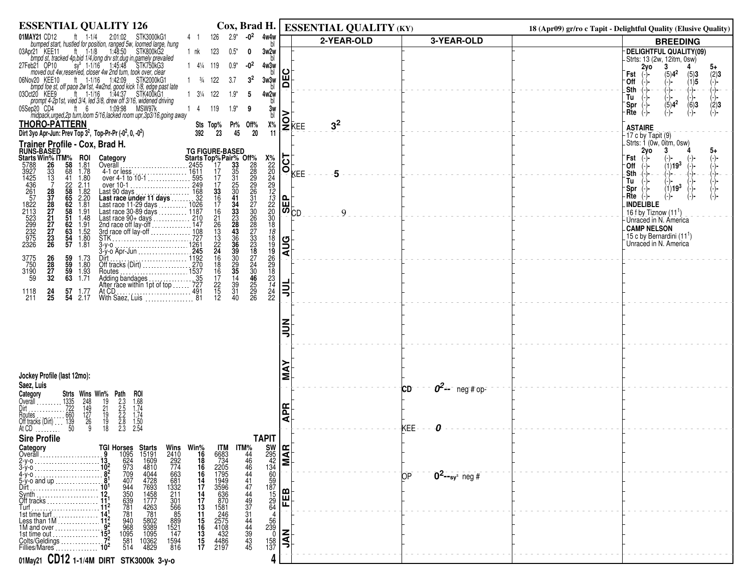| <b>ESSENTIAL QUALITY 126</b>                                                                                                                                                                                                                                                                                             |                                                                                                                                                      |                                                                                                                                                                                                                                                                                                                                                                           | Cox, Brad H.   ESSENTIAL QUALITY (KY)                    |                                     | 18 (Apr09) gr/ro c Tapit - Delightful Quality (Elusive Quality)             |
|--------------------------------------------------------------------------------------------------------------------------------------------------------------------------------------------------------------------------------------------------------------------------------------------------------------------------|------------------------------------------------------------------------------------------------------------------------------------------------------|---------------------------------------------------------------------------------------------------------------------------------------------------------------------------------------------------------------------------------------------------------------------------------------------------------------------------------------------------------------------------|----------------------------------------------------------|-------------------------------------|-----------------------------------------------------------------------------|
| 01MAY21 CD12<br><b>JAY21</b> CD12 ft $1.1/4$ 2:01:02 STK3000kG1<br>bumped start, hustled for position, ranged 5w, loomed large, hung<br>p21 KEE11 ft i 1:18 1:48:50 STK800kG2<br>bmpd st, tracked 4p,bid 1/4.long drv str,dug in,gamely prevailed<br>eb21 OP10                                                           | $-0^2$ 4w4w $\frac{1}{b}$<br>$2.9*$<br>126<br>41                                                                                                     |                                                                                                                                                                                                                                                                                                                                                                           | 2-YEAR-OLD                                               | 3-YEAR-OLD                          | <b>BREEDING</b>                                                             |
| 03Apr21 KEE11                                                                                                                                                                                                                                                                                                            | 123<br>$0.5^*$<br>3w2w<br>1 nk<br>0                                                                                                                  |                                                                                                                                                                                                                                                                                                                                                                           |                                                          |                                     | DELIGHTFUL QUALITY(09)                                                      |
| 27Feb21 OP10                                                                                                                                                                                                                                                                                                             | $-02$<br>$1 \t4\frac{1}{4} \t119$<br>$0.9*$<br>4w3w                                                                                                  |                                                                                                                                                                                                                                                                                                                                                                           |                                                          |                                     | Strts: 13 (2w, 12itm, 0sw)<br>2y <sub>o</sub><br>3<br>$5+$                  |
|                                                                                                                                                                                                                                                                                                                          |                                                                                                                                                      | ပ                                                                                                                                                                                                                                                                                                                                                                         |                                                          |                                     | $(5)4^2$<br>(2)3<br>Fst                                                     |
| ov20 KEE10 ft 1-1/16 1:42:09 STK2000KG1<br>bmpd foe st, off pace 2w1st, 4w2nd, good kick 1/8, edge past late<br>06Nov20 KEE10                                                                                                                                                                                            | 3 <sup>2</sup><br>$\frac{3}{4}$ 122<br>3.7<br>3w3w<br>h                                                                                              | ш<br>$\Omega$                                                                                                                                                                                                                                                                                                                                                             |                                                          |                                     | $\binom{5}{1}$ <b>3</b><br>∙Off<br>-)-                                      |
| 03Oct20 KEE9<br>ft 1-1/16 1:44:37 STK400kG1                                                                                                                                                                                                                                                                              | $1 \t3\frac{1}{4} \t122$<br>$1.9*$<br>4w2w<br>5                                                                                                      |                                                                                                                                                                                                                                                                                                                                                                           |                                                          |                                     | $4 - 1 -$<br>.Sth<br>$\begin{pmatrix} -1 \\ -2 \\ -1 \end{pmatrix}$ =<br>Tu |
| prompt 4-2p1st, vied 3/4, led 3/8, drew off 3/16, widened driving<br>1:09:98<br>MSW97k<br>05Sep20 CD4<br>ft 6                                                                                                                                                                                                            | h<br>4<br>119<br>$1.9*$                                                                                                                              | 3w                                                                                                                                                                                                                                                                                                                                                                        |                                                          |                                     | $\binom{-}{6}$<br>$\langle 2 \rangle$ 3<br>Spr<br>(-)-                      |
| midpack, urged, 2p turn, loom 5/16, lacked room upr, 3p3/16, going away                                                                                                                                                                                                                                                  | bl                                                                                                                                                   | >                                                                                                                                                                                                                                                                                                                                                                         |                                                          |                                     | $Rte$ $(-)$<br>(−)−                                                         |
| <b>THORO-PATTERN</b>                                                                                                                                                                                                                                                                                                     | Sts Top%<br>Pr% Off%                                                                                                                                 | Х%                                                                                                                                                                                                                                                                                                                                                                        | $\mathsf{P}^\mathsf{L}_{\mathsf{KEE}}$<br>3 <sup>2</sup> |                                     | <b>ASTAIRE</b>                                                              |
| Dirt 3yo Apr-Jun: Prev Top 3 <sup>2</sup> , Top-Pr-Pr (-0 <sup>2</sup> , 0, -0 <sup>2</sup> )                                                                                                                                                                                                                            | 23<br>45<br>20<br>392                                                                                                                                | 11                                                                                                                                                                                                                                                                                                                                                                        |                                                          |                                     | $-17$ c by Tapit $(9)$                                                      |
| Trainer Profile - Cox, Brad H.                                                                                                                                                                                                                                                                                           |                                                                                                                                                      |                                                                                                                                                                                                                                                                                                                                                                           |                                                          |                                     | . Strts: 1 (0w, 0itm, 0sw)<br>2y <sub>o</sub><br>3<br>5+                    |
| <b>RUNS-BASED<br/>Starts Win% ITM%</b><br>ROI<br>Category                                                                                                                                                                                                                                                                |                                                                                                                                                      | <b>SOCKEE</b><br>$\begin{picture}(18,17) \put(0,0){\line(1,0){15}} \put(1,0){\line(1,0){15}} \put(1,0){\line(1,0){15}} \put(1,0){\line(1,0){15}} \put(1,0){\line(1,0){15}} \put(1,0){\line(1,0){15}} \put(1,0){\line(1,0){15}} \put(1,0){\line(1,0){15}} \put(1,0){\line(1,0){15}} \put(1,0){\line(1,0){15}} \put(1,0){\line(1,0){15}} \put(1,0){\line(1,0){15}} \put(1,$ |                                                          |                                     | Fst<br>$(-)$                                                                |
| 5788<br>26<br>58<br>$\frac{1.81}{1.78}$<br>Overall [1, 1, 2455]<br>68                                                                                                                                                                                                                                                    |                                                                                                                                                      |                                                                                                                                                                                                                                                                                                                                                                           | 5                                                        |                                     | $(1)19^{3}$<br>Off<br>Sth<br>-)− -                                          |
| 3927<br>1425<br>4361<br>261<br>572<br>1822<br>2113<br>232<br>232<br>523<br>232<br>523<br>232<br>523<br>232<br>5<br>$\begin{array}{c} 33 \\ 13 \\ 7 \end{array}$<br>over 4-1 to 10-1<br>over 10-1<br>over 10-1<br>41<br>1.80<br>2.11                                                                                      |                                                                                                                                                      |                                                                                                                                                                                                                                                                                                                                                                           |                                                          |                                     | Tu                                                                          |
| 22<br>58<br>58<br>58<br>58<br>51                                                                                                                                                                                                                                                                                         |                                                                                                                                                      |                                                                                                                                                                                                                                                                                                                                                                           |                                                          |                                     | (1)19 <sup>3</sup><br>Spr<br>Rte<br>(-)-<br>(-)-                            |
| 1.82<br>2.20<br>1.81                                                                                                                                                                                                                                                                                                     |                                                                                                                                                      |                                                                                                                                                                                                                                                                                                                                                                           |                                                          |                                     | <b>INDELIBLE</b>                                                            |
| 1.91                                                                                                                                                                                                                                                                                                                     |                                                                                                                                                      |                                                                                                                                                                                                                                                                                                                                                                           | 9                                                        |                                     | 16 f by Tiznow $(111)$                                                      |
| 28<br>37<br>28<br>27<br>27<br>27<br>23<br>26<br>0ver 10-1<br>Last 90 days<br>Last race under 11 days<br>Last race 11-29 days<br>Last race 11-29 days<br>Last race 30-89 days<br>Last race 90-4 days<br>Last race 90-4 days<br>Last race 90-4 days<br>Last race 90-4 days<br>210<br>20d race off lay-<br>1.48<br>62<br>63 |                                                                                                                                                      |                                                                                                                                                                                                                                                                                                                                                                           |                                                          |                                     | Unraced in N. America<br><b>CAMP NELSON</b>                                 |
| $\begin{array}{c} 1.91 \\ 1.52 \\ 1.80 \\ 1.81 \end{array}$                                                                                                                                                                                                                                                              |                                                                                                                                                      | 18                                                                                                                                                                                                                                                                                                                                                                        |                                                          |                                     | <sub>-</sub> 15 c by Bernardini (11 <sup>1</sup> )                          |
| $\frac{54}{57}$                                                                                                                                                                                                                                                                                                          |                                                                                                                                                      | <b>AUG</b>                                                                                                                                                                                                                                                                                                                                                                |                                                          |                                     | Unraced in N. America                                                       |
|                                                                                                                                                                                                                                                                                                                          |                                                                                                                                                      |                                                                                                                                                                                                                                                                                                                                                                           |                                                          |                                     |                                                                             |
| 3775<br>750<br>3190<br>59<br>26<br>28<br>27<br>32<br>59 1.73<br>59 1.80<br>59 1.93<br>63 1.71<br>Routes         1537                                                                                                                                                                                                     | $\frac{18}{19}$<br>$\frac{19}{26}$<br>$\frac{26}{29}$<br>$\frac{18}{18}$                                                                             |                                                                                                                                                                                                                                                                                                                                                                           |                                                          |                                     |                                                                             |
| Adding bandages<br>After race within 1pt of top<br>727                                                                                                                                                                                                                                                                   | 14                                                                                                                                                   |                                                                                                                                                                                                                                                                                                                                                                           |                                                          |                                     |                                                                             |
| 57 1.77<br>1118                                                                                                                                                                                                                                                                                                          | $\frac{17}{22}$<br>15<br>46<br>25<br>29<br>26<br>$\frac{23}{14}$<br>$\frac{24}{22}$<br>$\frac{39}{31}$                                               | ミ                                                                                                                                                                                                                                                                                                                                                                         |                                                          |                                     |                                                                             |
| $^{24}_{25}$<br>211<br>54 2.17                                                                                                                                                                                                                                                                                           | $12^{\circ}$<br>40                                                                                                                                   |                                                                                                                                                                                                                                                                                                                                                                           |                                                          |                                     |                                                                             |
|                                                                                                                                                                                                                                                                                                                          |                                                                                                                                                      |                                                                                                                                                                                                                                                                                                                                                                           |                                                          |                                     |                                                                             |
|                                                                                                                                                                                                                                                                                                                          |                                                                                                                                                      |                                                                                                                                                                                                                                                                                                                                                                           |                                                          |                                     |                                                                             |
|                                                                                                                                                                                                                                                                                                                          |                                                                                                                                                      | ミミ                                                                                                                                                                                                                                                                                                                                                                        |                                                          |                                     |                                                                             |
|                                                                                                                                                                                                                                                                                                                          |                                                                                                                                                      |                                                                                                                                                                                                                                                                                                                                                                           |                                                          |                                     |                                                                             |
|                                                                                                                                                                                                                                                                                                                          |                                                                                                                                                      |                                                                                                                                                                                                                                                                                                                                                                           |                                                          |                                     |                                                                             |
|                                                                                                                                                                                                                                                                                                                          |                                                                                                                                                      |                                                                                                                                                                                                                                                                                                                                                                           |                                                          |                                     |                                                                             |
| Jockey Profile (last 12mo):                                                                                                                                                                                                                                                                                              |                                                                                                                                                      | ≨                                                                                                                                                                                                                                                                                                                                                                         |                                                          |                                     |                                                                             |
| Saez, Luis                                                                                                                                                                                                                                                                                                               |                                                                                                                                                      |                                                                                                                                                                                                                                                                                                                                                                           |                                                          | $0^2$ -- neg# op-<br>СD             |                                                                             |
| Category<br>roi<br>Overall                                                                                                                                                                                                                                                                                               |                                                                                                                                                      |                                                                                                                                                                                                                                                                                                                                                                           |                                                          |                                     |                                                                             |
|                                                                                                                                                                                                                                                                                                                          |                                                                                                                                                      | <b>APR</b>                                                                                                                                                                                                                                                                                                                                                                |                                                          |                                     |                                                                             |
| <b>Strts Wins Win% Path</b><br>1335 248 19 2.3<br>1722 149 21 2.5<br>1660 127 19 2.2<br>139 26 19 2.8<br>150 9 18 2.8<br>$1.68$<br>$1.74$<br>$1.74$<br>$1.50$<br>$2.54$<br>Routes<br>Off tracks (Dirt)                                                                                                                   |                                                                                                                                                      |                                                                                                                                                                                                                                                                                                                                                                           |                                                          |                                     |                                                                             |
| At CD                                                                                                                                                                                                                                                                                                                    |                                                                                                                                                      |                                                                                                                                                                                                                                                                                                                                                                           |                                                          | KEE:                                |                                                                             |
| <b>Sire Profile</b>                                                                                                                                                                                                                                                                                                      | <b>TAPIT</b>                                                                                                                                         |                                                                                                                                                                                                                                                                                                                                                                           |                                                          |                                     |                                                                             |
| Category<br>Overall                                                                                                                                                                                                                                                                                                      |                                                                                                                                                      |                                                                                                                                                                                                                                                                                                                                                                           |                                                          |                                     |                                                                             |
| $2-y-0$<br>3-ý-o                                                                                                                                                                                                                                                                                                         |                                                                                                                                                      |                                                                                                                                                                                                                                                                                                                                                                           |                                                          |                                     |                                                                             |
| <b>Wins Win%</b><br>2410 <b>16</b><br>292 <b>18</b><br>774 <b>16</b><br>663 <b>16</b><br>681 <b>14</b><br>1322 <b>17</b><br>14                                                                                                                                                                                           |                                                                                                                                                      |                                                                                                                                                                                                                                                                                                                                                                           |                                                          | $0^2$ --sy <sup>s</sup> neg #<br>ЮP |                                                                             |
| 5-y-o and up<br>Dirt<br>Synth<br>Off tracks                                                                                                                                                                                                                                                                              | $\frac{14}{17}$<br>14                                                                                                                                |                                                                                                                                                                                                                                                                                                                                                                           |                                                          |                                     |                                                                             |
| 211                                                                                                                                                                                                                                                                                                                      |                                                                                                                                                      |                                                                                                                                                                                                                                                                                                                                                                           |                                                          |                                     |                                                                             |
| <b>TGI Horses Starts</b><br>9 1095 15191<br>13 624 1609<br>10 <sup>2</sup> 973 4044<br>8 709 4044<br>8 709 4044<br>10 944 7693<br>112 535 1777<br>11 <sup>2</sup> 781 4263<br>11 <sup>2</sup> 781 4263<br>11 <sup>2</sup> 781 4263<br>$\tilde{T}$ urf , , , , , , , , , , , , , , , ,                                    | $\frac{17}{13}$                                                                                                                                      | .<br>- <sup>ਵਿ</sup> ੱਚ ਕਿਸਾਨ ਕਰਨਾ ਕਰਨਾ ਵਿੱਚ ਕਰਨਾ ਹੈ।<br>- FEB - MAR<br>- ਜਿਸ - ਅਮਰੀਕ                                                                                                                                                                                                                                                                                     |                                                          |                                     |                                                                             |
| 1st time turf<br>Less than 1M                                                                                                                                                                                                                                                                                            | 11                                                                                                                                                   |                                                                                                                                                                                                                                                                                                                                                                           |                                                          |                                     |                                                                             |
| $301$<br>$566$<br>$85$<br>$889$<br>$1521$<br>$147$<br>$\frac{940}{968}$<br>1095<br>1M and over                                                                                                                                                                                                                           | $\begin{array}{c} 56 \\ 239 \\ 0 \end{array}$                                                                                                        |                                                                                                                                                                                                                                                                                                                                                                           |                                                          |                                     |                                                                             |
| 5802<br>9389<br>1095<br>10362<br>4829<br>1st time out<br>$\frac{581}{514}$<br>1594<br>816<br>Colts/Geldings                                                                                                                                                                                                              | 15<br>16<br>13<br>15<br>17<br>$\frac{158}{137}$                                                                                                      | <b>NAL</b>                                                                                                                                                                                                                                                                                                                                                                |                                                          |                                     |                                                                             |
|                                                                                                                                                                                                                                                                                                                          | TM TM%<br>683<br>734 446<br>734 446 446<br>2205 444 47<br>1949 596 636 444<br>5570 444 432<br>246 245<br>245<br>432<br>4486 432<br>448<br>432<br>446 |                                                                                                                                                                                                                                                                                                                                                                           |                                                          |                                     |                                                                             |
| 01May21 CD12 1-1/4M DIRT STK3000k 3-y-0                                                                                                                                                                                                                                                                                  |                                                                                                                                                      |                                                                                                                                                                                                                                                                                                                                                                           |                                                          |                                     |                                                                             |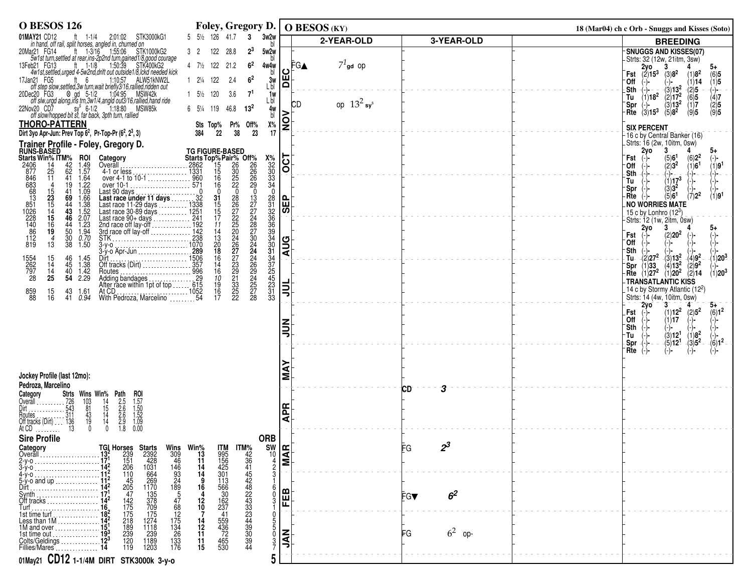| <b>O BESOS 126</b>                                                                                                                                                                                                                                                                                                                                                                                                                                                                   |                                                           | Foley, Gregory D.                                   |                                                   |                  | O BESOS (KY)              |                       | 18 (Mar04) ch c Orb - Snuggs and Kisses (Soto)                                                                                    |
|--------------------------------------------------------------------------------------------------------------------------------------------------------------------------------------------------------------------------------------------------------------------------------------------------------------------------------------------------------------------------------------------------------------------------------------------------------------------------------------|-----------------------------------------------------------|-----------------------------------------------------|---------------------------------------------------|------------------|---------------------------|-----------------------|-----------------------------------------------------------------------------------------------------------------------------------|
| 01MAY21 CD12<br>AY21 CD12 ft 1-1/4 2:01:02 STK3000kG1<br>in hand, off rail, split horses, angled in, churned on                                                                                                                                                                                                                                                                                                                                                                      | 5 51/2 126 41.7 3                                         |                                                     | 3w2w                                              |                  | 2-YEAR-OLD                | 3-YEAR-OLD            | <b>BREEDING</b>                                                                                                                   |
| ft $1-3/16$ 1.55.06<br>20Mar21 FG14<br>STK1000kG2                                                                                                                                                                                                                                                                                                                                                                                                                                    | 122<br>3 2                                                | 28.8<br>$2^3$                                       | 5w2w                                              |                  |                           |                       | SNUGGS AND KISSES(07)                                                                                                             |
| bw1st turn, settled at rear, ins-2p2nd turn, gained 1/8, good courage<br>bb21 FG13 tt 1-1/8 1:50:39 STK400KG2<br>4w1st, settled, urged 4-5w2nd, drift out outside 1/8, lckd needed kick<br>13Feb21 FG13                                                                                                                                                                                                                                                                              | 4 71/2 122 21.2                                           | 6 <sup>2</sup>                                      | 4w4w                                              | FGA              | $71$ gd Op                |                       | Strts: 32 (12w, 21itm, 3sw)                                                                                                       |
| 17Jan21 FG5                                                                                                                                                                                                                                                                                                                                                                                                                                                                          | $1 \t2\frac{1}{4} \t122$                                  | 6 <sup>2</sup><br>2.4                               | 3w                                                | ပ<br>E           |                           |                       | <b>Example 1</b><br><b>Fst</b> $(2)15^3$ $(3)8^2$<br>(1)8 <sup>2</sup><br>$^{(6)5}_{(1)5}$<br>'0ff<br>$(-)$<br>(1)14<br>(−)−      |
| an21 FG5 ft 6 1:10:57 ALW51kNW2L<br>off step slow,settled,3w turn,wait briefly3/16,rallied,ridden out<br>20Dec20 FG3                                                                                                                                                                                                                                                                                                                                                                 | $1\quad 5\frac{1}{2}\quad 120$                            | 3.6<br>7 <sup>1</sup>                               | L bl                                              |                  |                           |                       | $-(3)13^2$<br>.Sth<br>$-(\frac{1}{2})$ -<br>$-(2)5$<br>(-)-                                                                       |
| $\begin{array}{llll}\n\text{etc.} & \text{C.} & \text{C.} & \text{C.} \\ \text{etc.} & \text{C.} & \text{C.} & \text{C.} \\ \text{etc.} & \text{C.} & \text{C.} & \text{C.} \\ \text{C.} & \text{C.} & \text{C.} & \text{C.} \\ \text{C.} & \text{C.} & \text{C.} & \text{C.} \\ \text{C.} & \text{C.} & \text{C.} & \text{C.} \\ \text{C.} & \text{C.} & \text{C.} \\ \text{C.} & \text{C.} & \text{C.} \\ \$                                                                       |                                                           |                                                     | 1w<br>L bl                                        | ЮD               | op $13^2$ sy <sup>s</sup> |                       | $(1)18^2$<br>$(2)17^{2}$<br>$\binom{6}{1}$<br>$\lambda$ (4)7<br>Tu<br>$\langle 2 \rangle$ 5<br>$(3)13^2$<br><b>Spr</b><br>$(-)$ - |
| 22Nov20 CD7<br>off slow/hopped bit st, far back, 3pth turn, rallied                                                                                                                                                                                                                                                                                                                                                                                                                  | $6\quad 5\frac{1}{4}$<br>119                              | 46.8<br>$13^{2}$                                    | 4w<br>><br>bl                                     |                  |                           |                       | Rte $(3)15^3$<br>$(5)8^2$<br>(9)5<br>(9)5                                                                                         |
| <b>THORO-PATTERN</b>                                                                                                                                                                                                                                                                                                                                                                                                                                                                 | Sts Top%                                                  | Pr% Off%                                            | Х%                                                | <u>ioj</u>       |                           |                       | <b>SIX PERCENT</b>                                                                                                                |
| Dirt 3yo Apr-Jun: Prev Top $6^2$ , Pr-Top-Pr $(6^2, 2^3, 3)$                                                                                                                                                                                                                                                                                                                                                                                                                         | 22<br>384                                                 | 38<br>23                                            | 17                                                |                  |                           |                       | 16 c by Central Banker (16)                                                                                                       |
| Trainer Profile - Foley, Gregory D.<br>RUNS-BASED                                                                                                                                                                                                                                                                                                                                                                                                                                    |                                                           |                                                     |                                                   |                  |                           |                       | Strts: 16 (2w, 10itm, 0sw)<br>3<br>2yo<br>5+                                                                                      |
| <b>Starts Win% ITM%</b><br>2406 14 42<br>877 25 62<br>846 11 41<br>683 4 19<br><b>ROI</b><br>1.49<br>1.57<br>Category                                                                                                                                                                                                                                                                                                                                                                |                                                           |                                                     | $x_{32}^{32}$<br>30<br>33<br>34<br>0              | $\overline{OCI}$ |                           |                       | $^{(6)}_{(1)6^1}$<br>$(5)61$<br>(2)3 <sup>2</sup><br>(-)-<br>Fst<br>(1)9 <sup>1</sup><br>-Off                                     |
|                                                                                                                                                                                                                                                                                                                                                                                                                                                                                      |                                                           |                                                     |                                                   |                  |                           |                       | Sth<br>(-)- −<br>(-)-                                                                                                             |
| $1.64$<br>$1.22$<br>$1.09$                                                                                                                                                                                                                                                                                                                                                                                                                                                           |                                                           |                                                     |                                                   |                  |                           |                       | $(1)17^{3}$<br>Tu<br>$\langle 3 \rangle 3^2$<br>'Spr                                                                              |
| 41                                                                                                                                                                                                                                                                                                                                                                                                                                                                                   |                                                           |                                                     |                                                   |                  |                           |                       | (5)6 <sup>1</sup><br>$(7)2^2$<br>(1)9 <sup>1</sup><br>Rte                                                                         |
|                                                                                                                                                                                                                                                                                                                                                                                                                                                                                      |                                                           |                                                     |                                                   | <b>SEP</b>       |                           |                       | NO WORRIES MATE<br>15 c by Lonhro $(12^3)$                                                                                        |
| 846<br>683<br>683<br>6813<br>51<br>851<br>228<br>44<br>62<br>5<br>1<br>85<br>1<br>85<br>1<br>8<br>$1523$<br>$154$<br>$145$<br>$16$<br>001 - 1<br>Last ace under 11 days<br>Last race under 11 days<br>Last race under 11 days<br>Last race 11-29 days<br>Last race 30-89 days<br>Last race 30-89 days<br>Last race 30-89 days<br>Last race of lay-off<br>21-2nd race of lay-off<br>37d r<br>69<br>44<br>43<br>46<br>44<br>50<br>1.66<br>1.38<br>1.52<br>1.52<br>1.50<br>1.70<br>1.50 | $31$<br>$15$<br>$17$<br>$17$<br>$11$                      | 2222222467739132222222222322                        | 2333333334014755533334242333                      |                  |                           |                       | Strts: 12 (1w, 2itm, 0sw)<br>3                                                                                                    |
| 19 <sup>°</sup>                                                                                                                                                                                                                                                                                                                                                                                                                                                                      |                                                           |                                                     |                                                   |                  |                           |                       | 2y0<br>5+<br>$(-)$<br>(2)20 <sup>2</sup><br>Fst                                                                                   |
| $\frac{30}{38}$<br>13                                                                                                                                                                                                                                                                                                                                                                                                                                                                |                                                           |                                                     |                                                   | <b>AUG</b>       |                           |                       | `Off<br>∙Sth                                                                                                                      |
| $^{46}_{45}$                                                                                                                                                                                                                                                                                                                                                                                                                                                                         |                                                           |                                                     |                                                   |                  |                           |                       | Tu- $(\frac{2}{2})27^2$<br>$-(3)13^2 - (4)9^2$<br>(1)20 <sup>3</sup>                                                              |
| 1554<br>262<br>797<br>28<br>$\frac{15}{14}$<br>1.45<br>1.38<br>1.42<br>$40^{\circ}$                                                                                                                                                                                                                                                                                                                                                                                                  | 14<br>13<br>20<br>16<br>16<br>14<br>16<br>10<br>16<br>17  |                                                     |                                                   |                  |                           |                       | $(4)13^2$<br>$(2)9^2$<br>Spr $(1)33$<br>(1)20 <sup>3</sup><br>$(1)20^2$ $(2)14$<br><b>Rte</b> $(1)27^2$                           |
| 25<br>54<br>2.29                                                                                                                                                                                                                                                                                                                                                                                                                                                                     |                                                           |                                                     |                                                   |                  |                           |                       | <b>TRANSATLANTIC KISS</b>                                                                                                         |
| 15<br>43<br>859<br>88<br>1.61<br>16<br>41<br>0.94<br>With Pedroza, Marcelino 54                                                                                                                                                                                                                                                                                                                                                                                                      |                                                           | 28                                                  |                                                   | <b>TIT</b>       |                           |                       | 14 c by Stormy Atlantic (12 <sup>2</sup> )<br>Strts: 14 (4w, 10itm, 0sw)                                                          |
|                                                                                                                                                                                                                                                                                                                                                                                                                                                                                      |                                                           |                                                     |                                                   |                  |                           |                       | 2yo<br>$\mathbf{3}^-$                                                                                                             |
|                                                                                                                                                                                                                                                                                                                                                                                                                                                                                      |                                                           |                                                     |                                                   |                  |                           |                       | $(1)12^2$ $(2)5^2$<br>.Fst<br>$(6)1^2$<br>$\begin{pmatrix} -1 \\ -1 \end{pmatrix}$<br>Off<br>(1)17                                |
|                                                                                                                                                                                                                                                                                                                                                                                                                                                                                      |                                                           |                                                     |                                                   | $\sum_{i=1}^{n}$ |                           |                       | Sth<br>(-)-<br>$(3)12$ <sup>1</sup><br>Tu                                                                                         |
|                                                                                                                                                                                                                                                                                                                                                                                                                                                                                      |                                                           |                                                     |                                                   |                  |                           |                       | $(1)8^2$<br>$(3)5^2$<br>$(6)1^2$<br>$(5)12^1$<br>Spr                                                                              |
|                                                                                                                                                                                                                                                                                                                                                                                                                                                                                      |                                                           |                                                     |                                                   |                  |                           |                       | ิRte<br>(−)−<br>$(-)$ -<br>(−)−                                                                                                   |
|                                                                                                                                                                                                                                                                                                                                                                                                                                                                                      |                                                           |                                                     |                                                   |                  |                           |                       |                                                                                                                                   |
| Jockey Profile (last 12mo):                                                                                                                                                                                                                                                                                                                                                                                                                                                          |                                                           |                                                     |                                                   | Σ                |                           |                       |                                                                                                                                   |
| Pedroza, Marcelino<br>roi                                                                                                                                                                                                                                                                                                                                                                                                                                                            |                                                           |                                                     |                                                   |                  |                           | 3<br>СD               |                                                                                                                                   |
|                                                                                                                                                                                                                                                                                                                                                                                                                                                                                      |                                                           |                                                     |                                                   |                  |                           |                       |                                                                                                                                   |
|                                                                                                                                                                                                                                                                                                                                                                                                                                                                                      |                                                           |                                                     |                                                   | <b>APR</b>       |                           |                       |                                                                                                                                   |
| <b>Category Stris Wins Win% Path</b><br>Overall 2.5<br>Dirt 2.5<br>Dirt 2.5<br>Have 2.6<br>Routes: 2011<br>2.6<br>Cylitacks (Dirt) 2.13<br>2.6<br>Cylitacks (Dirt) 2.13<br>2.6<br>2.6<br>Cylitacks (Dirt) 2.13<br>2.6<br>2.6<br>Cylitacks (Dirt) 2.13<br>2.9<br>2.6<br><br>$1.57$<br>$1.50$<br>$1.52$<br>$1.09$<br>0.00                                                                                                                                                              |                                                           |                                                     |                                                   |                  |                           |                       |                                                                                                                                   |
| <b>Sire Profile</b>                                                                                                                                                                                                                                                                                                                                                                                                                                                                  |                                                           | <b>ORB</b>                                          |                                                   |                  |                           |                       |                                                                                                                                   |
| Category<br>Overall                                                                                                                                                                                                                                                                                                                                                                                                                                                                  | %Win<br>13                                                |                                                     | $\frac{10}{10}$<br>$\frac{1}{4}$<br>$\frac{1}{2}$ |                  |                           | FG                    |                                                                                                                                   |
| <b>TGI Horses Starts</b><br>13 <sup>2</sup> 239 2392<br>17 <sup>1</sup> 151 428<br>14 <sup>2</sup> 206 1031<br>11 <sup>2</sup> 110 664<br>$\frac{309}{309}$<br>$\frac{46}{146}$<br>$2-y-0$                                                                                                                                                                                                                                                                                           | ITM<br>995<br>156<br>156<br>425<br>301<br>$\frac{11}{14}$ |                                                     |                                                   |                  |                           |                       |                                                                                                                                   |
|                                                                                                                                                                                                                                                                                                                                                                                                                                                                                      | 14                                                        |                                                     |                                                   |                  |                           |                       |                                                                                                                                   |
| $\frac{93}{189}$<br>189<br>269<br>1170<br>$\frac{45}{205}$<br>5-y-o and up.                                                                                                                                                                                                                                                                                                                                                                                                          | 113<br>566<br>30<br>16                                    |                                                     |                                                   | മ                |                           |                       |                                                                                                                                   |
| 135<br>378<br>709<br>Synth<br>$^{47}_{68}$<br>Off tracks                                                                                                                                                                                                                                                                                                                                                                                                                             | $\frac{12}{10}$                                           |                                                     |                                                   | 巸                |                           | 6 <sup>2</sup><br>FG▼ |                                                                                                                                   |
| $\frac{142}{175}$<br>Turf<br>182<br>182<br>Less than 1M<br>194<br>175<br>12                                                                                                                                                                                                                                                                                                                                                                                                          | $\frac{162}{237}$<br>41                                   |                                                     |                                                   |                  |                           |                       |                                                                                                                                   |
| $\frac{218}{189}$<br>1274<br>1118<br>$\frac{175}{134}$<br>26                                                                                                                                                                                                                                                                                                                                                                                                                         | 14<br>12                                                  |                                                     |                                                   |                  |                           |                       |                                                                                                                                   |
| 239<br>239<br>Colts/Geldings                                                                                                                                                                                                                                                                                                                                                                                                                                                         | 559<br>436<br>72<br>465<br>530<br>11<br>11                | ITM%<br>4264452243333<br>444392433334439<br>3324439 | $\mathbf 0$                                       | <b>Z</b>         |                           | $62$ op-<br>FG        |                                                                                                                                   |
| $\frac{120}{119}$<br>1189<br>1203<br>133<br>176<br>Fillies/Mares                                                                                                                                                                                                                                                                                                                                                                                                                     | 15                                                        |                                                     |                                                   |                  |                           |                       |                                                                                                                                   |
| 01May21 CD12 1-1/4M DIRT STK3000k 3-y-0                                                                                                                                                                                                                                                                                                                                                                                                                                              |                                                           |                                                     |                                                   |                  |                           |                       |                                                                                                                                   |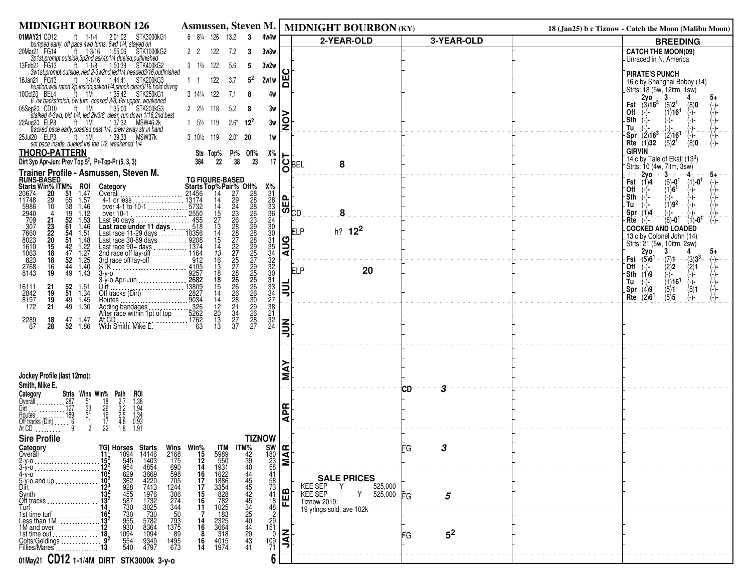| <b>MIDNIGHT BOURBON 126</b>                                                                                                                                                                                                                                                                                                                                                                                                                                                                                                                                        | Asmussen, Steven M.                                                                                                                                                                  |                                                                                                  | MIDNIGHT BOURBON (KY)                                        |                      | 18 (Jan25) b c Tiznow - Catch the Moon (Malibu Moon)                                                     |
|--------------------------------------------------------------------------------------------------------------------------------------------------------------------------------------------------------------------------------------------------------------------------------------------------------------------------------------------------------------------------------------------------------------------------------------------------------------------------------------------------------------------------------------------------------------------|--------------------------------------------------------------------------------------------------------------------------------------------------------------------------------------|--------------------------------------------------------------------------------------------------|--------------------------------------------------------------|----------------------|----------------------------------------------------------------------------------------------------------|
| 01MAY21 CD12<br>ft $1-1/4$<br>STK3000kG1<br>2:01:02<br>bumped early, off pace 4wd turns, 6wd 1/4, stayed on                                                                                                                                                                                                                                                                                                                                                                                                                                                        | 6 81/4 126<br>13.2<br>4w4w<br>-3                                                                                                                                                     |                                                                                                  | 2-YEAR-OLD                                                   | 3-YEAR-OLD           | <b>BREEDING</b>                                                                                          |
| 20Mar21 FG14<br>ar21 FG14 ft 1-3/16 1:55:06 STK1000kG2<br>3p1st,prompt outside,3p2nd,ask4p1/4.dueled,outfinished                                                                                                                                                                                                                                                                                                                                                                                                                                                   | 2 <sub>2</sub><br>122<br>7.2<br>3w3w<br>3                                                                                                                                            |                                                                                                  |                                                              |                      | <b>CATCH THE MOON(09)</b><br>-Unraced in N. America                                                      |
| bb21 FG13 ttp://themail.com/spacesoft.html<br>3w1st.prompt outside, vied 2-3w2nd, led1/4, headed3/16,outfinished<br>13Feb21 FG13                                                                                                                                                                                                                                                                                                                                                                                                                                   | 3 13/4 122<br>5.6<br>3w2w<br>5                                                                                                                                                       |                                                                                                  |                                                              |                      |                                                                                                          |
| ft 1-1/16 1:44:41 STK200kG3<br>16Jan21 FG13                                                                                                                                                                                                                                                                                                                                                                                                                                                                                                                        | $5^2$<br>122<br>3.7<br>2w1w                                                                                                                                                          | Ш                                                                                                |                                                              |                      | <b>PIRATE'S PUNCH</b><br><sup>-</sup> 16 c by Shanghai Bobby (14)                                        |
| hustled, well rated 2p-inside, asked 1/4, shook clear3/16, held drivng<br>10Oct20                                                                                                                                                                                                                                                                                                                                                                                                                                                                                  | 3 141/4 122<br>7.1<br>8                                                                                                                                                              | 4w                                                                                               |                                                              |                      | Strts: 18 (5w, 12itm, 1sw)                                                                               |
| ct20 BEL4 tt 1M 1:35:42 STK250kG1<br>6-7w backstretch, 5w turn, coaxed 3/8, 6w upper, weakened                                                                                                                                                                                                                                                                                                                                                                                                                                                                     |                                                                                                                                                                                      |                                                                                                  |                                                              |                      | $\mathsf{Fst}$ $\begin{bmatrix} 2\mathsf{yo} \\ (3)16^3 \end{bmatrix}$<br>3<br>(6)2 <sup>1</sup><br>(8)0 |
| ft 1M<br>1:35:00 STK200kG3<br>05Sep20 CD10<br>stalked 4-3wd, bid 1/4, led 2w3/8, clear, run down 1/16,2nd best                                                                                                                                                                                                                                                                                                                                                                                                                                                     | $2 \frac{2\frac{1}{2}}{118}$<br>5.2<br>8                                                                                                                                             | 3w                                                                                               |                                                              |                      | (1)16 <sup>1</sup><br>∙Off<br>$(-)$ -<br>-Sth                                                            |
| ug20 ELP8 ft 1M 1:37:32 MSW46.2k<br>tracked pace early, coasted past 1/4, drew away str in hand<br>22Aug20 ELP8                                                                                                                                                                                                                                                                                                                                                                                                                                                    | $1\quad 5\frac{1}{2}$ 119<br>$2.6*$<br>$12^{2}$                                                                                                                                      | Q<br>3w                                                                                          |                                                              |                      | Tu                                                                                                       |
| $ft$ 1M<br>1:39:33<br>MSW37k<br>25Jul20 ELP3<br>set pace inside, dueled ins foe 1/2, weakened 1/4                                                                                                                                                                                                                                                                                                                                                                                                                                                                  | 3 10 <sup>1</sup> / <sub>2</sub> 119<br>$2.0*$<br>20                                                                                                                                 | 1w                                                                                               |                                                              |                      | $-$ Spr $(2)16^3$<br>$\frac{(2)}{(5)2^1}$<br>(-)-<br>Rte $(1)$ 32<br>(8)0                                |
| <b>THORO-PATTERN</b>                                                                                                                                                                                                                                                                                                                                                                                                                                                                                                                                               | Sts Top% Pr% Off%                                                                                                                                                                    | Х%                                                                                               |                                                              |                      | <b>GIRVIN</b>                                                                                            |
| Dirt 3yo Apr-Jun: Prev Top $5^2$ , Pr-Top-Pr $(5, 3, 3)$                                                                                                                                                                                                                                                                                                                                                                                                                                                                                                           | 38<br>23<br>$22\phantom{.0}$<br>384                                                                                                                                                  | 17                                                                                               | <u>ان</u> اھا<br>8                                           |                      | 14 c by Tale of Ekati $(13^3)$<br>Strts: 10 (4w, 7itm, 3sw)                                              |
| Trainer Profile - Asmussen, Steven M.<br>RUNS-BASED                                                                                                                                                                                                                                                                                                                                                                                                                                                                                                                |                                                                                                                                                                                      | O                                                                                                |                                                              |                      | $-2yo$<br>-3-<br>$(6) - 0^1$<br>Fst $(1)4$                                                               |
| <b>Starts Win% ITM%</b><br>20674 20 51<br><b>ROI</b><br>1.47<br>Category<br>Overāll                                                                                                                                                                                                                                                                                                                                                                                                                                                                                | $\frac{X\%}{31}$                                                                                                                                                                     |                                                                                                  |                                                              |                      | $(1) - 0^1$<br>(1)6 <sup>1</sup><br>`Off                                                                 |
| 1.57<br>11748<br>29<br>65<br>4-1 or less  13174                                                                                                                                                                                                                                                                                                                                                                                                                                                                                                                    | $\frac{28}{33}$<br>$36$                                                                                                                                                              | $\begin{bmatrix} 1 \\ 2 \\ 3 \end{bmatrix}$                                                      |                                                              |                      | Sth<br>$(1)9^2$<br>. Tu                                                                                  |
| 5986<br>2940<br>$\frac{38}{19}$<br>over 4-1 to 10-1<br>over 4-1 to 10-1<br>over 10-1<br>Last 90 days<br>10<br>1.46<br>1.12                                                                                                                                                                                                                                                                                                                                                                                                                                         |                                                                                                                                                                                      |                                                                                                  | 8                                                            |                      | Spr $(1)4$                                                                                               |
| $\frac{52}{61}$<br>54<br>1.53<br>Last 90 days.<br>21<br>$^{23}_{22}$<br>$1.46$<br>$1.51$                                                                                                                                                                                                                                                                                                                                                                                                                                                                           |                                                                                                                                                                                      | $\overline{24}$<br>$\frac{30}{30}$                                                               | h? $12^2$                                                    |                      | $(8) - 0^1$<br>$(1) - 0^1$<br>Rte<br><b>COCKED AND LOADED</b>                                            |
| 51                                                                                                                                                                                                                                                                                                                                                                                                                                                                                                                                                                 |                                                                                                                                                                                      | יש:                                                                                              | ELP                                                          |                      | 13 c by Colonel John (14)                                                                                |
| $\begin{array}{c} 20 \\ 15 \\ 18 \end{array}$<br>$1.48$<br>$1.22$<br>$1.27$<br>$1.25$<br>$^{42}_{47}$                                                                                                                                                                                                                                                                                                                                                                                                                                                              |                                                                                                                                                                                      | I⊒⊧                                                                                              |                                                              |                      | Strts: 21 (5w, 10itm, 2sw)<br>2y0<br>3<br>4<br>5+                                                        |
| 709<br>7660<br>7660<br>8023<br>1610<br>823<br>2768<br>8143<br>$\frac{52}{44}$<br>18                                                                                                                                                                                                                                                                                                                                                                                                                                                                                | 31<br>35<br>32<br>32<br>30                                                                                                                                                           |                                                                                                  |                                                              |                      | Fst $-(5)6^1$<br>$-(7)1$<br>$-(3)3^3$<br>-(-)−<br>`Off<br>(2)2<br>(2)1<br>(−)−                           |
| $\frac{1.40}{1.43}$<br>$\frac{16}{19}$<br>49<br>$3-y-0$<br>$3-y-0$<br>$2682$<br>$3-y-0$ Apr-Jun                                                                                                                                                                                                                                                                                                                                                                                                                                                                    |                                                                                                                                                                                      |                                                                                                  | <b>ELP</b><br>20                                             |                      | ⊤Sth (1)9                                                                                                |
| $\frac{52}{51}$<br>Dirt<br>Off tracks (Dirt)<br>2827<br>$^{21}_{19}$<br>16111<br>2842<br>1.51<br>1.34                                                                                                                                                                                                                                                                                                                                                                                                                                                              | 31<br>33<br>24<br>27<br>38<br>21                                                                                                                                                     | 팋                                                                                                |                                                              |                      | $(1)16$ <sup>1</sup><br>(-)-<br>-Tu<br>(−)−<br>Spr $(4)9$                                                |
| 1.45<br>8197<br>19<br>49<br>Routes.                                                                                                                                                                                                                                                                                                                                                                                                                                                                                                                                | 14                                                                                                                                                                                   |                                                                                                  |                                                              |                      | $\binom{5}{5}$ 1<br>(5)5<br>$\binom{5}{-}$<br>Rte $(2)6^1$                                               |
| 172<br>21<br>49 1.30<br>Adding bandages<br>After race within 1pt of top  5262                                                                                                                                                                                                                                                                                                                                                                                                                                                                                      | 30<br>29<br>26<br>28<br>27<br>$\frac{12}{20}$                                                                                                                                        |                                                                                                  |                                                              |                      |                                                                                                          |
| 2289<br>67<br>18<br>47<br>1.47<br>At CD.<br>28<br>52 1.86<br>With Smith, Mike E.                                                                                                                                                                                                                                                                                                                                                                                                                                                                                   | 28<br>23<br>27<br>37<br>37<br>$\frac{13}{13}$<br>$\frac{32}{24}$<br>. 63                                                                                                             | z                                                                                                |                                                              |                      |                                                                                                          |
|                                                                                                                                                                                                                                                                                                                                                                                                                                                                                                                                                                    |                                                                                                                                                                                      |                                                                                                  |                                                              |                      |                                                                                                          |
|                                                                                                                                                                                                                                                                                                                                                                                                                                                                                                                                                                    |                                                                                                                                                                                      |                                                                                                  |                                                              |                      |                                                                                                          |
|                                                                                                                                                                                                                                                                                                                                                                                                                                                                                                                                                                    |                                                                                                                                                                                      |                                                                                                  |                                                              |                      |                                                                                                          |
| Jockey Profile (last 12mo):                                                                                                                                                                                                                                                                                                                                                                                                                                                                                                                                        |                                                                                                                                                                                      |                                                                                                  |                                                              |                      |                                                                                                          |
| Smith, Mike E.<br>Strts Wins Win% Path<br>ROI                                                                                                                                                                                                                                                                                                                                                                                                                                                                                                                      |                                                                                                                                                                                      |                                                                                                  |                                                              | 3<br>СD              |                                                                                                          |
| Category<br>Overall<br>$\ldots \ldots 287$                                                                                                                                                                                                                                                                                                                                                                                                                                                                                                                         |                                                                                                                                                                                      |                                                                                                  |                                                              |                      |                                                                                                          |
| 51<br>33<br>31<br>$\frac{18}{26}$<br>$\frac{16}{17}$                                                                                                                                                                                                                                                                                                                                                                                                                                                                                                               |                                                                                                                                                                                      | മ<br>⋖                                                                                           |                                                              |                      |                                                                                                          |
| $1.38$<br>$1.94$<br>$1.34$<br>$1.34$<br>$0.93$<br>$1.91$<br>$2.7$<br>$2.2$<br>$2.5$<br>$4.8$<br>$1.8$<br>22                                                                                                                                                                                                                                                                                                                                                                                                                                                        |                                                                                                                                                                                      |                                                                                                  |                                                              |                      |                                                                                                          |
| <b>Sire Profile</b>                                                                                                                                                                                                                                                                                                                                                                                                                                                                                                                                                | <b>TIZNOW</b>                                                                                                                                                                        |                                                                                                  |                                                              |                      |                                                                                                          |
| Category<br>Overall.                                                                                                                                                                                                                                                                                                                                                                                                                                                                                                                                               | <b>ITM</b>                                                                                                                                                                           | $\begin{array}{c}\n  \text{SW} \\  180 \\  23 \\  58 \\  41\n \end{array}$ <b>EXECUTE</b><br>∣ৰ⊧ |                                                              | ⊩G                   |                                                                                                          |
|                                                                                                                                                                                                                                                                                                                                                                                                                                                                                                                                                                    |                                                                                                                                                                                      |                                                                                                  |                                                              |                      |                                                                                                          |
| $5-y$ -o and up                                                                                                                                                                                                                                                                                                                                                                                                                                                                                                                                                    | Wins Win%<br>2168 175<br>175<br>1998 16<br>598 705<br>705 174<br>274 344<br>274 16<br>344 11                                                                                         |                                                                                                  | <b>SALE PRICES</b>                                           |                      |                                                                                                          |
| Svnth                                                                                                                                                                                                                                                                                                                                                                                                                                                                                                                                                              |                                                                                                                                                                                      | 58<br>73<br>41                                                                                   | KEE SEP<br>Y<br>525,000<br><b>KEE SEP</b><br>525,000 FG<br>Y |                      |                                                                                                          |
| Off tracks                                                                                                                                                                                                                                                                                                                                                                                                                                                                                                                                                         |                                                                                                                                                                                      | $\frac{1}{2}$<br>$\frac{18}{48}$                                                                 | <b>Tiznow 2019:</b>                                          | 5                    |                                                                                                          |
| $\begin{array}{r} \textbf{TGI}\ \textbf{Hor} \textbf{ss} \\ 11 \textbf{1} \\ 152 \textbf{2} \\ 152 \textbf{2} \\ 102 \textbf{3} \\ 103 \textbf{3} \\ 103 \textbf{3} \\ 133 \textbf{4} \\ 134 \textbf{3} \\ 146 \textbf{3} \\ 133 \textbf{3} \\ 146 \textbf{3} \\ 133 \textbf{3} \\ 134 \textbf{3} \\ 133 \textbf{3} \\ 134 \textbf{3} \\ 133 \textbf{3} \\ 133 \textbf{3} \\ 133 \text$<br><b>Starts</b><br>1414634<br>148549<br>18549213622<br>197325730<br>1773307382<br>5788364<br>1094<br>Turf<br>14<br>1st time turf<br>16 <sup>2</sup><br>Less than 1M<br>50 | TM%<br>4290<br>44445424542<br>45444429<br>432544429                                                                                                                                  |                                                                                                  | 19-yrlngs-sold, ave 102k                                     |                      |                                                                                                          |
| $\begin{array}{r} 793 \\ 1375 \\ 89 \end{array}$                                                                                                                                                                                                                                                                                                                                                                                                                                                                                                                   | $\frac{14}{16}$                                                                                                                                                                      | ΙZ                                                                                               |                                                              |                      |                                                                                                          |
| 1094<br>554<br>540<br>1st time out<br>Colts/Geldings<br>9349<br>4797<br>1495<br>673                                                                                                                                                                                                                                                                                                                                                                                                                                                                                | 5989<br>550<br>1931<br>1622<br>18364<br>3328<br>2325<br>1832<br>3664<br>318<br>401<br>5<br>401<br>5<br>$\begin{array}{c} 29 \\ 151 \\ 0 \\ 109 \\ 71 \end{array}$<br>$\frac{16}{14}$ | Ι₹                                                                                               |                                                              | 5 <sup>2</sup><br>FG |                                                                                                          |
| Fillies/Mares                                                                                                                                                                                                                                                                                                                                                                                                                                                                                                                                                      |                                                                                                                                                                                      | 6                                                                                                |                                                              |                      |                                                                                                          |
| 01May21 CD12 1-1/4M DIRT STK3000k 3-y-0                                                                                                                                                                                                                                                                                                                                                                                                                                                                                                                            |                                                                                                                                                                                      |                                                                                                  |                                                              |                      |                                                                                                          |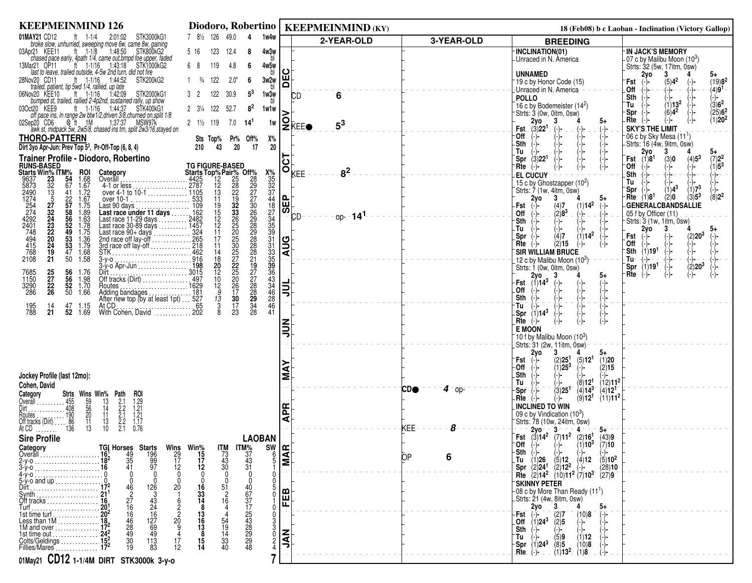| <b>KEEPMEINMIND 126</b>                                                                                                                                                                                                                                                                                                                                         | Diodoro, Robertino                                                                                                                                                                                      |               | <b>KEEPMEINMIND (KY)</b>          |                         |                                                                                                                                                                                     | 18 (Feb08) b c Laoban - Inclination (Victory Gallop)                                                            |
|-----------------------------------------------------------------------------------------------------------------------------------------------------------------------------------------------------------------------------------------------------------------------------------------------------------------------------------------------------------------|---------------------------------------------------------------------------------------------------------------------------------------------------------------------------------------------------------|---------------|-----------------------------------|-------------------------|-------------------------------------------------------------------------------------------------------------------------------------------------------------------------------------|-----------------------------------------------------------------------------------------------------------------|
| 01MAY21 CD12<br>$ft = 1-1/4$<br>2:01:02 STK3000kG1<br>broke slow, unhurried, sweeping move 6w, came 8w, gaining                                                                                                                                                                                                                                                 | 7 8 <sup>1</sup> / <sub>2</sub> 126<br>49.0<br>1w4w                                                                                                                                                     |               | 2-YEAR-OLD                        | 3-YEAR-OLD              | <b>BREEDING</b>                                                                                                                                                                     |                                                                                                                 |
| 03Apr21 KEE11<br>ft $1-1/8$<br>1:48:50<br>STK800kG2<br>chased pace early, 4path 1/4, came out, bmpd foe upper, faded                                                                                                                                                                                                                                            | 5 16<br>123<br>4w3w<br>12.4<br>8                                                                                                                                                                        |               |                                   |                         | INCLINATION(01)<br>Unraced in N. America                                                                                                                                            | <b>IN JACK'S MEMORY</b><br>-07 c by Malibu Moon (10 <sup>3</sup> )                                              |
| 13Mar21 OP11<br>ft 1-1/16 1:43:18 STK1000kG2                                                                                                                                                                                                                                                                                                                    | 119<br>4w5w<br>68<br>4.8<br>6                                                                                                                                                                           | ပ             |                                   |                         |                                                                                                                                                                                     | Strts: 32 (5w, 17itm, 0sw)                                                                                      |
| last to leave, trailed outside, 4-5w 2nd turn, did not fire<br>ft $1-1/16$ 1:44:52<br>28Nov20 CD11<br>STK200kG2                                                                                                                                                                                                                                                 | 122<br>$2.0*$<br>3w2w<br>$\frac{3}{4}$<br>-6                                                                                                                                                            | ш<br>$\Omega$ |                                   |                         | <b>UNNAMED</b><br>19 c by Honor Code (15)                                                                                                                                           | 3<br>2yo<br>5+<br>$(19)8^2$<br>$(5)4^2$<br>Fst                                                                  |
| trailed, patient, tip 5wd 1/4, railied, up late<br>1:42:09<br>06Nov20 KEE10<br>ft $1-1/16$<br>STK2000kG1                                                                                                                                                                                                                                                        | $5^3$<br>122<br>30.9<br>1w3w                                                                                                                                                                            |               | 6<br><b>CD</b>                    |                         | Unraced in N.-America                                                                                                                                                               | (-)-<br>-(-)-<br>(-)-<br>(-)-<br>(-)-<br>Off<br>$(4)9^1$<br>(-)-                                                |
| bumped st, trailed, rallied 2-4p2nd, sustained rally, up show<br>1:44:37<br>03Oct20 KEE9<br>ft 1-1/16<br>STK400kG1                                                                                                                                                                                                                                              | $8^2$<br>$2 \frac{3\frac{1}{4}}{4}$<br>122<br>52.7<br>1w1w                                                                                                                                              |               |                                   |                         | <b>POLLO</b><br>16 c by Bodemeister $(14^2)$                                                                                                                                        | Sth<br>(−)−<br>$(1)13^2$<br>$\langle 3 \rangle$ 6 <sup>2</sup><br>Tu                                            |
| off pace ins, in range 2w btw1/2, driven 3/8, churned on, split 1/8                                                                                                                                                                                                                                                                                             |                                                                                                                                                                                                         |               |                                   |                         | Strts: 3 (0w, 0itm, 0sw)<br>3<br>5+                                                                                                                                                 | $(25)6^2$<br>(1)20 <sup>2</sup><br>$(6)4^2$<br>Spr<br>.Rte<br>(-)−<br>(-)-                                      |
| $\otimes$ ft 1M<br>02Sep20 CD6<br>1:37:37 MSW97k<br>awk st, midpack 5w, 2w5/8, chased ins trn, split 2w3/16, stayed on                                                                                                                                                                                                                                          | $2 \frac{1}{2}$ 119<br>7.0<br>14'<br>1w                                                                                                                                                                 |               | $2$ <b>KEE</b><br>$5^3$           |                         | $2y0$<br>(3)22 <sup>1</sup><br>Fst<br>$(-)$<br>(-)−<br>$(-)$                                                                                                                        | <b>SKY'S THE LIMIT</b>                                                                                          |
| <b>THORO-PATTERN</b>                                                                                                                                                                                                                                                                                                                                            | Off%<br>Х%<br>Pr%<br>Sts Top%                                                                                                                                                                           |               |                                   |                         | -Off<br>(-)-<br>-Sth<br>$(-)$<br>(-)-                                                                                                                                               | -06 c by Sky Mesa (11 <sup>1</sup> )<br>Strts: 16 (4w, 9itm, 0sw)                                               |
| Dirt 3yo Apr-Jun: Prev Top 5 <sup>3</sup> , Pr-Off-Top (6, 8, 4)<br>Trainer Profile - Diodoro, Robertino                                                                                                                                                                                                                                                        | 20<br>210<br>43<br>20<br>17                                                                                                                                                                             |               |                                   |                         | Tu<br>(-)-                                                                                                                                                                          | $2y0$<br>(1)8 <sup>1</sup><br>3<br>5+                                                                           |
|                                                                                                                                                                                                                                                                                                                                                                 | <b>TG FIGURE-BASED</b>                                                                                                                                                                                  |               | $\overline{\text{G}}_{\text{KE}}$ |                         | (3)22 <sup>1</sup><br>Spr<br>$(-)$<br>Rte<br>$(-)$<br>(−)−<br>$(-)$ -                                                                                                               | $(4)5^3$<br>$(7)2^2$<br>Fst<br>(3)0<br>$(1)5^3$<br>0ff<br>$\begin{pmatrix} - \\ - \end{pmatrix}$ .              |
| <b>RUNS-BASED<br/>Starts Win% ITM%</b><br>9637 23 54<br>5873 32 67<br>ROI<br>$1.68$<br>$1.67$                                                                                                                                                                                                                                                                   | <b>TG FIGURE-BASED</b><br>Starts Top <sup>%</sup> Pair%<br>2787 12<br>2787 12<br>2787 12<br>2787 12<br>2787 12<br>28<br>28<br>28<br>28<br>28<br>28<br>28<br>28<br>28<br>28<br>28<br>28<br>28<br>462<br> |               | 8 <sup>2</sup>                    |                         | <b>EL CUCUY</b><br>15 c by Ghostzapper (10 <sup>2</sup> )                                                                                                                           | (-)-<br>(-)-<br>Sth<br>(-) -<br>Tu                                                                              |
| $\frac{13}{5}$<br>1.72<br>over 4-1 to 10-1  1105<br>41                                                                                                                                                                                                                                                                                                          |                                                                                                                                                                                                         |               |                                   |                         | Strts: 7 (1w, 4itm, 0sw)                                                                                                                                                            | (1)7 <sup>3</sup><br>$(1)4^3$<br>Spr                                                                            |
| 9637<br>5873<br>2490<br>1274<br>2742<br>2401<br>4494<br>445<br>768<br>2108<br>$\frac{22}{57}$<br>1.67<br>over 4-1 to 10-1<br>over 4-1 to 10-1<br>cover 10-1<br>Last 90 days<br>Last race under 11 days<br>Last race 11-29 days<br>Last race 11-29 days<br>Last race 90-4 days<br>Last race 90-4 days<br>Last race 90-4 days<br>242<br>Last race 90-4 days<br>27 |                                                                                                                                                                                                         | 메             |                                   |                         | 2y <sub>o</sub><br>3<br>5+<br>(1)14 <sup>2</sup><br>Fst<br>(4)7<br>$(-)$<br>(−)−                                                                                                    | $(8)2^2$<br>$\langle 3 \rangle$ 5 <sup>3</sup><br>(1)8 <sup>1</sup><br>Rte<br>(2)0<br><b>GENERALCBANDSALLIE</b> |
| 27<br>32<br>23<br>23<br>22<br>20<br>$1.75$<br>$1.89$<br>$1.63$<br>$1.78$<br>$1.75$<br>$\frac{58}{56}$<br>52                                                                                                                                                                                                                                                     |                                                                                                                                                                                                         | க             | $op-141$<br><b>CD</b>             |                         | $(2)8^3$<br>Off<br>$(-)$<br>(−)−<br>$(-)$                                                                                                                                           | 05 f by Officer (11)                                                                                            |
| 49                                                                                                                                                                                                                                                                                                                                                              |                                                                                                                                                                                                         |               |                                   |                         | Sth<br>$(-)$ -<br>(-)-<br>(-)-<br>.Tu                                                                                                                                               | Strts: 3 (1w, 1itm, 0sw)<br>$2y$ o<br>3<br>5+                                                                   |
| 53<br>1.36                                                                                                                                                                                                                                                                                                                                                      |                                                                                                                                                                                                         |               |                                   |                         | $(1)14^2$<br>(4)7<br>Spr (-)-<br>(2)15<br>Rte<br>$(-)$ -<br>(-)-                                                                                                                    | (2)20 <sup>3</sup><br>Fst<br>$(-)$<br>Off $(-)$                                                                 |
| 24<br>53<br>$\begin{array}{c} 1.79 \\ 1.68 \\ 1.58 \end{array}$<br>47<br>19                                                                                                                                                                                                                                                                                     |                                                                                                                                                                                                         | <b>AUG</b>    |                                   |                         | <b>SIR WILLIAM BRUCE</b>                                                                                                                                                            | $\begin{pmatrix} - \\ - \end{pmatrix}$ -<br>(-) -<br>(-) -<br>$\mathsf{Sth}$ (1)19 <sup>1</sup>                 |
| 21<br>50                                                                                                                                                                                                                                                                                                                                                        |                                                                                                                                                                                                         |               |                                   |                         | $\,$ 12 c bv Malibu Moon (10 $^3\mathrm{)}$<br>Strts: 1 (0w, 0itm, 0sw)                                                                                                             | (-)−<br>Tu-<br>-(-)- −<br>Spr $(1)191$<br>(-)-<br>(2)20 <sup>3</sup>                                            |
| $\frac{25}{27}$<br>$\begin{array}{c} 56 \\ 56 \end{array}$<br>7685<br>1150<br>1.76<br>1.98                                                                                                                                                                                                                                                                      |                                                                                                                                                                                                         |               |                                   |                         | $2y_0$<br>-3<br>5+                                                                                                                                                                  | Rte<br>$(-)$                                                                                                    |
| $\frac{52}{50}$<br>1.70<br>3290<br>286<br>$\frac{22}{26}$<br>1.66                                                                                                                                                                                                                                                                                               |                                                                                                                                                                                                         | 흷             |                                   |                         | $(1)14^3$<br>Fst<br>$(-)$<br>$(-)$<br>$(-)$<br>.Off                                                                                                                                 |                                                                                                                 |
| Adding bandages  181<br>After new top (by at least 1pt)  527<br>47<br>1.15<br>14                                                                                                                                                                                                                                                                                |                                                                                                                                                                                                         |               |                                   |                         | Sth<br>(-)-<br>(-)-<br>$\frac{(-)}{(-)}$<br>(−)−<br>Tu                                                                                                                              |                                                                                                                 |
| 195<br>788<br>52<br>21<br>1.69                                                                                                                                                                                                                                                                                                                                  | $\overline{28}$<br>8<br>41                                                                                                                                                                              |               |                                   |                         | -Spr $(1)14^3$                                                                                                                                                                      |                                                                                                                 |
|                                                                                                                                                                                                                                                                                                                                                                 |                                                                                                                                                                                                         | $\leq$        |                                   |                         | Rte<br>$(-)$ -<br>(-)-<br>(-)-<br>$(-)$ -<br><b>E MOON</b>                                                                                                                          |                                                                                                                 |
|                                                                                                                                                                                                                                                                                                                                                                 |                                                                                                                                                                                                         |               |                                   |                         | $10$ f by Malibu Moon (10 $3$ )                                                                                                                                                     |                                                                                                                 |
|                                                                                                                                                                                                                                                                                                                                                                 |                                                                                                                                                                                                         |               |                                   |                         | Strts: 31 (2w, 11itm, 0sw)<br>2y0<br>3<br>5+                                                                                                                                        |                                                                                                                 |
|                                                                                                                                                                                                                                                                                                                                                                 |                                                                                                                                                                                                         |               |                                   |                         | (5)12 <sup>1</sup><br>(2)25 <sup>1</sup><br>(1)20<br>Fst<br>$(-)$<br>$\left(-\right)$<br>$(1)25^{3}$<br>- Off<br>(2)15<br>(-)-                                                      |                                                                                                                 |
| Jockey Profile (last 12mo):                                                                                                                                                                                                                                                                                                                                     |                                                                                                                                                                                                         | ⋖<br>Σ        |                                   |                         | <b>Sth</b><br>$(-)$                                                                                                                                                                 |                                                                                                                 |
| Cohen, David                                                                                                                                                                                                                                                                                                                                                    |                                                                                                                                                                                                         |               |                                   | <b>CDO</b><br>$4 -$ op- | $(12)11^{2}$<br>Tu<br>(8)12 <sup>1</sup><br>$Spr$ $\rightarrow$<br>(3)25 <sup>1</sup><br>$(4)14^{3}$<br>$(4)12$ <sup>1</sup>                                                        |                                                                                                                 |
| Strts Wins Win% Path<br>Category<br><b>ROI</b><br>Overall .                                                                                                                                                                                                                                                                                                     |                                                                                                                                                                                                         |               |                                   |                         | (9)12 <sup>1</sup><br>$(11)$ <b>11<sup>2</sup></b><br>.Rte<br>(-)-<br>$(-)$ -                                                                                                       |                                                                                                                 |
| 59<br>56<br>20<br>11<br>455<br>408<br>13<br>14<br>11<br>Routes                                                                                                                                                                                                                                                                                                  |                                                                                                                                                                                                         | ᅂ             |                                   |                         | <b>INCLINED TO WIN</b><br>09 c by Vindication (10 <sup>3</sup> )                                                                                                                    |                                                                                                                 |
| $1.29$<br>$1.21$<br>$1.21$<br>$1.17$<br>0.76<br>$2.1$<br>$2.2$<br>$2.1$<br>$2.2$<br>$2.1$<br>$\frac{190}{86}$<br>136<br>13<br>Off tracks (Dirt)<br>13<br>10<br>At CD -                                                                                                                                                                                          |                                                                                                                                                                                                         | ⋖             |                                   | 8<br>KEE.               | Strts: 78 (10w, 24itm, 0sw)                                                                                                                                                         |                                                                                                                 |
| .<br><b>Sire Profile</b>                                                                                                                                                                                                                                                                                                                                        | <b>LAOBAN</b>                                                                                                                                                                                           |               |                                   |                         | 2yo - - 3 -<br>$4 -$<br>5∓<br>Fst $(3)14^2$ $(7)11^2$ $(2)16^1$<br>(43)9                                                                                                            |                                                                                                                 |
| <b>Category</b><br>Overall                                                                                                                                                                                                                                                                                                                                      |                                                                                                                                                                                                         |               |                                   |                         | $(1)10^{3}$<br>$\overline{O}$ ff (-)-<br>$(-)$<br>(7)10<br>-Sth<br>(-)-<br>$(-)$<br>(-)-                                                                                            |                                                                                                                 |
| TGI Horses<br>16 <sup>1</sup> 49<br>18 <sup>2</sup> 35<br>16 41<br><b>Starts</b><br>196<br>99<br>97                                                                                                                                                                                                                                                             | Wins Win <sup>%</sup><br>29 15<br>17 17<br>12 12<br>$17M$<br>$73$<br>$43$<br>$30$<br><b>ITM%</b><br>$37$<br>$43$<br>$31$                                                                                | <b>ANNEL</b>  |                                   | ЮP<br>6                 | $(5)10^2$                                                                                                                                                                           |                                                                                                                 |
|                                                                                                                                                                                                                                                                                                                                                                 |                                                                                                                                                                                                         |               |                                   |                         | -Tu (1)26 (5)12 (4)12 (5)10 <sup>2</sup><br>Spr (2)24 <sup>1</sup> (2)12 <sup>2</sup> (-)- (28)10<br>Trie (2)14 <sup>2</sup> (10)11 <sup>2</sup> (7)10 <sup>3</sup> (27)9<br>(28)10 |                                                                                                                 |
| <u>5-y-</u> o and up<br>126<br>20<br>Dirt                                                                                                                                                                                                                                                                                                                       | 16                                                                                                                                                                                                      |               |                                   |                         | <b>SKINNY PETER</b>                                                                                                                                                                 |                                                                                                                 |
| Off tracks                                                                                                                                                                                                                                                                                                                                                      | 33<br>14<br>16                                                                                                                                                                                          | 핕             |                                   |                         | -08 c by More Than Ready (11 <sup>1</sup> )<br>. Strts: 21 (4w, 8itm, 0sw)                                                                                                          |                                                                                                                 |
|                                                                                                                                                                                                                                                                                                                                                                 |                                                                                                                                                                                                         |               |                                   |                         | 2y0<br>3                                                                                                                                                                            |                                                                                                                 |
| 46<br>27<br>16<br>16<br>46<br>28<br>49<br>$343$<br>$24$<br>$167$<br>$127$<br>$69$<br>$49$<br>1st time turf<br>20                                                                                                                                                                                                                                                | 67775348899848<br>$\frac{13}{16}$                                                                                                                                                                       |               |                                   |                         | (2)7<br>Fst<br>(10)8<br>Off $(1)$ 24 <sup>3</sup><br>(2)5                                                                                                                           |                                                                                                                 |
|                                                                                                                                                                                                                                                                                                                                                                 | 19<br>14                                                                                                                                                                                                |               |                                   |                         | Sth<br>Tu<br>(5)9<br>(1)12                                                                                                                                                          |                                                                                                                 |
| 1st time out<br>Colts/Geldings<br>Fillies/Mares<br>$\frac{30}{19}$<br>$^{113}_{83}$<br>17<br>12                                                                                                                                                                                                                                                                 | 33<br>40<br>15<br>14                                                                                                                                                                                    | <b>NAL</b>    |                                   |                         | -Spr $(1)$ 24 <sup>3</sup><br>(10)8<br>(8)5                                                                                                                                         |                                                                                                                 |
| 01May21 CD12 1-1/4M DIRT STK3000k 3-y-0                                                                                                                                                                                                                                                                                                                         |                                                                                                                                                                                                         |               |                                   |                         | -Rte $(-)$ - $(1)13^2$<br>(1)8                                                                                                                                                      |                                                                                                                 |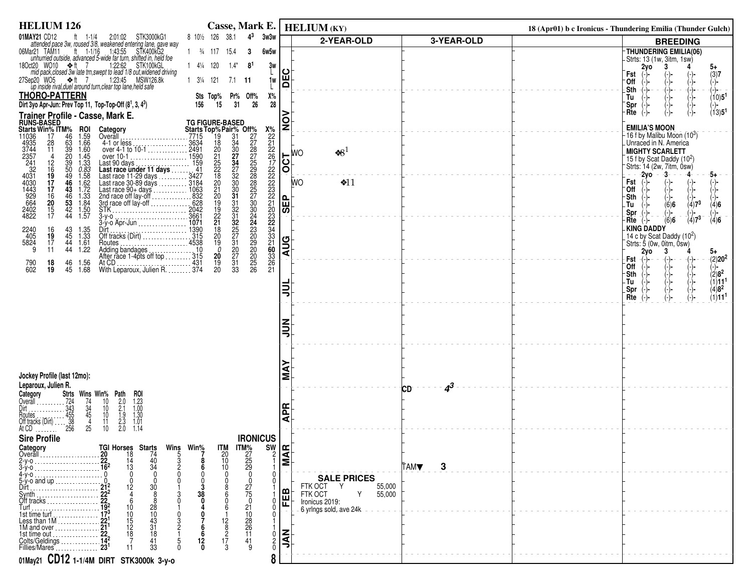| <b>HELIUM 126</b>                                                                                                                                                                                                                                                                                                                                                                                                                                                        |                       |                                                                                                                                                                                                                                                       |                            | Casse, Mark E.   HELIUM (KY)              |                  | 18 (Apr01) b c Ironicus - Thundering Emilia (Thunder Gulch) |                                                                      |
|--------------------------------------------------------------------------------------------------------------------------------------------------------------------------------------------------------------------------------------------------------------------------------------------------------------------------------------------------------------------------------------------------------------------------------------------------------------------------|-----------------------|-------------------------------------------------------------------------------------------------------------------------------------------------------------------------------------------------------------------------------------------------------|----------------------------|-------------------------------------------|------------------|-------------------------------------------------------------|----------------------------------------------------------------------|
| 01MAY21 CD12<br>2:01:02 STK3000kG1<br>AY21 CD12 ft 1-1/4 2:01:02 STK3000kG1<br>attended pace 3w, roused 3/8, weakened entering lane, gave way                                                                                                                                                                                                                                                                                                                            | 8 101/2 126 38.1      | $4^3$<br>3w3w                                                                                                                                                                                                                                         |                            | 2-YEAR-OLD                                | 3-YEAR-OLD       |                                                             | <b>BREEDING</b>                                                      |
| 06Mar21 TAM11<br>ft $1-1/16$ 1:43:55<br>STK400kG2<br>unhurried outside, advanced 5-wide far turn, shifted in, held foe                                                                                                                                                                                                                                                                                                                                                   | 1 $\frac{3}{4}$ 117   | 15.4<br>6w5w<br>3                                                                                                                                                                                                                                     |                            |                                           |                  |                                                             | THUNDERING EMILIA(06)                                                |
| 18Oct20 WO10 <★ ft 7<br>1:22:62 STK100kGL                                                                                                                                                                                                                                                                                                                                                                                                                                | 1 41/4 120            | $1.4*$<br>8 <sup>1</sup>                                                                                                                                                                                                                              | 3w<br>ပ                    |                                           |                  |                                                             | -Strts: 13 (1w, 3itm, 1sw)<br>3<br>2yo<br>5+                         |
| mid pack, closed 3w late trn, swept to lead 1/8 out, widened driving<br>27Sep20 WO5 ❖ft 7<br>1:23:45 MSW126.8k                                                                                                                                                                                                                                                                                                                                                           | 1 31/4 121            | $7.1$ 11                                                                                                                                                                                                                                              | Ě<br>1w                    |                                           |                  | Fst<br>⊺Off                                                 | $(3)7$<br>$(-)$ -                                                    |
| up inside rival, duel around turn, clear top lane, held safe<br><b>THORO-PATTERN</b>                                                                                                                                                                                                                                                                                                                                                                                     |                       |                                                                                                                                                                                                                                                       |                            |                                           |                  | _Sth                                                        |                                                                      |
| Dirt 3yo Apr-Jun: Prev Top 11, Top-Top-Off (81, 3, 43)                                                                                                                                                                                                                                                                                                                                                                                                                   | 156<br>15             | Х%<br>Sts Top% Pr% Off%<br>31<br>26                                                                                                                                                                                                                   | 28                         |                                           |                  | Tu<br>Spr                                                   | $\begin{pmatrix} -1 \\ -1 \\ -1 \end{pmatrix}$<br>(10)5 <sup>1</sup> |
|                                                                                                                                                                                                                                                                                                                                                                                                                                                                          |                       |                                                                                                                                                                                                                                                       |                            |                                           |                  | Rte                                                         | (13)5 <sup>1</sup>                                                   |
| Trainer Profile - Casse, Mark E.<br>RUNS-BASED<br>Starts Win% ITM% ROI Category<br>11036 17 46 1.59 Overall                                                                                                                                                                                                                                                                                                                                                              |                       |                                                                                                                                                                                                                                                       | $\frac{1}{2}$              |                                           |                  |                                                             | <b>EMILIA'S MOON</b>                                                 |
| <b>ROI</b><br>1.59<br>1.66<br>Overall [1, 2003] Overall [1, 2004] Dverall [1, 2004] Dverall [1, 2004] Dverall [1, 2004] Dverall [1, 200                                                                                                                                                                                                                                                                                                                                  |                       |                                                                                                                                                                                                                                                       |                            |                                           |                  |                                                             | 16 f by Malibu Moon (103)<br>Unraced in N. America                   |
| $\frac{28}{11}$<br>$1.60$<br>$1.45$<br>over 10-1                                                                                                                                                                                                                                                                                                                                                                                                                         |                       |                                                                                                                                                                                                                                                       |                            | $\cdot 8^1$<br><b>WO</b>                  |                  |                                                             | <b>MIGHTY SCARLETT</b>                                               |
| 1.33                                                                                                                                                                                                                                                                                                                                                                                                                                                                     |                       |                                                                                                                                                                                                                                                       | $\overline{OCI}$           |                                           |                  |                                                             | 15 f by Scat Daddy $(10^2)$<br>Strts: 14 (2w, 7itm, 0sw)             |
| 4935<br>3744<br>2357<br>241<br>321<br>4031<br>4030<br>664<br>2402<br>4822<br>$\frac{12}{16}$<br>$\frac{19}{17}$<br>$\frac{17}{16}$<br>1590<br>Next 10 days<br>Last race under 11 days<br>Last race under 11 days<br>159 days<br>Last race 30-89 days<br>Last race 90-99 days<br>Last race 90-99 days<br>Last race 90-4 days<br>Last race 90-4 days<br>2042<br>2042<br>2042<br>STK  2042<br>3-y-0<br>0.83<br>1.58<br>1.62<br>1.72<br>1.72<br>1.33<br>1.84<br>1.50<br>1.57 |                       |                                                                                                                                                                                                                                                       |                            | <b>WO</b>                                 |                  |                                                             | $-2y0 - 3$<br>-4<br>-5+                                              |
|                                                                                                                                                                                                                                                                                                                                                                                                                                                                          |                       |                                                                                                                                                                                                                                                       |                            | \$11                                      |                  | Fst<br>`Off                                                 | $(-)$<br>(-)                                                         |
|                                                                                                                                                                                                                                                                                                                                                                                                                                                                          |                       |                                                                                                                                                                                                                                                       | 읩                          |                                           |                  | -Sth<br>.Tu                                                 | (−)−<br>$(4)7^{3}$<br>(6)6<br>(4)6                                   |
| $\frac{20}{15}$                                                                                                                                                                                                                                                                                                                                                                                                                                                          |                       |                                                                                                                                                                                                                                                       | । $\overline{\bm v}$ ।     |                                           |                  | Spr                                                         | (-)-<br>$\binom{1}{4}$<br>$\sqrt(4)7^3$                              |
| 3-y-o Apr-Jun 1071                                                                                                                                                                                                                                                                                                                                                                                                                                                       |                       |                                                                                                                                                                                                                                                       |                            |                                           |                  |                                                             | (6)6<br>$Rte$ $(-)$<br>-KING DADDY                                   |
| Dirt 1390<br>Off tracks (Dirt) 1390<br>2240<br>405<br>5824<br>$\frac{16}{19}$<br>$43\n45\n44\n44\n$<br>1.35<br>1.33<br>1.61                                                                                                                                                                                                                                                                                                                                              |                       |                                                                                                                                                                                                                                                       |                            |                                           |                  |                                                             | 14 c by Scat Daddy $(10^2)$<br>Strts: 5 (0w, 0itm, 0sw)              |
| 9<br>11<br>1.22                                                                                                                                                                                                                                                                                                                                                                                                                                                          |                       |                                                                                                                                                                                                                                                       | <b>AUG</b>                 |                                           |                  |                                                             | 2yo<br>3<br>5+                                                       |
| At CD<br>With Leparoux, Julien R. 374<br>18<br>46<br>45<br>790<br>602<br>1.56<br>1.68<br>19                                                                                                                                                                                                                                                                                                                                                                              |                       | TG FIGURE-BASED<br>Starts Top%Pair% Off%<br>∴7715 19 31 227<br>∴2491 221 227<br>∴241 1590 221 227<br>∴241 159<br>241 222 234 228<br>1159 242 330 2257<br>∴3184 20 330 2257<br>∴3184 20 331 230<br>2042 19 32 244<br>∴2042 19 32 244<br>∴2042 19 32 24 |                            |                                           |                  | Fst<br><b>Off</b>                                           | $-(2)20^2$<br>(−)−                                                   |
|                                                                                                                                                                                                                                                                                                                                                                                                                                                                          |                       |                                                                                                                                                                                                                                                       |                            |                                           |                  | -Sth<br>۰Tu                                                 | $(2)8^2$<br>(1)11 <sup>1</sup>                                       |
|                                                                                                                                                                                                                                                                                                                                                                                                                                                                          |                       |                                                                                                                                                                                                                                                       | ⋚                          |                                           |                  | Spr                                                         | (-)-<br>(-)-<br>(-)-<br>(-)-<br>$(4)8^2$                             |
|                                                                                                                                                                                                                                                                                                                                                                                                                                                                          |                       |                                                                                                                                                                                                                                                       |                            |                                           |                  | Rte                                                         | (1)11 <sup>1</sup>                                                   |
|                                                                                                                                                                                                                                                                                                                                                                                                                                                                          |                       |                                                                                                                                                                                                                                                       |                            |                                           |                  |                                                             |                                                                      |
|                                                                                                                                                                                                                                                                                                                                                                                                                                                                          |                       |                                                                                                                                                                                                                                                       | ミミ                         |                                           |                  |                                                             |                                                                      |
|                                                                                                                                                                                                                                                                                                                                                                                                                                                                          |                       |                                                                                                                                                                                                                                                       |                            |                                           |                  |                                                             |                                                                      |
|                                                                                                                                                                                                                                                                                                                                                                                                                                                                          |                       |                                                                                                                                                                                                                                                       |                            |                                           |                  |                                                             |                                                                      |
|                                                                                                                                                                                                                                                                                                                                                                                                                                                                          |                       |                                                                                                                                                                                                                                                       |                            |                                           |                  |                                                             |                                                                      |
| Jockey Profile (last 12mo):<br>Leparoux, Julien R.                                                                                                                                                                                                                                                                                                                                                                                                                       |                       |                                                                                                                                                                                                                                                       | ΜÁ                         |                                           |                  |                                                             |                                                                      |
| Strts Wins Win% Path<br>roi                                                                                                                                                                                                                                                                                                                                                                                                                                              |                       |                                                                                                                                                                                                                                                       |                            |                                           | $4^3$<br>CD      |                                                             |                                                                      |
| 10<br>$10^{\circ}$                                                                                                                                                                                                                                                                                                                                                                                                                                                       |                       |                                                                                                                                                                                                                                                       | €ا                         |                                           |                  |                                                             |                                                                      |
| Category<br>Category<br>Cyerall<br>Dirt<br>Dirt<br>Routes<br>Routes<br>Comparent and the Soft tracks (Dirt)<br>256<br>At CD<br>256<br>$\frac{74}{34}$<br>45<br>45<br>$2.0$<br>$2.1$<br>$1.9$<br>$2.3$<br>$2.0$<br>$\begin{array}{c} 1.23 \\ 1.00 \\ 1.30 \\ 1.01 \end{array}$<br>10<br>Routes<br>Off tracks (Dirt)<br>11                                                                                                                                                 |                       |                                                                                                                                                                                                                                                       | ⋖                          |                                           |                  |                                                             |                                                                      |
| 25<br>10 <sup>°</sup><br>1.14                                                                                                                                                                                                                                                                                                                                                                                                                                            |                       |                                                                                                                                                                                                                                                       |                            |                                           |                  |                                                             |                                                                      |
| <b>Sire Profile</b><br>TGI Horses Starts<br>Category                                                                                                                                                                                                                                                                                                                                                                                                                     | Wins Win <sup>%</sup> | <b>IRONICUS</b><br><b>ITM</b>                                                                                                                                                                                                                         |                            |                                           |                  |                                                             |                                                                      |
| Overall<br>18<br>74<br>20<br>$2-y-0$<br>14                                                                                                                                                                                                                                                                                                                                                                                                                               |                       | <b>ITM%</b><br>27<br>25<br>29<br>$\frac{20}{10}$<br>10                                                                                                                                                                                                | $\frac{1}{2}$ 종<br>Σ       |                                           |                  |                                                             |                                                                      |
| $\frac{40}{34}$<br>13                                                                                                                                                                                                                                                                                                                                                                                                                                                    |                       | $\mathbf{0}$                                                                                                                                                                                                                                          |                            |                                           | 3<br><b>TAMV</b> |                                                             |                                                                      |
| 4-y-o<br>5-y-o and up.<br>12<br>30<br>Dirt.                                                                                                                                                                                                                                                                                                                                                                                                                              |                       |                                                                                                                                                                                                                                                       |                            | <b>SALE PRICES</b><br>FTK OCT Y<br>55,000 |                  |                                                             |                                                                      |
|                                                                                                                                                                                                                                                                                                                                                                                                                                                                          |                       | 27<br>75                                                                                                                                                                                                                                              | മ                          | FTK OCT<br>Y<br>55,000                    |                  |                                                             |                                                                      |
| 28<br>10                                                                                                                                                                                                                                                                                                                                                                                                                                                                 |                       | 0<br>21                                                                                                                                                                                                                                               | 匣                          | Ironicus 2019:<br>6 yrlngs sold, ave 24k  |                  |                                                             |                                                                      |
| $\frac{10}{43}$<br>31<br>10<br>$\begin{array}{c} 15 \\ 12 \end{array}$                                                                                                                                                                                                                                                                                                                                                                                                   |                       | $\frac{10}{28}$<br>$\begin{array}{c} 12 \\ 8 \end{array}$                                                                                                                                                                                             |                            |                                           |                  |                                                             |                                                                      |
| 1M and over $\ldots$ $\ldots$ $\ldots$<br>18<br>18<br>1st time out                                                                                                                                                                                                                                                                                                                                                                                                       |                       | 11                                                                                                                                                                                                                                                    | <b>INL</b><br>$\mathbf{0}$ |                                           |                  |                                                             |                                                                      |
| Colts/Geldings<br>41<br>33<br>Fillies/Mares                                                                                                                                                                                                                                                                                                                                                                                                                              |                       | 17<br>41<br>3                                                                                                                                                                                                                                         | $^{0}$                     |                                           |                  |                                                             |                                                                      |
| 01May21 CD12 1-1/4M DIRT STK3000k 3-y-0                                                                                                                                                                                                                                                                                                                                                                                                                                  |                       |                                                                                                                                                                                                                                                       | 8                          |                                           |                  |                                                             |                                                                      |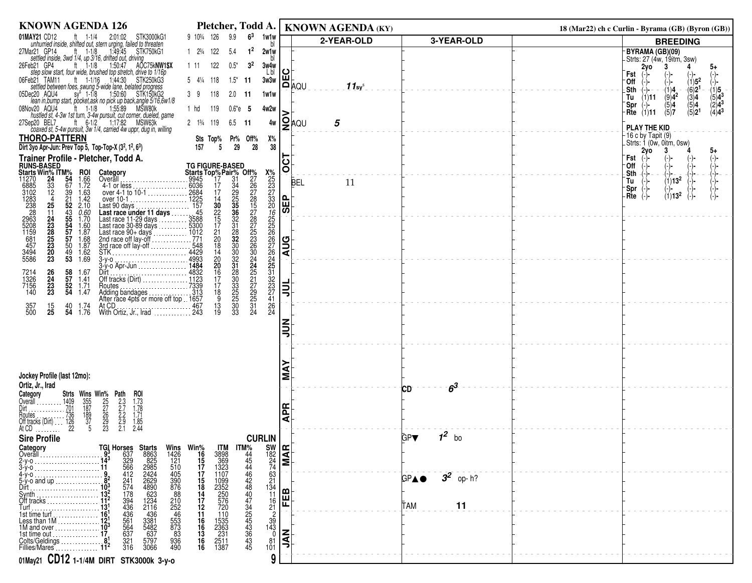| <b>KNOWN AGENDA 126</b>                                                                                                                                                                                                                                                                                                                                                                                                                                                                                                                                                     | Pletcher, Todd A.                                                                                                                                                                                                                                                                                                                                                                                                                                                               |                                                                            | <b>KNOWN AGENDA (KY)</b> |                       | 18 (Mar22) ch c Curlin - Byrama (GB) (Byron (GB))                                    |
|-----------------------------------------------------------------------------------------------------------------------------------------------------------------------------------------------------------------------------------------------------------------------------------------------------------------------------------------------------------------------------------------------------------------------------------------------------------------------------------------------------------------------------------------------------------------------------|---------------------------------------------------------------------------------------------------------------------------------------------------------------------------------------------------------------------------------------------------------------------------------------------------------------------------------------------------------------------------------------------------------------------------------------------------------------------------------|----------------------------------------------------------------------------|--------------------------|-----------------------|--------------------------------------------------------------------------------------|
| 01MAY21 CD12<br>ft $1-1/4$<br>2:01:02 STK3000kG1<br>unhurried inside, shifted out, stern urging, failed to threaten                                                                                                                                                                                                                                                                                                                                                                                                                                                         | 9 103/4 126<br>9.9<br>$6^3$<br>1w1w                                                                                                                                                                                                                                                                                                                                                                                                                                             |                                                                            | 2-YEAR-OLD               | 3-YEAR-OLD            | <b>BREEDING</b>                                                                      |
| 27Mar21 GP14<br>ft $1-1/8$<br>1:49:45 STK750kG1                                                                                                                                                                                                                                                                                                                                                                                                                                                                                                                             | $1 \t2^{3/4} \t122$<br>2w1w<br>-5.4                                                                                                                                                                                                                                                                                                                                                                                                                                             |                                                                            |                          |                       | BYRAMA (GB)(09)                                                                      |
| settled inside, 3wd 1/4, up 3/16, drifted out, driving<br>eb21 GP4 ft 1-1/8 1:50:47 AO<br>26Feb21 GP4<br>AŎC75kNW1\$X                                                                                                                                                                                                                                                                                                                                                                                                                                                       | 3 <sup>2</sup><br>122<br>$0.5*$<br>1 11<br>3w4w                                                                                                                                                                                                                                                                                                                                                                                                                                 |                                                                            |                          |                       | -Strts: 27 (4w, 19itm, 3sw)<br>2y0<br>5+<br>4                                        |
| step slow start, four wide, brushed top stretch, drive to 1/16p<br>ft 1-1/16 1:44:30 STK250kG3<br>06Feb21 TAM11                                                                                                                                                                                                                                                                                                                                                                                                                                                             | Lbl<br>$5 \t4\frac{1}{4} \t118$<br>$1.5^*$ 11<br>3w3w                                                                                                                                                                                                                                                                                                                                                                                                                           | ပ<br>LUL<br>DAQU                                                           |                          |                       | Fst<br>(−)−<br>$(1)5^2$<br>∙Off                                                      |
| settled between foes, swung 5-wide lane, belated progress<br>05Dec20 AQU4                                                                                                                                                                                                                                                                                                                                                                                                                                                                                                   | 39<br>118<br>1w1w<br>$2.0$ 11                                                                                                                                                                                                                                                                                                                                                                                                                                                   |                                                                            | $11$ sys                 |                       | $-(6)21$<br>.Sth<br>$(\overset{(1)}{0})$ 4 <sup>2</sup><br>(1)5<br>-(-)−             |
| ec20 AQU4 sy <sup>\$</sup> 1-1/8 1:50:60 STK150kG2<br>lean in,bump start, pocket,ask no pick up back,angle 5/16,6w1/8                                                                                                                                                                                                                                                                                                                                                                                                                                                       |                                                                                                                                                                                                                                                                                                                                                                                                                                                                                 |                                                                            |                          |                       | $(5)4^{3}$<br>$(1)$ 11<br>$\binom{3}{5}$ 4<br>Tu<br>$(2)4^3$<br>(5)4<br>Spr<br>$(-)$ |
| 08Nov20 AQU4<br>ov20 AQU4 ft 1-1/8 1:55:89 MSW80k<br>hustled st, 4-3w 1st turn, 3-4w pursuit, cut corner, dueled, game                                                                                                                                                                                                                                                                                                                                                                                                                                                      | 1 hd<br>119<br>$0.6^*e$ 5<br>4w2w                                                                                                                                                                                                                                                                                                                                                                                                                                               |                                                                            |                          |                       | $(4)4^{3}$<br>(5)2 <sup>1</sup><br>$Rte$ (1)11<br>(5)7                               |
| ep20 BEL7 ft 6-1/2 1:17:82 MSW63k<br>coaxed st, 5-4w pursuit, 3w 1/4, carried 4w uppr, dug in, willing<br>27Sep20 BEL7                                                                                                                                                                                                                                                                                                                                                                                                                                                      | 2 13/4 119<br>$6.5$ 11<br>4w                                                                                                                                                                                                                                                                                                                                                                                                                                                    | <b>2</b> ୁ⊧ଧ                                                               | 5                        |                       | PLAY THE KID                                                                         |
| <b>THORO-PATTERN</b>                                                                                                                                                                                                                                                                                                                                                                                                                                                                                                                                                        | Pr% Off%<br>Х%<br>Sts Top%                                                                                                                                                                                                                                                                                                                                                                                                                                                      |                                                                            |                          |                       | -16 c by Tapit (9)<br>Strts: 1 (0w, 0itm, 0sw)                                       |
| Dirt 3yo Apr-Jun: Prev Top 5, Top-Top-X $(3^2, 1^2, 6^3)$                                                                                                                                                                                                                                                                                                                                                                                                                                                                                                                   | 29<br>28<br>38<br>157<br>5                                                                                                                                                                                                                                                                                                                                                                                                                                                      |                                                                            |                          |                       | 2vo<br>5+                                                                            |
| Trainer Profile - Pletcher, Todd A.                                                                                                                                                                                                                                                                                                                                                                                                                                                                                                                                         |                                                                                                                                                                                                                                                                                                                                                                                                                                                                                 | <b>TOO</b>                                                                 |                          |                       | Fst<br>0ff                                                                           |
| <b>RUNS-BASED<br/>Starts Win% ITM%</b><br>11270 24 54<br>6885 33 67<br><b>ROI</b><br>1.66<br>1.72<br>Category<br>Overall                                                                                                                                                                                                                                                                                                                                                                                                                                                    |                                                                                                                                                                                                                                                                                                                                                                                                                                                                                 | <b>BEL</b>                                                                 | 11                       |                       | Sth<br>$(1)13^2$<br>Tu                                                               |
| 0945<br>Overall<br>4-1 or less<br>0368<br>over 4-1 to 10-1<br>compared 10 1<br>Last 90 days<br>157<br>Last 90 days<br>157<br>$\overline{12}$<br>1.63                                                                                                                                                                                                                                                                                                                                                                                                                        |                                                                                                                                                                                                                                                                                                                                                                                                                                                                                 |                                                                            |                          |                       | -Spr<br>$\left( -\right)$ -                                                          |
| 1.42<br>25<br>2.10<br>Last 90 days                                                                                                                                                                                                                                                                                                                                                                                                                                                                                                                                          |                                                                                                                                                                                                                                                                                                                                                                                                                                                                                 | ൨                                                                          |                          |                       | $(1)13^2$<br>Rte                                                                     |
| 11<br>$\frac{0.60}{1.70}$                                                                                                                                                                                                                                                                                                                                                                                                                                                                                                                                                   |                                                                                                                                                                                                                                                                                                                                                                                                                                                                                 | 핑                                                                          |                          |                       |                                                                                      |
| 6885<br>3102<br>1283<br>238<br>238<br>2963<br>5208<br>5208<br>1159<br>457<br>39<br>21<br>52<br>53<br>55<br>57<br>57<br>Last race under 11 days<br>Last race 11-29 days<br>Last race 11-29 days<br>Last race 90-89 days<br>Last race 90-4 days<br>Last race 90-4 days<br>2nd race off lay-off<br>2711<br>2712<br>2712<br>2712<br>2712<br>2712<br>2712<br>2712<br>2712<br>2712<br>2712<br>2<br>24<br>23<br>23<br>23<br>20<br>23<br>1.60                                                                                                                                       |                                                                                                                                                                                                                                                                                                                                                                                                                                                                                 |                                                                            |                          |                       |                                                                                      |
| $\frac{1.87}{1.68}$                                                                                                                                                                                                                                                                                                                                                                                                                                                                                                                                                         |                                                                                                                                                                                                                                                                                                                                                                                                                                                                                 |                                                                            |                          |                       |                                                                                      |
| 50<br>1.87<br>3494<br>5586<br>$^{49}_{53}$<br>1.62<br>1.69                                                                                                                                                                                                                                                                                                                                                                                                                                                                                                                  |                                                                                                                                                                                                                                                                                                                                                                                                                                                                                 | <b>AUG</b>                                                                 |                          |                       |                                                                                      |
|                                                                                                                                                                                                                                                                                                                                                                                                                                                                                                                                                                             |                                                                                                                                                                                                                                                                                                                                                                                                                                                                                 |                                                                            |                          |                       |                                                                                      |
| $\frac{26}{24}$<br>$\frac{23}{23}$<br>$\frac{58}{57}$<br>Dir1<br>7214<br>1326<br>7156<br>140<br>1.67<br>1.41                                                                                                                                                                                                                                                                                                                                                                                                                                                                |                                                                                                                                                                                                                                                                                                                                                                                                                                                                                 |                                                                            |                          |                       |                                                                                      |
| $\frac{52}{54}$<br>1.71<br>Routes<br>1.47                                                                                                                                                                                                                                                                                                                                                                                                                                                                                                                                   |                                                                                                                                                                                                                                                                                                                                                                                                                                                                                 | 흷                                                                          |                          |                       |                                                                                      |
| Adding bandages<br>After race 4pts or more off top 1657<br>1.74                                                                                                                                                                                                                                                                                                                                                                                                                                                                                                             | <b>TG FIGURE-BASED</b><br><b>Starts Top%Pair% Off%</b><br>59945 17 34 267<br>-- 2025 17 34 255 278<br>-- 2225 14 35 358 215 728<br>-- 2225 14 330 2278<br>-- 157 30 358 22<br>-- 157 30 358 2278<br>-- 157 31 32<br>-- 548 18 30 226<br>-- 548 18 30 226<br>--<br><b>X</b> %232733065222222222222333227116422<br>30<br>332333<br>335<br>335<br>33                                                                                                                               |                                                                            |                          |                       |                                                                                      |
| 357<br>500<br>$\frac{15}{25}$<br>40 1.74<br><b>54</b> 1.76                                                                                                                                                                                                                                                                                                                                                                                                                                                                                                                  | $\frac{13}{19}$<br>24                                                                                                                                                                                                                                                                                                                                                                                                                                                           |                                                                            |                          |                       |                                                                                      |
|                                                                                                                                                                                                                                                                                                                                                                                                                                                                                                                                                                             |                                                                                                                                                                                                                                                                                                                                                                                                                                                                                 | $\sum_{i=1}^{n}$                                                           |                          |                       |                                                                                      |
|                                                                                                                                                                                                                                                                                                                                                                                                                                                                                                                                                                             |                                                                                                                                                                                                                                                                                                                                                                                                                                                                                 |                                                                            |                          |                       |                                                                                      |
|                                                                                                                                                                                                                                                                                                                                                                                                                                                                                                                                                                             |                                                                                                                                                                                                                                                                                                                                                                                                                                                                                 |                                                                            |                          |                       |                                                                                      |
|                                                                                                                                                                                                                                                                                                                                                                                                                                                                                                                                                                             |                                                                                                                                                                                                                                                                                                                                                                                                                                                                                 |                                                                            |                          |                       |                                                                                      |
| Jockey Profile (last 12mo):                                                                                                                                                                                                                                                                                                                                                                                                                                                                                                                                                 |                                                                                                                                                                                                                                                                                                                                                                                                                                                                                 | Σ                                                                          |                          |                       |                                                                                      |
| Ortiz, Jr., Irad<br>Category<br>ROI                                                                                                                                                                                                                                                                                                                                                                                                                                                                                                                                         |                                                                                                                                                                                                                                                                                                                                                                                                                                                                                 |                                                                            |                          | $6^3$<br>СD           |                                                                                      |
| Overall $\ldots$                                                                                                                                                                                                                                                                                                                                                                                                                                                                                                                                                            |                                                                                                                                                                                                                                                                                                                                                                                                                                                                                 |                                                                            |                          |                       |                                                                                      |
| Houtes                                                                                                                                                                                                                                                                                                                                                                                                                                                                                                                                                                      |                                                                                                                                                                                                                                                                                                                                                                                                                                                                                 | 운<br>ৱ                                                                     |                          |                       |                                                                                      |
| At CD                                                                                                                                                                                                                                                                                                                                                                                                                                                                                                                                                                       |                                                                                                                                                                                                                                                                                                                                                                                                                                                                                 |                                                                            |                          |                       |                                                                                      |
|                                                                                                                                                                                                                                                                                                                                                                                                                                                                                                                                                                             |                                                                                                                                                                                                                                                                                                                                                                                                                                                                                 |                                                                            |                          |                       |                                                                                      |
|                                                                                                                                                                                                                                                                                                                                                                                                                                                                                                                                                                             |                                                                                                                                                                                                                                                                                                                                                                                                                                                                                 |                                                                            |                          |                       |                                                                                      |
|                                                                                                                                                                                                                                                                                                                                                                                                                                                                                                                                                                             |                                                                                                                                                                                                                                                                                                                                                                                                                                                                                 |                                                                            |                          |                       |                                                                                      |
| 5-y-o and up                                                                                                                                                                                                                                                                                                                                                                                                                                                                                                                                                                |                                                                                                                                                                                                                                                                                                                                                                                                                                                                                 |                                                                            |                          | $3^2$ op-h?<br>GPA●   |                                                                                      |
|                                                                                                                                                                                                                                                                                                                                                                                                                                                                                                                                                                             |                                                                                                                                                                                                                                                                                                                                                                                                                                                                                 |                                                                            |                          |                       |                                                                                      |
| Off tracks<br><b>Turfing the contract of the contract of the contract of the contract of the contract of the contract of the contract of the contract of the contract of the contract of the contract of the contract of the contract of the c</b>                                                                                                                                                                                                                                                                                                                          |                                                                                                                                                                                                                                                                                                                                                                                                                                                                                 |                                                                            |                          | TAM                   |                                                                                      |
| 16'<br>1st time turt                                                                                                                                                                                                                                                                                                                                                                                                                                                                                                                                                        | $\overline{2}$                                                                                                                                                                                                                                                                                                                                                                                                                                                                  |                                                                            |                          |                       |                                                                                      |
| 1M and over.                                                                                                                                                                                                                                                                                                                                                                                                                                                                                                                                                                |                                                                                                                                                                                                                                                                                                                                                                                                                                                                                 |                                                                            |                          |                       |                                                                                      |
| 5797                                                                                                                                                                                                                                                                                                                                                                                                                                                                                                                                                                        |                                                                                                                                                                                                                                                                                                                                                                                                                                                                                 |                                                                            |                          |                       |                                                                                      |
| 01May21 CD12 1-1/4M DIRT STK3000k 3-y-0                                                                                                                                                                                                                                                                                                                                                                                                                                                                                                                                     | 9                                                                                                                                                                                                                                                                                                                                                                                                                                                                               |                                                                            |                          |                       |                                                                                      |
| <b>Strts Wins Win% Path</b><br>1409 355 25 2.3<br>701 187 27 2.7<br>736 189 26 2.2<br>126 37 29 2.9<br>22 3 2.3 2.3<br>$1.73$<br>$1.78$<br>$1.71$<br>$1.85$<br>2.44<br>Off tracks (Dirt)<br><b>Sire Profile</b><br>Category<br>Overall<br>Starts<br>8863<br>825<br>2985<br>2424<br>248<br>623<br>4234<br>2116<br>2116<br>Dirt<br>178<br>394<br>436<br>436<br>564<br>56<br>56<br>37<br>210<br>252<br>853<br>853<br>833<br>83<br>$-436$<br>3381<br>5482<br>Less than 1M<br>637<br>1st time out.<br>Colts/Geldings<br>Fillies/Mares<br>$\frac{321}{316}$<br>936<br>490<br>3066 | <b>CURLIN</b><br>Wins Win <sup>%</sup><br>1426 16<br>121 15<br>510 17<br>590 87<br>68 210 252<br>252<br>252<br>46<br>253<br>46<br><b>ITM</b><br>3898<br>369<br>1323<br>1107<br>1026<br>$\begin{array}{c} 63 \\ 21 \\ 134 \\ 11 \\ \hline \end{array}$<br>1099<br>2352<br>250<br>576<br>576<br>720<br>$^{16}_{21}$<br>$\frac{110}{1535}$<br>$\frac{1535}{231}$<br>$\frac{231}{2511}$<br>$\frac{1387}{251}$<br>16<br>16<br>13<br>16<br>16<br>$\frac{35}{143}$<br>$\frac{81}{101}$ | $\begin{bmatrix} 5W \\ 182 \\ 24 \\ 74 \end{bmatrix}$<br>FEB<br><b>NAL</b> |                          | $1^2$ bo<br>GP▼<br>11 |                                                                                      |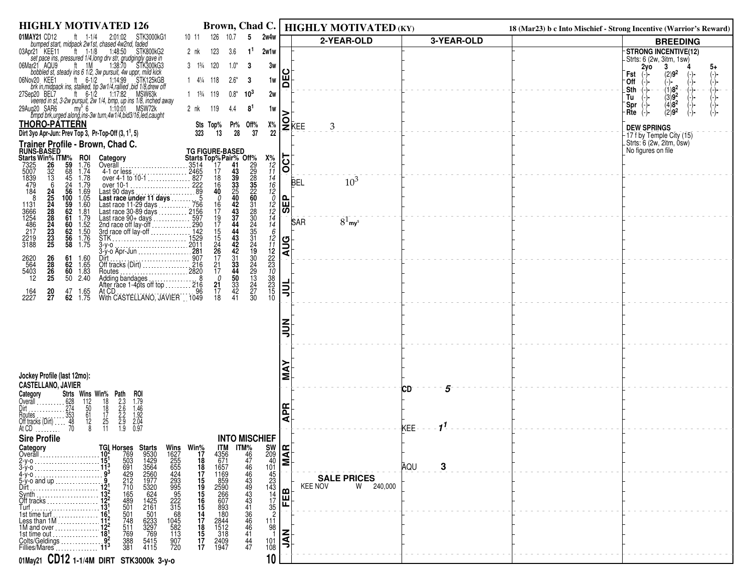| <b>HIGHLY MOTIVATED 126</b>                                                                                                                                                                                                                                                                                                                                                       | Brown, Chad C.                                                                                                                                                                                                            |                                                                    | <b>HIGHLY MOTIVATED (KY)</b>        |            | 18 (Mar23) b c Into Mischief - Strong Incentive (Warrior's Reward) |                                                                 |
|-----------------------------------------------------------------------------------------------------------------------------------------------------------------------------------------------------------------------------------------------------------------------------------------------------------------------------------------------------------------------------------|---------------------------------------------------------------------------------------------------------------------------------------------------------------------------------------------------------------------------|--------------------------------------------------------------------|-------------------------------------|------------|--------------------------------------------------------------------|-----------------------------------------------------------------|
| 01MAY21 CD12<br>STK3000kG1<br>ft $1-1/4$<br>2:01:02<br>bumped start, midpack 2w1st, chased 4w2nd, faded                                                                                                                                                                                                                                                                           | 126<br>10.7<br>2w4w<br>5<br>10 11                                                                                                                                                                                         |                                                                    | 2-YEAR-OLD                          | 3-YEAR-OLD |                                                                    | <b>BREEDING</b>                                                 |
| 03Apr21 KEE11<br>$^{\prime}$ ft 1-1/8<br>1:48:50 STK800kG2                                                                                                                                                                                                                                                                                                                        | 123<br>1 <sup>1</sup><br>2w1w<br>2 nk<br>3.6                                                                                                                                                                              |                                                                    |                                     |            |                                                                    | <b>STRONG INCENTIVE(12)</b>                                     |
| set pace ins, pressured 1/4 long dry str, grudgingly gave in<br>lar21 AQU9 tt 1M 1.38:70 STK300kG3<br>06Mar21 AQU9                                                                                                                                                                                                                                                                | 3 13/4 120<br>$1.0*$<br>-3                                                                                                                                                                                                | 3w                                                                 |                                     |            |                                                                    | -Strts: 6 (2w, 3itm, 1sw)<br>2y <sub>o</sub><br>3<br>5+         |
| 06Nov20 KEE1                                                                                                                                                                                                                                                                                                                                                                      | $1 \t4\frac{1}{4} \t118$<br>$2.6*$<br>-3                                                                                                                                                                                  | ပ<br>ш<br>1w                                                       |                                     |            |                                                                    | (2)9 <sup>2</sup><br>Fst<br>$\binom{-}{-}$<br>'Off<br>(-)-      |
| brk in, midpack ins, stalked, tip 3w1/4, rallied , bid 1/8, drew off<br>ft $6-1/2$ 1:17:82<br>27Sep20 BEL7<br>MSW63k                                                                                                                                                                                                                                                              | $1 \t1^{3/4} \t119$<br>$0.8^*$<br>$10^{3}$                                                                                                                                                                                | ō<br>2w                                                            |                                     |            |                                                                    | .Sth<br>-(-)−                                                   |
| veered in st, 3-2w pursuit, 2w 1/4, bmp, up ins 1/8, inched away<br>ug20 SAR6 my 6 1:10:01 MSW72k                                                                                                                                                                                                                                                                                 |                                                                                                                                                                                                                           |                                                                    |                                     |            |                                                                    | $(1)8^2$<br>(3)9 <sup>2</sup><br>(4)8 <sup>2</sup><br>Tu<br>Spr |
| 29Aug20 SAR6<br>bmpd brk, urged along, ins-3w turn, 4w1/4, bid3/16, led, caught                                                                                                                                                                                                                                                                                                   | 8 <sup>1</sup><br>2 nk<br>119<br>4.4                                                                                                                                                                                      | 1w                                                                 |                                     |            |                                                                    | $(2)9^2$<br>Rte<br>(-)-                                         |
| <b>THORO-PATTERN</b>                                                                                                                                                                                                                                                                                                                                                              | Pr% Off%<br>Sts Top%                                                                                                                                                                                                      | Х%                                                                 | $2^{\text{K}}$ EE<br>$\mathfrak{Z}$ |            |                                                                    | <b>DEW SPRINGS</b>                                              |
| Dirt 3yo Apr-Jun: Prev Top 3, Pr-Top-Off (3, 1 <sup>1</sup> , 5)                                                                                                                                                                                                                                                                                                                  | 37<br>28<br>323<br>13                                                                                                                                                                                                     | 22                                                                 |                                     |            |                                                                    | -17 f by Temple City (15)                                       |
| Trainer Profile - Brown, Chad C.<br><b>RUNS-BASED</b>                                                                                                                                                                                                                                                                                                                             |                                                                                                                                                                                                                           |                                                                    |                                     |            |                                                                    | - Strts: 6 (2w, 2itm, 0sw)<br>No figures on file                |
| <b>Starts Win% ITM%</b><br>7325 26 59<br>5007 32 68<br><b>ROI</b><br>Category<br>1.76                                                                                                                                                                                                                                                                                             | <b>TG FIGURE-BASED<br/> Starts Top%Pair% Off%</b><br>2465 17 43 29<br>2465 17 43 29<br>2465 17 43 22<br>222 16 333 355<br>40 25 222<br>85 0 40 42<br>756 16 44 231<br>756 11 44 24<br>756 11 44 24<br>1529 19 44 24<br>15 | $ \overline{\text{C}} $<br>$X_{12}^{\%}$<br>$12$<br>$11$           |                                     |            |                                                                    |                                                                 |
| 7325<br>5007<br>1839<br>479<br>184<br>1.74<br>$\overline{13}$<br>1.78                                                                                                                                                                                                                                                                                                             |                                                                                                                                                                                                                           |                                                                    |                                     |            |                                                                    |                                                                 |
| $\frac{45}{24}$<br>56<br>1.79<br>6                                                                                                                                                                                                                                                                                                                                                |                                                                                                                                                                                                                           |                                                                    | $10^{3}$<br><b>BEL</b>              |            |                                                                    |                                                                 |
| 1.69<br>24<br>1.05<br>-8                                                                                                                                                                                                                                                                                                                                                          |                                                                                                                                                                                                                           |                                                                    |                                     |            |                                                                    |                                                                 |
| $\begin{array}{r} 100 \\ 59 \\ 62 \end{array}$<br>1.60<br>1.81                                                                                                                                                                                                                                                                                                                    |                                                                                                                                                                                                                           | $\frac{1}{25}$                                                     |                                     |            |                                                                    |                                                                 |
| 1131<br>3666<br>1254<br>486<br>217<br>$\frac{61}{60}$                                                                                                                                                                                                                                                                                                                             |                                                                                                                                                                                                                           | 14<br>16<br>12<br>12<br>14<br>14                                   | $81$ my <sup>s</sup><br>SAR         |            |                                                                    |                                                                 |
| 25<br>24<br>28<br>23<br>23<br>23<br>25<br>$\begin{array}{c} 1.79 \\ 1.52 \\ 1.50 \\ 1.76 \\ 1.75 \end{array}$<br>62                                                                                                                                                                                                                                                               |                                                                                                                                                                                                                           | 6                                                                  |                                     |            |                                                                    |                                                                 |
| $\frac{56}{58}$<br>2219<br>3188                                                                                                                                                                                                                                                                                                                                                   |                                                                                                                                                                                                                           | $^{12}_{11}$<br><b>AUG</b>                                         |                                     |            |                                                                    |                                                                 |
| $\frac{26}{28}$                                                                                                                                                                                                                                                                                                                                                                   | 15<br>15<br>24<br>26<br>17<br>17                                                                                                                                                                                          | 12<br>22<br>23<br>10<br>38<br>23<br>5                              |                                     |            |                                                                    |                                                                 |
| <u>But<br/>Off tracks (Dirt)</u><br>Poutes<br>Routes<br>2620<br>564<br>5403<br>12<br>$61$ 1.60<br>$62$ 1.65<br>$60$ 1.83<br>$\frac{26}{25}$                                                                                                                                                                                                                                       | $\frac{31}{33}$<br>44<br>$\frac{30}{24}$<br>29                                                                                                                                                                            |                                                                    |                                     |            |                                                                    |                                                                 |
| 50 2.40                                                                                                                                                                                                                                                                                                                                                                           | $\frac{13}{24}$<br>24<br>0<br>21                                                                                                                                                                                          |                                                                    |                                     |            |                                                                    |                                                                 |
| $\frac{20}{27}$<br>At CD<br>$47$ 1.65<br>62 1.75<br>164<br>With CASTELLANO, JAVIER 1049<br>2227                                                                                                                                                                                                                                                                                   | $\frac{50}{33}$<br>$\frac{42}{41}$<br>$\overline{17}$<br>96<br>18<br>30                                                                                                                                                   | 흷<br>10                                                            |                                     |            |                                                                    |                                                                 |
|                                                                                                                                                                                                                                                                                                                                                                                   |                                                                                                                                                                                                                           |                                                                    |                                     |            |                                                                    |                                                                 |
|                                                                                                                                                                                                                                                                                                                                                                                   |                                                                                                                                                                                                                           |                                                                    |                                     |            |                                                                    |                                                                 |
|                                                                                                                                                                                                                                                                                                                                                                                   |                                                                                                                                                                                                                           | ミミ                                                                 |                                     |            |                                                                    |                                                                 |
|                                                                                                                                                                                                                                                                                                                                                                                   |                                                                                                                                                                                                                           |                                                                    |                                     |            |                                                                    |                                                                 |
|                                                                                                                                                                                                                                                                                                                                                                                   |                                                                                                                                                                                                                           |                                                                    |                                     |            |                                                                    |                                                                 |
| Jockey Profile (last 12mo):                                                                                                                                                                                                                                                                                                                                                       |                                                                                                                                                                                                                           | Σ                                                                  |                                     |            |                                                                    |                                                                 |
| <b>CASTELLANO, JAVIER</b>                                                                                                                                                                                                                                                                                                                                                         |                                                                                                                                                                                                                           |                                                                    |                                     | 5          |                                                                    |                                                                 |
| Strts Wins Win% Path<br>Category<br>Overall<br>roi                                                                                                                                                                                                                                                                                                                                |                                                                                                                                                                                                                           |                                                                    |                                     | СD         |                                                                    |                                                                 |
| $\frac{628}{274}$                                                                                                                                                                                                                                                                                                                                                                 |                                                                                                                                                                                                                           | <b>APR</b>                                                         |                                     |            |                                                                    |                                                                 |
| $\frac{112}{50}$<br>$\frac{61}{12}$<br>$\frac{8}{5}$<br>2.3<br>2.6<br>2.6<br>2.9<br>1.9<br>$1.79$<br>$1.46$<br>$1.92$<br>$2.04$<br>$0.97$<br>$\frac{18}{18}$<br>$\frac{17}{25}$<br>11<br>$\begin{array}{r} \bar{3}\bar{5}\bar{3} \\ 48 \\ 70 \end{array}$<br>loutes<br>Off tracks (Dirt)                                                                                          |                                                                                                                                                                                                                           |                                                                    |                                     |            |                                                                    |                                                                 |
| At CD $\ldots$                                                                                                                                                                                                                                                                                                                                                                    |                                                                                                                                                                                                                           |                                                                    |                                     | KEE-       |                                                                    |                                                                 |
| <b>Sire Profile</b><br>Category                                                                                                                                                                                                                                                                                                                                                   | <b>INTO MISCHIEF</b>                                                                                                                                                                                                      |                                                                    |                                     |            |                                                                    |                                                                 |
| Overall                                                                                                                                                                                                                                                                                                                                                                           |                                                                                                                                                                                                                           |                                                                    |                                     |            |                                                                    |                                                                 |
|                                                                                                                                                                                                                                                                                                                                                                                   |                                                                                                                                                                                                                           | $\begin{array}{c} 500 \\ 209 \\ 40 \\ 101 \\ 45 \\ 45 \end{array}$ |                                     | AQU<br>3   |                                                                    |                                                                 |
| $5-y$ -o and $up$                                                                                                                                                                                                                                                                                                                                                                 |                                                                                                                                                                                                                           |                                                                    | <b>SALE PRICES</b>                  |            |                                                                    |                                                                 |
| Dirt                                                                                                                                                                                                                                                                                                                                                                              |                                                                                                                                                                                                                           | FEB                                                                | W 240,000<br><b>KEE NOV</b>         |            |                                                                    |                                                                 |
| <b>TGI Horses Starts<br/> 10<sup>2</sup> 769 9530<br/> 151<sup>3</sup> 503 1429<br/> 193 429 2560<br/> 193 429 2560<br/> 192 1165 624<br/> 1722 165 624<br/> 173 489 1425<br/> 174 489 1425<br/> 174 489 1425<br/> 174 489 1261<br/> 174 501<br/> 174 501<br/> 174 6523<br/> 174 501<br/> 172 489 1261<br/> 174 50</b><br>1425<br>161<br>501<br>6233<br>3297<br>769<br>Off tracks | TM<br>4356<br>1657<br>1657<br>1659<br>25906<br>2607<br>393<br>180                                                                                                                                                         | $\frac{23}{143}$<br>$\frac{143}{17}$<br>$\frac{35}{2}$             |                                     |            |                                                                    |                                                                 |
|                                                                                                                                                                                                                                                                                                                                                                                   |                                                                                                                                                                                                                           |                                                                    |                                     |            |                                                                    |                                                                 |
| 1045<br>582<br>113<br>511<br>1M and over<br>769<br>1st time out                                                                                                                                                                                                                                                                                                                   | 2844<br>1512<br>318                                                                                                                                                                                                       | $\frac{111}{98}$                                                   |                                     |            |                                                                    |                                                                 |
| $\frac{388}{381}$<br>907<br>Colts/Geldings<br>Fillies/Mares<br>5415<br>4115<br>720                                                                                                                                                                                                                                                                                                | 15<br>19<br>15<br>16<br>15<br>17<br>17<br>17<br>17<br>17<br>2409<br>1947<br>$^{44}_{47}$                                                                                                                                  | MA<br>S<br>$\frac{101}{108}$                                       |                                     |            |                                                                    |                                                                 |
| 01May21 CD12 1-1/4M DIRT STK3000k 3-y-0                                                                                                                                                                                                                                                                                                                                           |                                                                                                                                                                                                                           | 10                                                                 |                                     |            |                                                                    |                                                                 |
|                                                                                                                                                                                                                                                                                                                                                                                   |                                                                                                                                                                                                                           |                                                                    |                                     |            |                                                                    |                                                                 |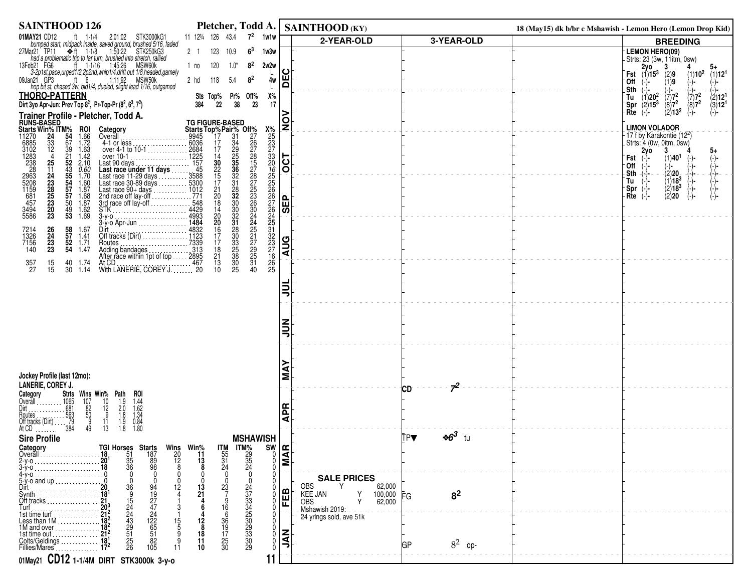| <b>SAINTHOOD 126</b>                                                                                                                                                                                                                                   | Pletcher, Todd A.   SAINTHOOD (KY)                                                                                                                                                                                                                           |                                                          |                                           |                      | 18 (May15) dk b/br c Mshawish - Lemon Hero (Lemon Drop Kid)                                                                                                                         |
|--------------------------------------------------------------------------------------------------------------------------------------------------------------------------------------------------------------------------------------------------------|--------------------------------------------------------------------------------------------------------------------------------------------------------------------------------------------------------------------------------------------------------------|----------------------------------------------------------|-------------------------------------------|----------------------|-------------------------------------------------------------------------------------------------------------------------------------------------------------------------------------|
| 01MAY21 CD12<br>ft $1-1/4$<br>2:01:02 STK3000kG1                                                                                                                                                                                                       | $7^2$<br>11 123/4 126 43.4<br>1w1w                                                                                                                                                                                                                           |                                                          | 2-YEAR-OLD                                | 3-YEAR-OLD           | <b>BREEDING</b>                                                                                                                                                                     |
| bumped start, midpack inside, saved ground, brushed 5/16, faded<br>lar21 TP11 $\Rightarrow$ ft 1-1/8 1:50:22 STK250kG3<br>27Mar21 TP11 $\div$ ft 1-1/8                                                                                                 | 6 <sup>3</sup><br>123<br>1w3w<br>2 1<br>10.9                                                                                                                                                                                                                 |                                                          |                                           |                      | LEMON HERO(09)                                                                                                                                                                      |
| Thad a problematic trip to far turn, brushed into stretch, rallied<br>eb21 FG6 tt 1-1/16 1:45:26 MSW60k<br>3-2p1st,pace,urged1/2,2p2nd,whip1/4.drift out 1/8.headed.gamely<br>13Feb21 FG6                                                              | $8^2$<br>2w2w<br>120<br>$1.0*$<br>1 no                                                                                                                                                                                                                       |                                                          |                                           |                      | -Strts: 23 (3w, 11itm, 0sw)                                                                                                                                                         |
| 09Jan21 GP3                                                                                                                                                                                                                                            | 8 <sup>2</sup><br>5.4<br>2 hd<br>118<br>4w                                                                                                                                                                                                                   | ပ<br>١ě                                                  |                                           |                      | $2y0$ 3<br>Fst $(1)15^3$ $(2)9$<br>(1)10 <sup>2</sup><br>(1)12 <sup>1</sup><br>'Off                                                                                                 |
| in 21 GP3 tt 6 1:11:92 MSW50k<br>hop bit st, chased 3w, bid1/4, dueled, slight lead 1/16, outgamed                                                                                                                                                     |                                                                                                                                                                                                                                                              |                                                          |                                           |                      | (1)9<br>$(-)$ -<br>(−)−<br>.Sth<br>-(-)−                                                                                                                                            |
| <b>THORO-PATTERN</b><br>Dirt 3yo Apr-Jun: Prev Top 8 <sup>2</sup> , Pr-Top-Pr (8 <sup>2</sup> , 6 <sup>3</sup> , 7 <sup>2</sup> )                                                                                                                      | Х%<br>Sts Top%<br>Pr%<br>Off%<br>22<br>38<br>384<br>23                                                                                                                                                                                                       | 17                                                       |                                           |                      | $(1)$<br>20 <sup>2</sup> $(7)$<br>2)15 <sup>3</sup> $(8)$<br>2)15 <sup>3</sup> $(8)$<br>$\binom{7}{8}7^2$<br>(2)12 <sup>1</sup><br>Tu<br><b>Spr</b> $(2)15^3$<br>(3)12 <sup>1</sup> |
| Trainer Profile - Pletcher, Todd A.                                                                                                                                                                                                                    |                                                                                                                                                                                                                                                              |                                                          |                                           |                      | $(2)13^2$<br>$Rte$ $(-)$<br>$(-)$ -<br>$(-)$ -                                                                                                                                      |
| <b>Hallie 1:00:</b><br><b>Starts Win% ITM%</b><br>11270 24 54<br>6885 33 67<br>Category                                                                                                                                                                |                                                                                                                                                                                                                                                              | $\mathbf{S}$                                             |                                           |                      | <b>LIMON VOLADOR</b>                                                                                                                                                                |
| <b>ROI</b><br>1.66<br>1.72<br>Overāll                                                                                                                                                                                                                  |                                                                                                                                                                                                                                                              |                                                          |                                           |                      | 17 f by Karakontie (12 <sup>2</sup> )                                                                                                                                               |
| $\frac{24}{33}$<br>$\frac{12}{4}$<br>1.63                                                                                                                                                                                                              |                                                                                                                                                                                                                                                              |                                                          |                                           |                      | Strts: 4 (0w, 0itm, 0sw)<br>$2y$ o<br>3<br>5+                                                                                                                                       |
| 1.42<br>2.10                                                                                                                                                                                                                                           |                                                                                                                                                                                                                                                              | $\overline{OCI}$                                         |                                           |                      | (1)40 <sup>1</sup><br>Fst<br>0ff<br>-)-                                                                                                                                             |
| <i>0.60</i><br>1.70                                                                                                                                                                                                                                    |                                                                                                                                                                                                                                                              |                                                          |                                           |                      | (2)20−<br>Sth<br>$\left( -\right) = -$                                                                                                                                              |
| 1.60<br>1.87                                                                                                                                                                                                                                           |                                                                                                                                                                                                                                                              |                                                          |                                           |                      | $(1)18^{3}$<br>Tu<br>$(2)18^{3}$<br>`Spr                                                                                                                                            |
| 6885<br>3102<br>1283<br>2388<br>2963<br>2963<br>5494<br>457<br>445<br>3494<br>5586<br>25<br>124<br>23<br>28<br>25<br>23<br>20<br>23<br>$\begin{array}{c} 1.68 \\ 1.87 \\ 1.62 \\ 1.69 \end{array}$                                                     |                                                                                                                                                                                                                                                              | ١£                                                       |                                           |                      | Rte<br>(2)20                                                                                                                                                                        |
|                                                                                                                                                                                                                                                        |                                                                                                                                                                                                                                                              | ळ                                                        |                                           |                      |                                                                                                                                                                                     |
| 945<br>4-1 or less<br>4-1 or less<br>over 4-1 to 10-1<br>over 4-1 to 10-1<br>Last race under 11 days<br>Last race 11-29 days<br>Last race 11-29 days<br>Last race 11-29 days<br>Last race 11-29 days<br>Last race 90-9 days<br>Last race 90-4 days<br> |                                                                                                                                                                                                                                                              |                                                          |                                           |                      |                                                                                                                                                                                     |
| $\begin{array}{c} 26 \\ 24 \\ 23 \\ 23 \end{array}$<br>58 1.67<br>57 1.41<br>52 1.71<br>54 1.47<br>7214<br>1326<br>7156<br>140                                                                                                                         |                                                                                                                                                                                                                                                              |                                                          |                                           |                      |                                                                                                                                                                                     |
| Routes<br>Adding bandages<br>Adding bandages<br>After race within 1pt of top  2895                                                                                                                                                                     |                                                                                                                                                                                                                                                              | AUG                                                      |                                           |                      |                                                                                                                                                                                     |
| 1.74                                                                                                                                                                                                                                                   | TG FIGURE-BASED<br>Starts Top%Pair% Off%<br>9945<br>9945<br>17 31 227<br>17 31 227<br>17 31 228<br>17 328<br>17 33 33 228<br>17 3588<br>17 31 322<br>5300<br>1771 20 322 232<br>548<br>18 300<br>1771 20 322<br><br>$\frac{18}{21}$<br>$\frac{13}{10}$<br>31 |                                                          |                                           |                      |                                                                                                                                                                                     |
| At CD<br>With LANERIE, COREY J. 20<br>$\begin{array}{c} 357 \\ 27 \end{array}$<br>$\begin{array}{c} 15 \\ 15 \end{array}$<br>$\frac{40}{30}$<br>1.14                                                                                                   | $\frac{30}{25}$<br>40                                                                                                                                                                                                                                        |                                                          |                                           |                      |                                                                                                                                                                                     |
|                                                                                                                                                                                                                                                        |                                                                                                                                                                                                                                                              | ⋾                                                        |                                           |                      |                                                                                                                                                                                     |
|                                                                                                                                                                                                                                                        |                                                                                                                                                                                                                                                              |                                                          |                                           |                      |                                                                                                                                                                                     |
|                                                                                                                                                                                                                                                        |                                                                                                                                                                                                                                                              |                                                          |                                           |                      |                                                                                                                                                                                     |
|                                                                                                                                                                                                                                                        |                                                                                                                                                                                                                                                              |                                                          |                                           |                      |                                                                                                                                                                                     |
|                                                                                                                                                                                                                                                        |                                                                                                                                                                                                                                                              | ⋾                                                        |                                           |                      |                                                                                                                                                                                     |
|                                                                                                                                                                                                                                                        |                                                                                                                                                                                                                                                              |                                                          |                                           |                      |                                                                                                                                                                                     |
|                                                                                                                                                                                                                                                        |                                                                                                                                                                                                                                                              |                                                          |                                           |                      |                                                                                                                                                                                     |
| Jockey Profile (last 12mo):                                                                                                                                                                                                                            |                                                                                                                                                                                                                                                              | ⋖<br>Σ                                                   |                                           |                      |                                                                                                                                                                                     |
| <b>LANERIE, COREY J.</b>                                                                                                                                                                                                                               |                                                                                                                                                                                                                                                              |                                                          |                                           | $7^2$<br>СD          |                                                                                                                                                                                     |
| Category<br>Overall<br>Strts<br>Wins Win% Path<br>roi                                                                                                                                                                                                  |                                                                                                                                                                                                                                                              |                                                          |                                           |                      |                                                                                                                                                                                     |
| $\begin{array}{c} 107 \\ 82 \\ 50 \\ 9 \end{array}$<br>$\frac{10}{12}$                                                                                                                                                                                 |                                                                                                                                                                                                                                                              | <b>APR</b>                                               |                                           |                      |                                                                                                                                                                                     |
| $1.44$<br>$1.62$<br>$1.34$<br>$0.84$<br>$1.80$<br>$\frac{1.9}{2.0}$<br>$\frac{1.9}{1.8}$<br>$\frac{1.9}{1.8}$<br>11<br>49<br>13                                                                                                                        |                                                                                                                                                                                                                                                              |                                                          |                                           |                      |                                                                                                                                                                                     |
| <b>Sire Profile</b>                                                                                                                                                                                                                                    | <b>MSHAWISH</b>                                                                                                                                                                                                                                              |                                                          |                                           | $\ast 6^3$ tu<br>tpV |                                                                                                                                                                                     |
| Category<br>Overall                                                                                                                                                                                                                                    |                                                                                                                                                                                                                                                              | $\frac{1}{2}$<br>$\frac{1}{2}$                           |                                           |                      |                                                                                                                                                                                     |
| <b>TGI Horses<br/>18</b> 51<br>20 <sup>1</sup> 35<br>18 36<br>19 0<br>Starts<br>187<br>89<br>98<br>3-ý-o                                                                                                                                               | Wins Win <sup>%</sup><br>20 11<br>12 13<br>8<br>$\frac{17M}{55}$<br>$\frac{31}{24}$<br><b>ITM%</b><br>29<br>35<br>24                                                                                                                                         | $\begin{matrix} 0 \\ 0 \\ 0 \end{matrix}$                |                                           |                      |                                                                                                                                                                                     |
| $\mathbf{0}$                                                                                                                                                                                                                                           |                                                                                                                                                                                                                                                              | 0                                                        | <b>SALE PRICES</b>                        |                      |                                                                                                                                                                                     |
| $5-y$ -o and up<br>Dirt<br>$12 \overline{ }$                                                                                                                                                                                                           | 23<br>13<br>21                                                                                                                                                                                                                                               |                                                          | <b>OBS</b><br>62,000                      |                      |                                                                                                                                                                                     |
| 36954324329<br>94<br>19<br>27<br>42<br>24<br>12<br>5<br>5<br>5<br>5<br>1<br>Synth<br>Off tracks                                                                                                                                                        |                                                                                                                                                                                                                                                              | 剾                                                        | KEE JAN<br>100,000<br>62,000<br>OBS       | 8 <sup>2</sup><br>FG |                                                                                                                                                                                     |
| Turf                                                                                                                                                                                                                                                   | 16<br>6                                                                                                                                                                                                                                                      | $\bf{0}$<br>0                                            | Mshawish 2019:<br>24 yrlngs sold, ave 51k |                      |                                                                                                                                                                                     |
| $\frac{15}{5}$                                                                                                                                                                                                                                         | 36<br>19<br>12<br>8                                                                                                                                                                                                                                          | 0<br>Ō.                                                  |                                           |                      |                                                                                                                                                                                     |
| 51<br>1st time out<br>25<br>26<br>Colts/Geldings                                                                                                                                                                                                       | 2473345<br>23345<br>3309<br>3309<br>17<br>18<br>$\frac{25}{30}$<br>11                                                                                                                                                                                        | $\overline{\vec{z}}$<br>$\overline{0}$<br>$\overline{0}$ |                                           | $8^2$ op-            |                                                                                                                                                                                     |
| 105<br>Fillies/Mares                                                                                                                                                                                                                                   | 10                                                                                                                                                                                                                                                           |                                                          |                                           | GР                   |                                                                                                                                                                                     |
| 01May21 CD12 1-1/4M DIRT STK3000k 3-y-0                                                                                                                                                                                                                | 11                                                                                                                                                                                                                                                           |                                                          |                                           |                      |                                                                                                                                                                                     |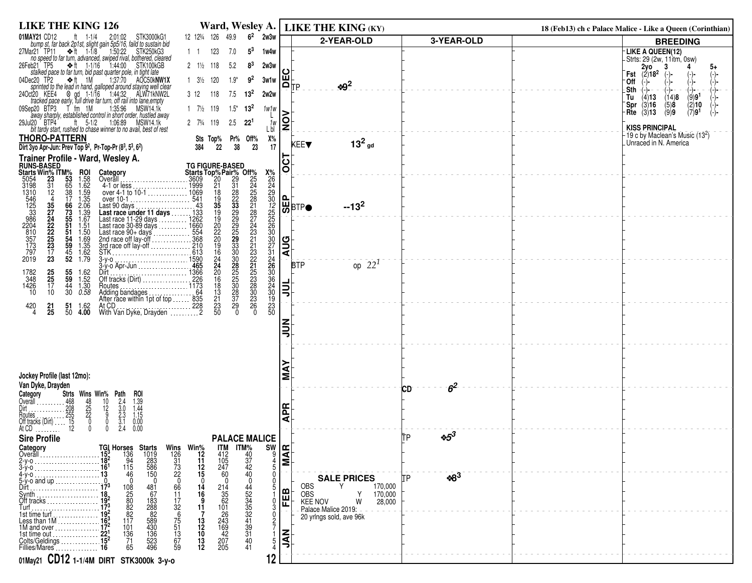| <b>LIKE THE KING 126</b>                                                                                                                                                                                                         |                                                                                                                                                                                                                                                                                                                                                                   |                                 | Ward, Wesley A.   LIKE THE KING (KY)                 |                      | 18 (Feb13) ch c Palace Malice - Like a Queen (Corinthian) |                                                                         |
|----------------------------------------------------------------------------------------------------------------------------------------------------------------------------------------------------------------------------------|-------------------------------------------------------------------------------------------------------------------------------------------------------------------------------------------------------------------------------------------------------------------------------------------------------------------------------------------------------------------|---------------------------------|------------------------------------------------------|----------------------|-----------------------------------------------------------|-------------------------------------------------------------------------|
| ft $1-1/4$<br>2:01:02 STK3000kG1<br>01MAY21 CD12                                                                                                                                                                                 | $62$ 2w3w<br>12 123/4 126 49.9                                                                                                                                                                                                                                                                                                                                    |                                 | 2-YEAR-OLD                                           | 3-YEAR-OLD           |                                                           | <b>BREEDING</b>                                                         |
| bump st, far back 2p1st, slight gain 5p5/16, faild to sustain bid<br>27Mar21 TP11<br>no speed to far turn, advanced, swiped rival, bothered, cleared<br>no speed to far turn, advanced, swiped rival, bothered, cleared          | $5^3$<br>123<br>7.0<br>1w4w<br>$1\quad1$                                                                                                                                                                                                                                                                                                                          |                                 |                                                      |                      |                                                           | -LIKE A QUEEN(12)<br>-Strts: 29 (2w, 11itm, 0sw)                        |
| $\div$ ft 1-1/16 1:44:00<br>26Feb21 TP5<br>STK100kGB<br>stalked pace to far turn, bid past quarter pole, in tight late<br>ec20 TP2 $\leftrightarrow$ ft 1M 1:37:70 AOC50kNW1X                                                    | $2 \frac{1}{2}$ 118<br>5.2<br>8 <sup>3</sup><br>2w3w                                                                                                                                                                                                                                                                                                              |                                 |                                                      |                      | Fst                                                       | $2y0$<br>(2)18 <sup>2</sup><br>3<br>5+                                  |
| 04Dec20 TP2                                                                                                                                                                                                                      | $9^2$<br>$3\frac{1}{2}$ 120<br>$1.9*$<br>3w1w                                                                                                                                                                                                                                                                                                                     | $\mathsf{H}^\vdash_\mathsf{IP}$ | $\cdot 9^2$                                          |                      | °Off                                                      |                                                                         |
| spointed to the lead in hand, galloped around staying well clear<br>24Oct20 KEE4<br>8 gd 1-1/16 1:44:32 ALW71kNW2L<br>tracked pace early, full drive far turn, off rail into lane empty<br>09Sep20 BTP3 T fm 1M 1:35:96 MSW14.1k | $3 \t12$<br>118<br>7.5<br>$13^{2}$<br>2w2w                                                                                                                                                                                                                                                                                                                        |                                 |                                                      |                      | .Sth<br>Tu                                                | $(\text{-})$ -<br>(-)−<br>(−)− −<br>(14)8<br>(9)9 <sup>1</sup><br>(4)13 |
|                                                                                                                                                                                                                                  | $1 \t7\frac{1}{2} \t119$<br>$1.5^*$ 13 <sup>2</sup><br>1w1w                                                                                                                                                                                                                                                                                                       |                                 |                                                      |                      | `Spr                                                      | (3)16<br>(5)8<br>(2)10<br>(7)9 <sup>1</sup><br>(9)9<br><b>Rte</b> (3)13 |
| away sharply, established control in short order, hustled away<br>u20 BTP4 ft 5-1/2 1.06.89 MSW14.1k<br>29Jul20 BTP4<br>bit tardy start, rushed to chase winner to no avail, best of rest                                        | 2 73/4 119<br>$2.5$ 22 <sup>1</sup><br>1w<br>L bl                                                                                                                                                                                                                                                                                                                 | ă                               |                                                      |                      |                                                           | <b>KISS PRINCIPAL</b>                                                   |
| <b>THORO-PATTERN</b>                                                                                                                                                                                                             | Х%<br>17<br>Sts Top%<br>Pr% Off%<br>38 23                                                                                                                                                                                                                                                                                                                         |                                 | $132$ gd                                             |                      |                                                           | 19 c by Maclean's Music (13 <sup>2</sup> )<br>Unraced in N. America     |
| Dirt 3yo Apr-Jun: Prev Top $9^2$ , Pr-Top-Pr $(8^3, 5^3, 6^2)$                                                                                                                                                                   | 22<br>384                                                                                                                                                                                                                                                                                                                                                         |                                 | KEE▼                                                 |                      |                                                           |                                                                         |
| Trainer Profile - Ward, Wesley A.<br><b>RUNS-BASED</b>                                                                                                                                                                           | <b>TG FIGURE-BASED</b>                                                                                                                                                                                                                                                                                                                                            | O                               |                                                      |                      |                                                           |                                                                         |
| <b>Starts Win% ITM%</b><br>5054 23 53<br>3198 31 65<br><b>ROI</b><br>1.58<br>1.62<br>Category<br>Overall                                                                                                                         |                                                                                                                                                                                                                                                                                                                                                                   |                                 |                                                      |                      |                                                           |                                                                         |
| $\frac{31}{12}$<br>4-1 or less<br>38<br>$1.59$<br>$1.35$                                                                                                                                                                         |                                                                                                                                                                                                                                                                                                                                                                   | 0                               |                                                      |                      |                                                           |                                                                         |
| 17<br>66<br>2.06                                                                                                                                                                                                                 |                                                                                                                                                                                                                                                                                                                                                                   | ਯ਼ੂ <sub>BTP●</sub>             | $-13^2$                                              |                      |                                                           |                                                                         |
| 1310<br>546<br>125<br>3386<br>2204<br>810<br>357<br>37<br>79<br>2019<br>35<br>27<br>24<br>22<br>25<br>23<br>17<br>3<br>$\frac{73}{55}$<br>$\frac{1.39}{1.67}$<br>51<br>1.51                                                      | TG FIGURE-BASED<br>Starts Top% Pair% Off%<br>$\frac{3609}{20}$<br>$\frac{22}{21}$<br>$\frac{31}{24}$<br>$\frac{24}{25}$<br>$\frac{43}{22}$<br>$\frac{35}{22}$<br>$\frac{25}{25}$<br>$\frac{43}{22}$<br>$\frac{35}{22}$<br>$\frac{22}{25}$<br>$\frac{43}{25}$<br>$\frac{35}{22}$<br>$\frac{22}{25}$<br>$\frac{43}{25$<br>X%223022556000714460823302342608824902330 |                                 |                                                      |                      |                                                           |                                                                         |
| $\frac{51}{54}$                                                                                                                                                                                                                  |                                                                                                                                                                                                                                                                                                                                                                   |                                 |                                                      |                      |                                                           |                                                                         |
| $\begin{array}{c} 1.50 \\ 1.69 \\ 1.35 \\ 1.62 \\ 1.79 \end{array}$<br>59<br>STK                                                                                                                                                 |                                                                                                                                                                                                                                                                                                                                                                   | <b>AUG</b>                      |                                                      |                      |                                                           |                                                                         |
| $\frac{45}{52}$<br>$3-y-0$ .<br>$3-y$ -o Apr-Jun                                                                                                                                                                                 |                                                                                                                                                                                                                                                                                                                                                                   | <b>BTP</b>                      | op $22^1$                                            |                      |                                                           |                                                                         |
| $\begin{array}{c} 25 \\ 25 \\ 17 \end{array}$<br>$\begin{array}{c} 55 \\ 59 \end{array}$<br>$1.62$<br>$1.52$<br>Dirt<br>Off tracks (Dirt)<br>Off tracks (Dirt)<br>1782<br>348                                                    |                                                                                                                                                                                                                                                                                                                                                                   |                                 |                                                      |                      |                                                           |                                                                         |
| 1426<br>44<br>1.30<br>0.58<br>10<br>10<br>30                                                                                                                                                                                     |                                                                                                                                                                                                                                                                                                                                                                   | ⋾                               |                                                      |                      |                                                           |                                                                         |
| 1.62                                                                                                                                                                                                                             |                                                                                                                                                                                                                                                                                                                                                                   |                                 |                                                      |                      |                                                           |                                                                         |
| At CD<br>With Van Dyke, Drayden<br>228<br>$^{420}_{4}$<br>$\frac{51}{50}$<br>$^{21}_{25}$<br>4.00                                                                                                                                |                                                                                                                                                                                                                                                                                                                                                                   |                                 |                                                      |                      |                                                           |                                                                         |
|                                                                                                                                                                                                                                  |                                                                                                                                                                                                                                                                                                                                                                   | ∍                               |                                                      |                      |                                                           |                                                                         |
|                                                                                                                                                                                                                                  |                                                                                                                                                                                                                                                                                                                                                                   |                                 |                                                      |                      |                                                           |                                                                         |
|                                                                                                                                                                                                                                  |                                                                                                                                                                                                                                                                                                                                                                   |                                 |                                                      |                      |                                                           |                                                                         |
| Jockey Profile (last 12mo):                                                                                                                                                                                                      |                                                                                                                                                                                                                                                                                                                                                                   |                                 |                                                      |                      |                                                           |                                                                         |
| Van Dyke, Drayden                                                                                                                                                                                                                |                                                                                                                                                                                                                                                                                                                                                                   |                                 |                                                      | 6 <sup>2</sup><br>СD |                                                           |                                                                         |
| Strts Wins Win% Path<br>Category<br>ROI                                                                                                                                                                                          |                                                                                                                                                                                                                                                                                                                                                                   |                                 |                                                      |                      |                                                           |                                                                         |
| $\begin{array}{c}\n10 \\ 10 \\ 9 \\ 0\n\end{array}$<br>$\frac{48}{25}$                                                                                                                                                           |                                                                                                                                                                                                                                                                                                                                                                   | 운                               |                                                      |                      |                                                           |                                                                         |
| $1.39$<br>$1.44$<br>$1.15$<br>$0.00$<br>0.00<br>$2.4$<br>$3.0$<br>$2.3$<br>$3.1$<br>$2.4$<br>$\theta$<br>0                                                                                                                       |                                                                                                                                                                                                                                                                                                                                                                   | ⋖                               |                                                      |                      |                                                           |                                                                         |
| <b>Sire Profile</b>                                                                                                                                                                                                              | <b>PALACE MALICE</b>                                                                                                                                                                                                                                                                                                                                              |                                 |                                                      | $*5^3$<br>ĪТР        |                                                           |                                                                         |
| Category<br>Overall.                                                                                                                                                                                                             | <b>ITM</b><br>412<br>105<br>247                                                                                                                                                                                                                                                                                                                                   | $\frac{\text{SN}}{\frac{9}{4}}$ |                                                      |                      |                                                           |                                                                         |
| <b>TGI Horses Starts</b><br>15 <sup>3</sup> 136 1019<br>18 <sup>2</sup> 94 283<br>16 <sup>1</sup> 115 586<br>13 46 150<br>$3-y-0$                                                                                                | Wins Win <sup>%</sup><br>126 12<br>31 11<br>73 12<br>22 15<br>$\frac{40}{37}$<br>$\frac{47}{42}$<br>$\frac{42}{40}$                                                                                                                                                                                                                                               |                                 |                                                      |                      |                                                           |                                                                         |
| 4-y-o.<br>$5-y$ -o and up<br>Dirt                                                                                                                                                                                                | 60<br>66<br>14                                                                                                                                                                                                                                                                                                                                                    |                                 | <b>SALE PRICES</b><br><b>OBS</b><br>170,000          | $*8^3$               |                                                           |                                                                         |
| $Synth$<br>Off tracks $\ldots$ $\ldots$ $\ldots$ $\ldots$                                                                                                                                                                        | $214$<br>$35$<br>$62$<br>$101$<br>16                                                                                                                                                                                                                                                                                                                              | FEB                             | <b>OBS</b><br>Y<br>170,000                           |                      |                                                           |                                                                         |
| 108<br>25<br>80<br>82<br>82<br>117<br>481<br>67<br>183<br>288<br>82<br>52<br>30<br>43<br>52<br>3<br>4<br>96<br>Turf<br>1st time turf                                                                                             | 44<br>52<br>33<br>35<br>32<br>4<br>39<br>31<br>$\frac{11}{17}$<br>$\frac{17}{6}$<br>11                                                                                                                                                                                                                                                                            |                                 | <b>KEE NOV</b><br>W<br>28,000<br>Palace-Malice 2019: |                      |                                                           |                                                                         |
| Less than $1M$<br>101<br>1M and over                                                                                                                                                                                             | $\frac{75}{51}$<br>$\frac{13}{13}$<br>$\frac{13}{12}$<br>$\frac{12}{10}$                                                                                                                                                                                                                                                                                          |                                 | 20 yrlngs sold, ave 96k                              |                      |                                                           |                                                                         |
| 1st time out<br>$\frac{136}{71}$<br>65                                                                                                                                                                                           | $26$<br>$243$<br>$169$<br>$42$<br>$207$<br>$205$<br>40                                                                                                                                                                                                                                                                                                            | Ę                               |                                                      |                      |                                                           |                                                                         |
| $\frac{15^2}{16}$<br>Colts/Geldings<br>Fillies/Mares                                                                                                                                                                             | $\frac{13}{12}$<br>67<br>59<br>41                                                                                                                                                                                                                                                                                                                                 |                                 |                                                      |                      |                                                           |                                                                         |
| 01May21 CD12 1-1/4M DIRT STK3000k 3-y-0                                                                                                                                                                                          | 12                                                                                                                                                                                                                                                                                                                                                                |                                 |                                                      |                      |                                                           |                                                                         |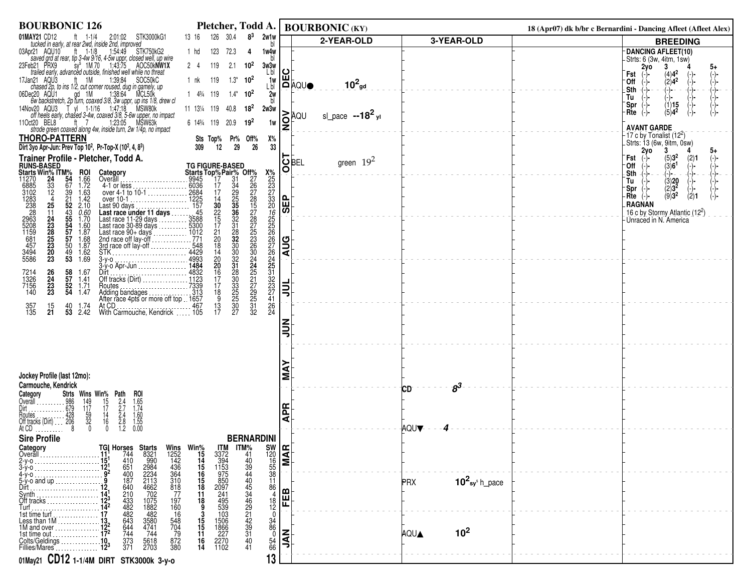| <b>BOURBONIC 126</b>                                                                                                                                                                                                                                                                                                                                 |                                                                                                                                         | Pletcher, Todd A.   BOURBONIC (KY)                      |                                             | 18 (Apr07) dk b/br c Bernardini - Dancing Afleet (Afleet Alex)                         |
|------------------------------------------------------------------------------------------------------------------------------------------------------------------------------------------------------------------------------------------------------------------------------------------------------------------------------------------------------|-----------------------------------------------------------------------------------------------------------------------------------------|---------------------------------------------------------|---------------------------------------------|----------------------------------------------------------------------------------------|
| 01MAY21 CD12<br>IAY21 CD12 ft 1-1/4 2:01:02 STK3000kG1<br>tucked in early, at rear 2wd, inside 2nd, improved                                                                                                                                                                                                                                         | 30.4<br>$8^3$<br>2w1w<br>126<br>13 16                                                                                                   | 2-YEAR-OLD                                              | 3-YEAR-OLD                                  | <b>BREEDING</b>                                                                        |
| nove in early at each window 2014 1.18 1.54:49 STK750kG2<br>saved grd at rear, tip 3-4w 9/16, 4-5w uppr, closed well, up wire<br>eb21 PRX9 sy 1M 70 1:43:75 AOC50kNW1X<br>trailed early, advanced outside, finished well while no threa<br>03Apr21 AQU10                                                                                             | 123<br>1 hd<br>72.3<br>1w4w<br>4                                                                                                        |                                                         |                                             | DANCING AFLEET(10)                                                                     |
| 23Feb21 PRX9                                                                                                                                                                                                                                                                                                                                         | 119<br>2.1 $10^2$<br>$2 \quad 4$<br>3w3w<br>Lbl                                                                                         |                                                         |                                             | -Strts: 6 (3w, 4itm, 1sw)<br>2y <sub>o</sub><br>3<br>5+                                |
| 17Jan21 AQU3                                                                                                                                                                                                                                                                                                                                         | $1.3*$<br>119<br>$10^{2}$<br>1 nk<br>1w                                                                                                 | ပ                                                       |                                             | $^{(4)4^2}_{(2)4^2}$<br>Fst<br>(−)−                                                    |
|                                                                                                                                                                                                                                                                                                                                                      | L bl                                                                                                                                    | ∐⊔<br> Д∣до∪●<br>$10^2$ <sub>gd</sub>                   |                                             | $\begin{pmatrix} - \\ - \end{pmatrix}$ –<br>-(-) –<br>-(-) –<br>∙Off<br>.Sth<br>(→)− – |
| Trailed early, advanced outside, inished well while no threat<br>chased 2p, to ins 1/2, cut comer roused, dug in gamely, up<br>chased 2p, to ins 1/2, cut comer roused, dug in gamely, up<br>bec20 AQU1 gd 1M 1:38:64 MCL50k<br>6w ba<br>06Dec20 AQU1                                                                                                | $14\frac{3}{4}119$<br>$1.4^*$ 10 <sup>2</sup><br>2w<br>bl                                                                               |                                                         |                                             | Tu<br>(-)-                                                                             |
| 14Nov20 AQU3                                                                                                                                                                                                                                                                                                                                         | 11 131/4 119 40.8<br>$18^{2}$<br>2w3w                                                                                                   | ⋗                                                       |                                             | (1)15<br>'Spr<br>$(5)4^2$<br>Rte<br>(−)−                                               |
| 11Oct20 BEL8                                                                                                                                                                                                                                                                                                                                         | 6 143/4 119 20.9 19 <sup>2</sup><br>1w                                                                                                  | sl_pace $-18^2$ yl<br>ĀQU<br>$\frac{1}{2}$              |                                             |                                                                                        |
|                                                                                                                                                                                                                                                                                                                                                      |                                                                                                                                         |                                                         |                                             | <b>AVANT GARDE</b><br>$-17$ c by Tonalist $(12^2)$                                     |
| <b>THORO-PATTERN</b><br>Dirt 3yo Apr-Jun: Prev Top 10 <sup>2</sup> , Pr-Top-X (10 <sup>2</sup> , 4, 8 <sup>3</sup> )                                                                                                                                                                                                                                 | $X\%$<br>Sts Top% Pr% Off%<br>29<br>12<br>33<br>26<br>309                                                                               |                                                         |                                             | $-$ Strts: 13 (6w, 9itm, 0sw)<br>2yo 3 4                                               |
|                                                                                                                                                                                                                                                                                                                                                      |                                                                                                                                         |                                                         |                                             | 5+<br>Fst<br>$(-)$ -                                                                   |
| <b>Trainer Profile - Pletcher, Todd A.</b><br>RUNS-BASED<br>Starts Win% ITM% ROI Category<br>11270 24 54 1.66 Overall<br>6885 33 67 1.72 4-1 or less<br>102 12 39 1.63 over 4-1 to 10-1<br>1283 4 21 1.42 over 10-1                                                                                                                                  | <b>TG FIGURE-BASED</b>                                                                                                                  | <b>OBEL</b><br>green $19^2$                             |                                             | $\binom{5}{3}3^2$<br>(3)6 <sup>1</sup><br>$(2)1$<br>(-)-<br>-Off                       |
|                                                                                                                                                                                                                                                                                                                                                      |                                                                                                                                         |                                                         |                                             | (-)−<br>Sth<br>$(\cdot)$ .<br>-(-)-<br>(-)-<br>Tu<br>$(-)$ -                           |
| $4-1$ or less<br>over 4-1 to 10-1<br>over 10-1<br>over 10-1<br>over 10-1<br>6885<br>3102<br>1283<br>238<br>238<br>2963<br>5208<br>5208<br>1159<br>457                                                                                                                                                                                                |                                                                                                                                         |                                                         |                                             | $\begin{array}{c} (3)20 \\ (2)3^2 \\ (9)3^2 \end{array}$<br>Spr                        |
| $\begin{array}{cccc}\n 87 & 1.72 \\  39 & 1.63 \\  21 & 1.42 \\  52 & 2.10 \\  43 & 0.60 \\  55 & 1.70 \\  54 & 1.60 \\  57 & 1.87 \\  57 & 1.63 \\  57 & 1.63\n \end{array}$<br>25                                                                                                                                                                  |                                                                                                                                         | 메                                                       |                                             | Rte<br>(2)1<br><b>RAGNAN</b>                                                           |
| 11                                                                                                                                                                                                                                                                                                                                                   |                                                                                                                                         | க                                                       |                                             | 16 c by Stormy Atlantic (122)                                                          |
| $0.60$<br>$1.70$<br>$1.60$<br>$1.87$<br>$1.68$                                                                                                                                                                                                                                                                                                       |                                                                                                                                         |                                                         |                                             | Unraced in N. America                                                                  |
|                                                                                                                                                                                                                                                                                                                                                      |                                                                                                                                         |                                                         |                                             |                                                                                        |
| 24<br>23<br>28<br>25<br>23<br>20<br>23<br>50<br>1.87                                                                                                                                                                                                                                                                                                 |                                                                                                                                         | <b>AUG</b>                                              |                                             |                                                                                        |
| over 10-1<br>Last 90 days<br>Last race under 11 days<br>Last race 11-29 days<br>Last race 11-29 days<br>Last race 90-9 days<br>Last race 90-4 days<br>Last race 90-4 days<br>Last race 90-4 days<br>Last race 90-4 days<br>Last race of lay-off<br>C<br>3494<br>5586<br>$\frac{1.62}{1.69}$<br>$\frac{49}{53}$                                       |                                                                                                                                         |                                                         |                                             |                                                                                        |
| 58 1.67<br>57 1.41                                                                                                                                                                                                                                                                                                                                   |                                                                                                                                         |                                                         |                                             |                                                                                        |
| 26<br>24<br>23<br>23<br>7214<br>1326<br>7156<br>140<br>52 1.71                                                                                                                                                                                                                                                                                       |                                                                                                                                         |                                                         |                                             |                                                                                        |
| 54<br>1.47<br>Adding bandages<br>After race 4pts or more off top 1657                                                                                                                                                                                                                                                                                |                                                                                                                                         | 흷                                                       |                                             |                                                                                        |
| 357<br>135<br>15<br>40<br>1.74                                                                                                                                                                                                                                                                                                                       | <b>X</b> %23273306522222222222333227116422                                                                                              |                                                         |                                             |                                                                                        |
| 21<br>$53 \quad 2.42$                                                                                                                                                                                                                                                                                                                                |                                                                                                                                         |                                                         |                                             |                                                                                        |
|                                                                                                                                                                                                                                                                                                                                                      |                                                                                                                                         | ミミ                                                      |                                             |                                                                                        |
|                                                                                                                                                                                                                                                                                                                                                      |                                                                                                                                         |                                                         |                                             |                                                                                        |
|                                                                                                                                                                                                                                                                                                                                                      |                                                                                                                                         |                                                         |                                             |                                                                                        |
|                                                                                                                                                                                                                                                                                                                                                      |                                                                                                                                         | ⋖                                                       |                                             |                                                                                        |
| Jockey Profile (last 12mo):                                                                                                                                                                                                                                                                                                                          |                                                                                                                                         | Σ                                                       |                                             |                                                                                        |
| Carmouche, Kendrick                                                                                                                                                                                                                                                                                                                                  |                                                                                                                                         |                                                         | $s^3$<br>СD                                 |                                                                                        |
| ROI<br>1.65<br>1.74                                                                                                                                                                                                                                                                                                                                  |                                                                                                                                         |                                                         |                                             |                                                                                        |
|                                                                                                                                                                                                                                                                                                                                                      |                                                                                                                                         | <b>APR</b>                                              |                                             |                                                                                        |
| $\frac{1.60}{1.55}$<br>0.00                                                                                                                                                                                                                                                                                                                          |                                                                                                                                         |                                                         |                                             |                                                                                        |
| <b>Sire Profile</b>                                                                                                                                                                                                                                                                                                                                  | <b>BERNARDINI</b>                                                                                                                       |                                                         | <b>AQUV</b>                                 |                                                                                        |
| Category                                                                                                                                                                                                                                                                                                                                             |                                                                                                                                         |                                                         |                                             |                                                                                        |
| Overall                                                                                                                                                                                                                                                                                                                                              |                                                                                                                                         |                                                         |                                             |                                                                                        |
|                                                                                                                                                                                                                                                                                                                                                      |                                                                                                                                         | $\frac{120}{120}$<br>$\frac{16}{55}$<br>$\frac{16}{38}$ |                                             |                                                                                        |
| 5-y-o and up                                                                                                                                                                                                                                                                                                                                         | 11                                                                                                                                      |                                                         | $10^2$ sy <sup>s</sup> h_pace<br><b>PRX</b> |                                                                                        |
| Dirt<br>Svnth                                                                                                                                                                                                                                                                                                                                        | $\frac{86}{4}$                                                                                                                          |                                                         |                                             |                                                                                        |
| Off tracks<br>Turf                                                                                                                                                                                                                                                                                                                                   | $\frac{18}{12}$                                                                                                                         | FEB                                                     |                                             |                                                                                        |
| 1st time turf $\ldots$                                                                                                                                                                                                                                                                                                                               |                                                                                                                                         |                                                         |                                             |                                                                                        |
| <b>Starts Wins Win%</b><br>8321 1252 15<br>990 142 14<br>2984 436 16<br>2234 364 16<br>2234 364 16<br>2113 310 15<br>2113 10<br>4662 17<br>797 18<br>462 16<br>482 16<br>482 16<br>482 16<br>482 16<br>482 16<br>482 16<br>482 16<br>482 16<br>482 16<br>482 11<br>482 11<br>48<br>Less than $1M$<br>1M and over $\ldots$ $\ldots$ $\ldots$ $\ldots$ |                                                                                                                                         |                                                         | 10 <sup>2</sup>                             |                                                                                        |
| 548<br>704<br>79<br>872<br>380<br>1st time out<br>$\frac{373}{371}$<br>5618<br>2703<br>Colts/Geldings                                                                                                                                                                                                                                                | TM<br>3372<br>1153507115350711535097115866622<br>244553931506662222702<br>22701102<br>$34800$<br>$546$<br>$66$<br>$\frac{16}{14}$<br>40 | $\leq$                                                  | AQUA                                        |                                                                                        |
|                                                                                                                                                                                                                                                                                                                                                      |                                                                                                                                         |                                                         |                                             |                                                                                        |
| 01May21 CD12 1-1/4M DIRT STK3000k 3-y-0                                                                                                                                                                                                                                                                                                              | 13                                                                                                                                      |                                                         |                                             |                                                                                        |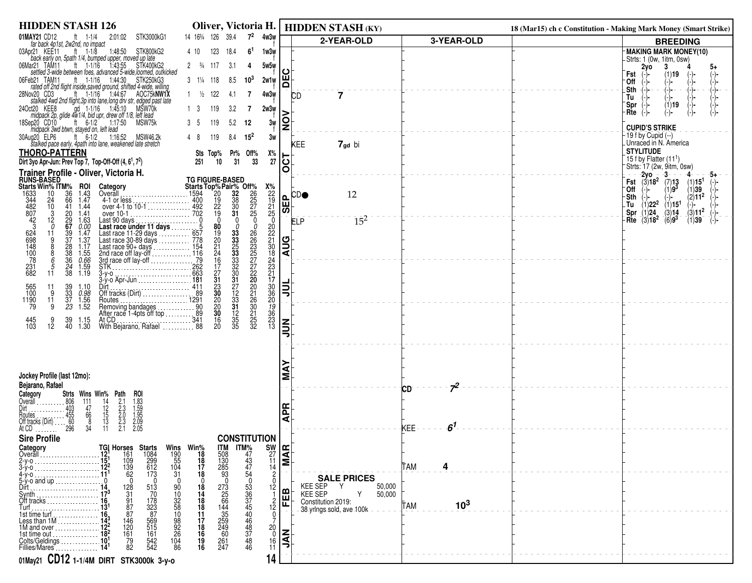| <b>HIDDEN STASH 126</b>                                                                                                                                                                                                                                                                        |                                                                                                                      |                                                                        | Oliver, Victoria H.   HIDDEN STASH (KY)             |                                  | 18 (Mar15) ch c Constitution - Making Mark Money (Smart Strike)                        |
|------------------------------------------------------------------------------------------------------------------------------------------------------------------------------------------------------------------------------------------------------------------------------------------------|----------------------------------------------------------------------------------------------------------------------|------------------------------------------------------------------------|-----------------------------------------------------|----------------------------------|----------------------------------------------------------------------------------------|
| 01MAY21 CD12<br>STK3000kG1<br>ft $1-1/4$<br>2:01:02<br>far back 4p1st, 2w2nd, no impact                                                                                                                                                                                                        | 14 163/4 126 39.4<br>$7^2$<br>4w3w                                                                                   |                                                                        | 2-YEAR-OLD                                          | 3-YEAR-OLD                       | <b>BREEDING</b>                                                                        |
| 03Apr21 KEE11<br>ft $1-1/8$<br>STK800kG2<br>1:48:50                                                                                                                                                                                                                                            | 4 10<br>123<br>6 <sup>1</sup><br>18.4<br>1w3w                                                                        |                                                                        |                                                     |                                  | MAKING MARK MONEY(10)                                                                  |
| back early on, 5path 1/4, bumped upper, moved up late<br>lar21 TAM11 ft 1-1/16 1:43:55 STK400kG2<br>settled 3-wide between foes, advanced 5-wide, loomed, outkicked<br>06Mar21 TAM11                                                                                                           | $2 \frac{3}{4}$ 117<br>3.1<br>5w5w<br>4                                                                              |                                                                        |                                                     |                                  | -Strts: 1 (0w, 1itm, 0sw)<br>2y0<br>3<br>5+                                            |
| 06Feb21 TAM11                                                                                                                                                                                                                                                                                  | $3 \t1\frac{1}{4} \t118$<br>8.5<br>$10^{3}$<br>2w1w                                                                  | 片                                                                      |                                                     |                                  | Fst<br>(1)19<br>`Off<br>-)-                                                            |
| 28Nov20 CD3<br>AOC75kNW1X                                                                                                                                                                                                                                                                      | $1 \frac{1}{2}$ 122                                                                                                  |                                                                        |                                                     |                                  | -)-<br>-)-<br>-)-<br>.Sth<br>(-)−∙<br>-(-)-                                            |
| stalked 4wd 2nd flight, 3p into lane, long drv str, edged past late<br>ct20 KEE8 gd 1-1/16 1:45:10 MSW70k                                                                                                                                                                                      | 4w3w<br>7<br>4.1                                                                                                     |                                                                        | 7<br><b>CD</b>                                      |                                  | Tu<br>$(1)$ 19<br>Spr                                                                  |
| 24Oct20 KEE8<br>midpack 2p, glide 4w1/4, bid upr, drew off 1/8, left lead                                                                                                                                                                                                                      | 119<br>13<br>3.2<br>2w3w<br>7                                                                                        |                                                                        |                                                     |                                  | Rte<br>(-)-                                                                            |
| ft $6-1/2$<br>1:17:50<br>MSW75k<br>18Sep20 CD10                                                                                                                                                                                                                                                | 5.2<br>3w<br>119<br>35<br>12                                                                                         | $\frac{1}{2}$                                                          |                                                     |                                  | <b>CUPID'S STRIKE</b>                                                                  |
| be midpack 3wd btwn, stayed on, left lead<br>ug20 ELP6 ft 6-1/2 1:16:52 MSW46.2k<br>stalked pace early, 4path into lane, weakened late stretch<br>30Aug20 ELP6                                                                                                                                 | 119<br>48<br>8.4<br>$15^2$<br>3w                                                                                     |                                                                        |                                                     |                                  | -19 f by Cupid (--)                                                                    |
| <b>THORO-PATTERN</b>                                                                                                                                                                                                                                                                           | Х%<br>Sts Top% Pr% Off%                                                                                              |                                                                        | KEE<br>7 <sub>gd</sub> bi                           |                                  | Unraced in N. America<br><b>STYLITUDE</b>                                              |
| Dirt 3yo Apr-Jun: Prev Top 7, Top-Off-Off (4, 6 <sup>1</sup> , 7 <sup>2</sup> )                                                                                                                                                                                                                | 31<br>33<br>27<br>10<br>251                                                                                          | ان                                                                     |                                                     |                                  | 15 f by Flatter $(11^1)$                                                               |
| Trainer Profile - Oliver, Victoria H.                                                                                                                                                                                                                                                          |                                                                                                                      | O                                                                      |                                                     |                                  | Strts: 17 (2w, 9itm, 0sw)<br>-2vo -<br>-3-                                             |
| <b>RUNS-BASED</b><br><b>Starts Win% ITM% ROI</b><br>1633 10 36 1.43                                                                                                                                                                                                                            | <b>TG FIGURE-BASED</b>                                                                                               |                                                                        |                                                     |                                  | Fst $(3)18^2$ (7)13<br>(1)15 <sup>1</sup><br>$(1)9^{3}$<br>`Off<br>(1)39               |
| Category<br>Category<br>Citats Top%Pair% Off%<br>Overall<br>4-1 or less<br>wer 4-1 to 10-1<br>over 10-1<br>Over 10-1<br>Over 10-1<br>Over 10-1<br>Over 10-1<br>Over 10-1<br>Over 10-1<br>Over 10-1<br>Over 10-1<br>Over 10-1<br>Over 10-1<br>Over 10-1<br>Over 10<br>1.47<br>24<br>66          | $x_{22}^{\prime\prime}$<br>$x_{19}^{\prime\prime}$<br>$x_{10}^{\prime\prime}$<br>$x_{21}^{\prime\prime}$             | $L$ $CD$                                                               | 12                                                  |                                  | (2)11 <sup>2</sup><br>-Sth                                                             |
| 344<br>482<br>807<br>10<br>41<br>1.44<br>$20^{\circ}$<br>1.41                                                                                                                                                                                                                                  |                                                                                                                      | 画<br>। $\overline{\bm{\omega}}$ ।                                      |                                                     |                                  | $(1)22^2$<br>(1)15 <sup>1</sup><br>. Tu<br>$-(-$<br>(1)24<br>$(3)11^2$<br>(3)14<br>Spr |
| $\frac{42}{3}$<br>10-1<br>Last 90 days<br>Last race under 11 days<br>Last race under 11 days<br>Last race 11-29 days<br>Last race 90-89 days<br>Last race 90-89 days<br>Last race 90-89 days<br>Last race 90-89 days<br>2021<br>2021<br>2021<br>2022<br>2023<br>2023<br>2023<br><br>12<br>1.63 | $\mathbf{0}$                                                                                                         |                                                                        | $15^{2}$<br>ELP                                     |                                  | $(6)9^3$<br>Rte<br>$(3)18^2$<br>(1)39                                                  |
| 29<br>67<br>39<br>37<br>$0.00$<br>1.47<br>0<br>11                                                                                                                                                                                                                                              | 0                                                                                                                    |                                                                        |                                                     |                                  |                                                                                        |
| 1.37<br>9<br>$\frac{28}{38}$<br>1.17                                                                                                                                                                                                                                                           |                                                                                                                      | $\frac{1}{2}$                                                          |                                                     |                                  |                                                                                        |
| 624<br>698<br>148<br>100<br>78<br>1.55<br>36<br>6                                                                                                                                                                                                                                              |                                                                                                                      |                                                                        |                                                     |                                  |                                                                                        |
| $0.66$<br>$1.59$<br>$1.19$<br>$\frac{231}{682}$<br>$\frac{24}{38}$<br>$\frac{5}{11}$                                                                                                                                                                                                           | 0<br>26<br>22<br>27<br>27<br>27<br>20<br>33<br>33<br>33<br>33<br>30<br>30                                            |                                                                        |                                                     |                                  |                                                                                        |
| 3-y-o<br>2-y-o Apr-Jun<br>2-y-o Apr-Jun<br>2-y-o Apr-Jun                                                                                                                                                                                                                                       |                                                                                                                      |                                                                        |                                                     |                                  |                                                                                        |
| 39<br>33<br>37<br>Dirt<br>Off tracks (Dirt)<br>091<br>565<br>100<br>$\begin{array}{c} 1.10 \\ 0.98 \\ 1.56 \end{array}$<br>11<br>9                                                                                                                                                             | 222108431706093221733221332<br>$3127233$<br>$33125$<br>$35$<br>20<br>21<br>26<br>20<br>21<br>25<br>22<br>32          | 릐                                                                      |                                                     |                                  |                                                                                        |
| 11<br>1190<br>79<br>1.52<br>9<br>23                                                                                                                                                                                                                                                            | $\frac{20}{20}$<br>30                                                                                                |                                                                        |                                                     |                                  |                                                                                        |
| 9<br>1.15                                                                                                                                                                                                                                                                                      |                                                                                                                      |                                                                        |                                                     |                                  |                                                                                        |
| 39<br>40<br>445<br>103<br>12<br>1.30                                                                                                                                                                                                                                                           | $\frac{16}{20}$<br>13                                                                                                | $\sum_{i=1}^{n}$                                                       |                                                     |                                  |                                                                                        |
|                                                                                                                                                                                                                                                                                                |                                                                                                                      |                                                                        |                                                     |                                  |                                                                                        |
|                                                                                                                                                                                                                                                                                                |                                                                                                                      |                                                                        |                                                     |                                  |                                                                                        |
|                                                                                                                                                                                                                                                                                                |                                                                                                                      |                                                                        |                                                     |                                  |                                                                                        |
| Jockey Profile (last 12mo):                                                                                                                                                                                                                                                                    |                                                                                                                      |                                                                        |                                                     |                                  |                                                                                        |
| Bejarano, Rafael<br>Strts Wins Win% Path<br>Category<br>roi                                                                                                                                                                                                                                    |                                                                                                                      |                                                                        |                                                     | $7^2$<br>СD                      |                                                                                        |
| Overall  806<br>111                                                                                                                                                                                                                                                                            |                                                                                                                      |                                                                        |                                                     |                                  |                                                                                        |
| $\frac{14}{12}$<br>$\frac{15}{13}$<br>$\frac{13}{11}$<br>47<br>66                                                                                                                                                                                                                              |                                                                                                                      | 뚠<br>⋖                                                                 |                                                     |                                  |                                                                                        |
| $1.83$<br>$1.59$<br>$1.95$<br>$2.09$<br>2.05<br>$2.1$<br>$2.3$<br>$2.0$<br>$2.3$<br>$2.1$<br>Dirt<br>Poutes<br>Routes<br>Off tracks (Dirt)<br>At CD<br>1990<br>296<br>34                                                                                                                       |                                                                                                                      |                                                                        |                                                     | $\boldsymbol{6}^1$<br><b>KEE</b> |                                                                                        |
| <b>Sire Profile</b>                                                                                                                                                                                                                                                                            | <b>CONSTITUTION</b>                                                                                                  |                                                                        |                                                     |                                  |                                                                                        |
| Category<br>Overall                                                                                                                                                                                                                                                                            |                                                                                                                      |                                                                        |                                                     |                                  |                                                                                        |
|                                                                                                                                                                                                                                                                                                |                                                                                                                      | $\begin{bmatrix} \mathbf{S}\mathbf{W} \\ 27 \\ 11 \\ 14 \end{bmatrix}$ |                                                     | TAM<br>4                         |                                                                                        |
| <b>TGI Horses Starts Wins Win%</b><br>1.12 <sup>1</sup> 161 1084 190 18<br>1.15 <sup>1</sup> 109 299 55 18<br>1.12 <sup>2</sup> 139 612 104 17<br>11 <sup>1</sup> 62 173 31 18                                                                                                                 | $\overline{c}$                                                                                                       |                                                                        | <b>SALE PRICES</b>                                  |                                  |                                                                                        |
| $\Omega$<br>$\Omega$<br>$5-y$ -o and up<br>128<br>Dirt                                                                                                                                                                                                                                         | $\mathbf 0$<br>12                                                                                                    | മ                                                                      | <b>KEE SEP</b><br>Y<br>50,000                       |                                  |                                                                                        |
| 31<br>Synth.<br>Off tracks $\ldots$                                                                                                                                                                                                                                                            |                                                                                                                      | EE                                                                     | <b>KEE SEP</b><br>50,000<br>Y<br>Constitution 2019: |                                  |                                                                                        |
| 513<br>70<br>178<br>1823<br>855<br>56<br>515<br>161<br>90<br>10<br>32<br>58<br>10<br>92<br>26<br>26<br>$\begin{array}{c} 91 \\ 87 \\ 87 \end{array}$<br>Turf .                                                                                                                                 | 18<br>14<br>18<br>18<br>11<br>$\frac{12}{0}$                                                                         |                                                                        | 38-yrings-sold, ave 100k                            | 10 <sup>3</sup><br><b>TAM</b>    |                                                                                        |
| 146<br>120<br>161                                                                                                                                                                                                                                                                              |                                                                                                                      |                                                                        |                                                     |                                  |                                                                                        |
| Colts/Geldings                                                                                                                                                                                                                                                                                 | 17<br>18<br>16<br>19<br>16<br>$\frac{20}{0}$<br>$\frac{16}{11}$                                                      | $\overline{\mathsf{z}}$                                                |                                                     |                                  |                                                                                        |
| $\frac{104}{86}$<br>79<br>82<br>542<br>542<br>Fillies/Mares                                                                                                                                                                                                                                    | <b>CONSTRUCTS</b><br>TM TM 443<br>1308<br>1308<br>235<br>235<br>245<br>245<br>247<br>247<br>247<br>247<br>247<br>247 |                                                                        |                                                     |                                  |                                                                                        |
| 01May21 CD12 1-1/4M DIRT STK3000k 3-y-0                                                                                                                                                                                                                                                        | 14                                                                                                                   |                                                                        |                                                     |                                  |                                                                                        |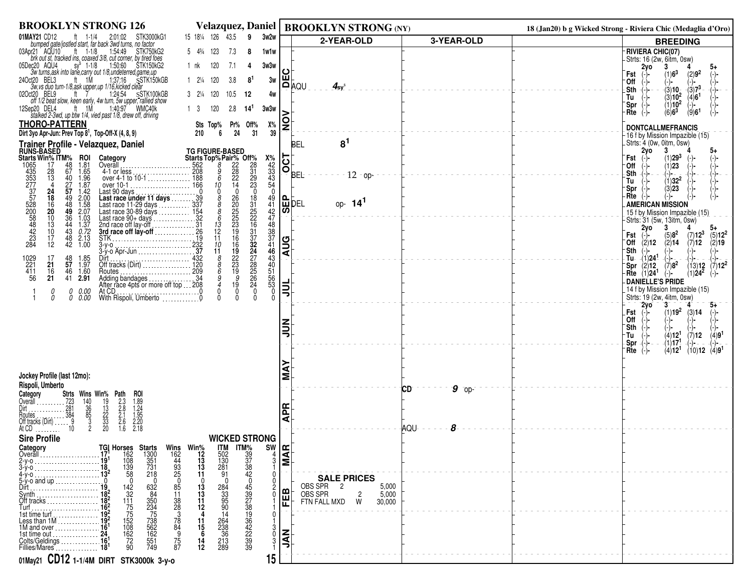| <b>BROOKLYN STRONG 126</b>                                                                                                                                                                                                                                                                                                                   | <b>Velazquez, Daniel</b>                                                                                                                                               |                                                      | <b>BROOKLYN STRONG (NY)</b>                           |               | 18 (Jan20) b g Wicked Strong - Riviera Chic (Medaglia d'Oro)                                 |
|----------------------------------------------------------------------------------------------------------------------------------------------------------------------------------------------------------------------------------------------------------------------------------------------------------------------------------------------|------------------------------------------------------------------------------------------------------------------------------------------------------------------------|------------------------------------------------------|-------------------------------------------------------|---------------|----------------------------------------------------------------------------------------------|
| 01MAY21 CD12<br>STK3000kG1<br>$1 - 1/4$<br>2:01:02<br>bumped gate/jostled start, far back 3wd turns, no factor                                                                                                                                                                                                                               | 15 181/4 126<br>43.5<br>3w2w<br>9                                                                                                                                      |                                                      | 2-YEAR-OLD                                            | 3-YEAR-OLD    | <b>BREEDING</b>                                                                              |
| 03Apr21 AQU10 ft 1-1/8 1:54:49<br>STK750kG2                                                                                                                                                                                                                                                                                                  | 123<br>7.3<br>$5 \frac{43}{4}$<br>8<br>1w1w                                                                                                                            |                                                      |                                                       |               | <b>RIVIERA CHIC(07)</b><br>-Strts: 16 (2w, 6itm, 0sw)                                        |
| brk out st, tracked ins. coaxed 3/8, cut corner, by tired foes<br>ec20 AQU4 sy 1-1/8 150:60 STK150kG2<br>1:50:60 STK150kG2<br>05Dec20 AQU4                                                                                                                                                                                                   | 120<br>7.1<br>3w3w<br>1 nk<br>4                                                                                                                                        |                                                      |                                                       |               | 2yo                                                                                          |
| 3w turns, ask into lane, carry out 1/8, undeterred, game, up<br>24Oct20 BEL3<br>Succional to the Consumerencu, game.up<br>3w.vs duo turn-1/8, ask upper, up 1/16, kicked clear<br>120 BEL9 the Terminal to the Consumer of the STV 100 Decision                                                                                              | 1 21/4 120<br>3.8<br>81                                                                                                                                                | ш<br>3w                                              |                                                       |               | (1)6 <sup>3</sup><br>(2)9 <sup>2</sup><br>Fst<br>'0ff<br>(−)−                                |
| 02Oct20 BEL9                                                                                                                                                                                                                                                                                                                                 | $3 \t2\frac{1}{4} \t120$<br>10.5<br>-12                                                                                                                                | 4w                                                   | i <b>o</b> µo∩<br>$\mathbf{A}_{\mathbf{sy}^\text{S}}$ |               | $\frac{1}{(3)}7^3$<br>.Sth<br>$(3)10^{-}$                                                    |
| off 1/2 beat slow, keen early, 4w turn, 5w upper, rallied show<br>ft 1M<br>1:40:97 WMC40k<br>12Sep20 DEL4                                                                                                                                                                                                                                    | 1 <sup>3</sup><br>120<br>2.8<br>14'                                                                                                                                    | 3w3w                                                 |                                                       |               | $(3)10^{2}$<br>(4)6 <sup>1</sup><br>Tu<br>(1)10 <sup>2</sup><br>`Spr<br>(−)−                 |
| stalked 2-3wd, up btw 1/4, vied past 1/8, drew off, driving                                                                                                                                                                                                                                                                                  |                                                                                                                                                                        |                                                      |                                                       |               | $(6)6^3$<br>(9)6 <sup>1</sup><br>$Rte$ $(-)$                                                 |
| <b>THORO-PATTERN</b><br>Dirt 3yo Apr-Jun: Prev Top 8 <sup>1</sup> , Top-Off-X (4, 8, 9)                                                                                                                                                                                                                                                      | Off%<br>Sts Top%<br>Pr%                                                                                                                                                | $\mathsf{S}$<br>$X\%$<br>39                          |                                                       |               | <b>DONTCALLMEFRANCIS</b>                                                                     |
| Trainer Profile - Velazquez, Daniel                                                                                                                                                                                                                                                                                                          | TG FIGURE-BASED<br>Starts Top% Pair% Off%<br>5562 8 228 231<br>708 9 228 31<br>6 22 29<br>10                                                                           |                                                      | 8 <sup>1</sup><br>BEL                                 |               | -16 f by Mission Impazible (15)<br>Strts: 4 (0w, 0itm, 0sw)                                  |
| <b>RUNS-BASED</b><br>Starts Win% ITM%<br>Category                                                                                                                                                                                                                                                                                            |                                                                                                                                                                        |                                                      |                                                       |               | 2y <sub>o</sub><br>$\mathbf{3}$<br>5+<br>$(1)29^{3}$<br>Fst                                  |
| <b>ROI</b><br>1.81<br>1065<br>48<br>17<br>67<br>1.65<br>28                                                                                                                                                                                                                                                                                   |                                                                                                                                                                        | $\overline{\text{DT}}$                               |                                                       |               | (1)23<br>∙Off                                                                                |
| 435<br>353<br>277<br>4-1 or less<br>over 4-1 to 10-1<br>over 10-1<br>over 10-1<br>$\frac{1.96}{1.87}$<br>13<br>40<br>27                                                                                                                                                                                                                      | $\frac{31}{29}$<br>$23$<br>0                                                                                                                                           |                                                      | BEL'<br>$12 -$ op-                                    |               | Sth<br>-(−)−<br>$(1)32^2$<br>Tu                                                              |
| 57<br>1.42<br>24                                                                                                                                                                                                                                                                                                                             | $\mathbf{0}$                                                                                                                                                           | $\mathbf 0$                                          |                                                       |               | (3)23<br>Spr:<br>Rte<br>(−)−                                                                 |
| $\begin{array}{c} 18 \\ 16 \end{array}$<br>49<br>2.00<br>1.58<br>48                                                                                                                                                                                                                                                                          | $\check{g}$                                                                                                                                                            | $^{49}_{41}$<br>ه ا                                  | l峃bɛ∟<br>op- $14^1$                                   |               | <b>AMERICAN MISSION</b>                                                                      |
| 20<br>49<br>2.07<br>36<br>44<br>$1.03$<br>$1.37$<br>10                                                                                                                                                                                                                                                                                       | 18<br>31<br>25<br>22<br>16<br>$\frac{8}{6}$                                                                                                                            | M                                                    |                                                       |               | 15 f by Mission Impazible (15)<br>Strts: 31 (5w, 13itm, 0sw)                                 |
| 13<br>0.72<br>10<br>43                                                                                                                                                                                                                                                                                                                       | 13<br>12                                                                                                                                                               |                                                      |                                                       |               | 2yo<br>3<br>$(7)12^3$<br>$(5)12^2$<br>$(5)8^2$<br>Fst                                        |
| over 10-1<br>Last 90 days<br>Last 100 days<br>Last race under 11 days<br>Last race 11-29 days<br>Last race 30-89 days<br>Last race 90+ days<br>Last race 90+ days<br>Last race 90+ days<br>Last race 90+ days<br>232<br>27d race of I lay-off<br>STK<br><br>$\begin{array}{c} 17 \\ 12 \end{array}$<br>48<br>$2.13$<br>$1.00$<br>$\ddot{42}$ | $\frac{31}{37}$<br>$32$<br>11<br>10 <sup>2</sup>                                                                                                                       | 42<br>47<br>48<br>33<br>37<br>46<br>46<br><b>AUG</b> |                                                       |               | Off<br>$(2)$ 12<br>(2)14<br>(7)12<br>(2)19                                                   |
| 17                                                                                                                                                                                                                                                                                                                                           | 11                                                                                                                                                                     |                                                      |                                                       |               | ∙Sth<br>(−)−<br>(-)-<br>(-)-<br>Tu-<br>$(1)$ <b>24<sup>1</sup></b><br>-(-)−                  |
| 1029<br>221<br>411<br>Dirt<br>Off tracks (Dirt)<br>120<br>$\frac{48}{57}$<br>1.85<br>1.97<br>21<br>1.60<br>16<br>46                                                                                                                                                                                                                          | $\frac{8}{6}$                                                                                                                                                          |                                                      |                                                       |               | $(7)8^2$<br>$(13)12$ $(7)12^2$<br>(2)12<br>`Spr<br><b>Rte</b> $(1)24^1$<br>$(1)24^2$<br>(−)− |
| Routes<br>Adding bandages<br>After race 4pts or more off top  209<br>After race 4pts or more off top  208<br>56<br>21<br>41 2.91                                                                                                                                                                                                             | $\frac{19}{22}$<br>$\frac{22}{19}$<br>$\frac{9}{19}$<br>24<br>27<br>28<br>25<br>26<br>24                                                                               | 43<br>43<br>55<br>55<br>53                           |                                                       |               | <b>DANIELLE'S PRIDE</b>                                                                      |
| At CD.<br>0.00<br>0<br>$\Omega$<br>0 0.00<br>With Rispoli, Umberto 0                                                                                                                                                                                                                                                                         | $\mathbf 0$<br>0<br>$\mathbf 0$<br>$\Omega$<br>$\Omega$                                                                                                                | ا≣ا<br>$\mathbf 0$<br>$\mathbf{0}$                   |                                                       |               | 14 f by Mission Impazible (15)<br>Strts: 19 (2w, 4itm, 0sw)                                  |
|                                                                                                                                                                                                                                                                                                                                              |                                                                                                                                                                        |                                                      |                                                       |               | $2\overline{y}$ o<br>$3^{-}$<br>$5+$<br>(1)19 <sup>2</sup><br><b>Fst</b>                     |
|                                                                                                                                                                                                                                                                                                                                              |                                                                                                                                                                        |                                                      |                                                       |               | (3)14<br>Off                                                                                 |
|                                                                                                                                                                                                                                                                                                                                              |                                                                                                                                                                        |                                                      |                                                       |               | Sth<br>$(-)$<br>(4)12 <sup>1</sup><br>∙Tu<br>(4)9 <sup>1</sup><br>(7)12                      |
|                                                                                                                                                                                                                                                                                                                                              |                                                                                                                                                                        |                                                      |                                                       |               | (1)17<br>Spr<br>(4)12 <sup>1</sup><br>$(10)12$ $(4)91$<br>Rte                                |
|                                                                                                                                                                                                                                                                                                                                              |                                                                                                                                                                        |                                                      |                                                       |               | (-)-                                                                                         |
| Jockey Profile (last 12mo):                                                                                                                                                                                                                                                                                                                  |                                                                                                                                                                        |                                                      |                                                       |               |                                                                                              |
| Rispoli, Umberto                                                                                                                                                                                                                                                                                                                             |                                                                                                                                                                        | Σ                                                    |                                                       | $9$ op-<br>CD |                                                                                              |
| Strts Wins Win% Path<br>Category<br>roi                                                                                                                                                                                                                                                                                                      |                                                                                                                                                                        |                                                      |                                                       |               |                                                                                              |
|                                                                                                                                                                                                                                                                                                                                              |                                                                                                                                                                        | $\mathbf{E}$                                         |                                                       |               |                                                                                              |
| $\frac{1}{3}$<br>$\frac{1}{3}$<br>$\frac{2}{3}$<br>$\frac{2}{3}$<br>$\frac{2}{3}$<br>2.3<br>2.8<br>2.1<br>2.6<br>1.6<br>1.89<br>1.84<br>1.95<br>2.20<br>2.18<br>$\begin{array}{r} 140 \\ 36 \\ 85 \\ 2 \end{array}$                                                                                                                          |                                                                                                                                                                        | ⋖                                                    |                                                       | 8<br>AQU-     |                                                                                              |
| <b>Sire Profile</b>                                                                                                                                                                                                                                                                                                                          | <b>WICKED STRONG</b>                                                                                                                                                   |                                                      |                                                       |               |                                                                                              |
| Category<br>TGĮ                                                                                                                                                                                                                                                                                                                              |                                                                                                                                                                        | SW<br>$ \mathbf{\Xi} $                               |                                                       |               |                                                                                              |
| <b>Horses Starts</b><br>162 1300<br>108 351<br>139 731<br>2 58 218<br>Overall                                                                                                                                                                                                                                                                | Wins Win%<br>162 12<br>44 13<br>93 13<br>25 11<br>25 11<br><b>ITM</b><br>502<br>130<br>281<br>$\begin{array}{r} 1 \text{TM} \% \\ 39 \\ 37 \\ 38 \\ 42 \\ \end{array}$ | 3<br>ΙΣ                                              |                                                       |               |                                                                                              |
|                                                                                                                                                                                                                                                                                                                                              | 91                                                                                                                                                                     |                                                      | <b>SALE PRICES</b>                                    |               |                                                                                              |
| $\mathbf{0}$<br>$5-y$ -o and up                                                                                                                                                                                                                                                                                                              | $\mathbf{0}$                                                                                                                                                           |                                                      | OBS SPR <sub>2</sub><br>5,000                         |               |                                                                                              |
| 142<br>1175<br>175<br>152<br>108<br>162<br>72<br>90<br>632<br>84<br>3534<br>75<br>73<br>55<br>55<br>55<br>55<br>74<br>9<br>Svnth                                                                                                                                                                                                             | 459789134223933<br>8513883849<br>$\frac{13}{13}$<br>$\frac{11}{12}$<br>284<br>33<br>95<br>90                                                                           | ≃<br>띤                                               | OBS SPR<br>FTN FALL MXD<br>5,000<br>2<br>W<br>30,000  |               |                                                                                              |
| 182<br>Turf<br>Turf<br>Turf<br>192<br>182<br>Less than 1M<br>192<br>194<br>194<br>10<br>10<br>10<br>10<br>10                                                                                                                                                                                                                                 | 14                                                                                                                                                                     |                                                      |                                                       |               |                                                                                              |
|                                                                                                                                                                                                                                                                                                                                              | $\frac{11}{15}$                                                                                                                                                        |                                                      |                                                       |               |                                                                                              |
| 1st time out<br>Colts/Geldings                                                                                                                                                                                                                                                                                                               | 264<br>238<br>236<br>213<br>289                                                                                                                                        | Ιξ<br>$\mathbf{0}$                                   |                                                       |               |                                                                                              |
| Fillies/Mares                                                                                                                                                                                                                                                                                                                                | $\frac{75}{87}$<br>$\frac{14}{12}$                                                                                                                                     |                                                      |                                                       |               |                                                                                              |
| 01May21 CD12 1-1/4M DIRT STK3000k 3-y-0                                                                                                                                                                                                                                                                                                      |                                                                                                                                                                        | 15                                                   |                                                       |               |                                                                                              |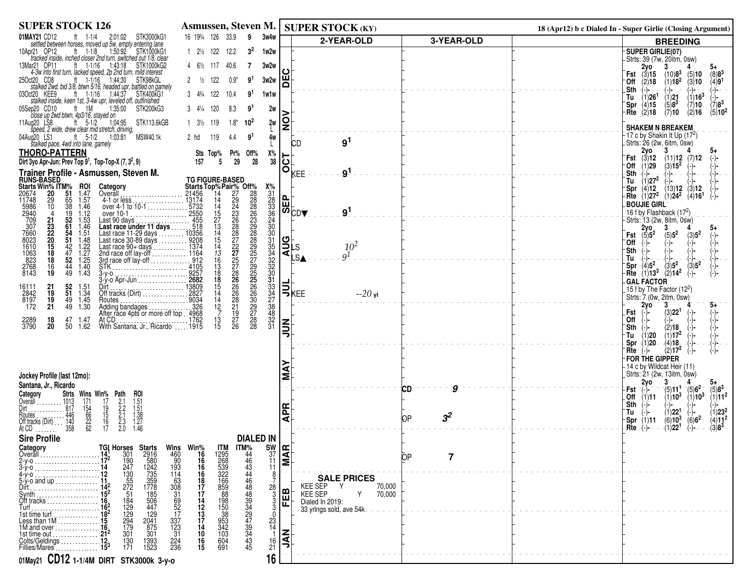| <b>SUPER STOCK 126</b>                                                                                                                                                                                                                                                                                                                                                                                                         | Asmussen, Steven M.                                                                                                                                                                      |                  | <b>SUPER STOCK (KY)</b>                              |                      | 18 (Apr12) b c Dialed In - Super Girlie (Closing Argument)                                                                     |
|--------------------------------------------------------------------------------------------------------------------------------------------------------------------------------------------------------------------------------------------------------------------------------------------------------------------------------------------------------------------------------------------------------------------------------|------------------------------------------------------------------------------------------------------------------------------------------------------------------------------------------|------------------|------------------------------------------------------|----------------------|--------------------------------------------------------------------------------------------------------------------------------|
| 01MAY21 CD12<br>STK3000kG1<br>iAY21 CD12 ft 1-1/4 2:01:02 STK3000kG<br>settled between horses, moved up 5w, empty entering lane                                                                                                                                                                                                                                                                                                | 16 1934 126 33.9<br>3w4w<br>9                                                                                                                                                            |                  | 2-YEAR-OLD                                           | 3-YEAR-OLD           | <b>BREEDING</b>                                                                                                                |
| 10Apr21 OP12<br>ft $1-1/8$<br>1:50:92<br>STK1000kG1                                                                                                                                                                                                                                                                                                                                                                            | $1 \t2\frac{1}{2} \t122$<br>3 <sup>2</sup><br>12.2<br>1w2w                                                                                                                               |                  |                                                      |                      | -SUPER GIRLIE(07)                                                                                                              |
| tracked inside, inched closer 2nd turn, switched out 1/8, clear<br>13Mar21 OP11<br>ft 1-1/16 1:43:18 STK1000kG2                                                                                                                                                                                                                                                                                                                | 4 61/2 117 40.6<br>3w2w<br>-7                                                                                                                                                            |                  |                                                      |                      | - Strts: 39 (7w, 20itm, 0sw)<br>2γο<br>3                                                                                       |
| 4-3w into first turn, lacked speed, 2p 2nd turn, mild interest<br>250ct20 CD8                                                                                                                                                                                                                                                                                                                                                  | 122<br>$0.9*$<br>3w2w<br>$\frac{1}{2}$<br>9'                                                                                                                                             | ш                |                                                      |                      | Fst $(3)$ 15<br>(10)8 <sup>3</sup><br>$^{(8)8^3}_{(4)9^1}$<br>(5)10<br>$(1)18^{2}$<br>$(3)$ 10<br>Off (2)18                    |
| ct20 CD8 ft 1-1/16 1:44:30 STK98kGL<br>stalked 2wd, bid 3/8, btwn 5/16, headed upr, battled on gamely<br>03Oct20 KEE9                                                                                                                                                                                                                                                                                                          | 1و                                                                                                                                                                                       |                  |                                                      |                      | .Sth<br>$(-)$ - $-$<br>(-)- -<br>′-)- −                                                                                        |
| ct20 KEE9 ft 1-1/16 1:44:37 STK400KG<br>stalked inside, keen 1st, 3-4w upr, leveled off, outfinished<br>STK400kG1                                                                                                                                                                                                                                                                                                              | $3 \quad 4\frac{3}{4} \quad 122$<br>10.4<br>1w1w                                                                                                                                         |                  |                                                      |                      | $\binom{7}{7}$ $\binom{3}{7}$<br>(1)16 <sup>3</sup><br>$^{(1)}_{(5)8^3}$<br>(1)26 <sup>1</sup><br>Tu<br>(4)15<br>(7)10<br>`Spr |
| ep20 CD10 ft 1M 1:3!<br>close up 2wd btwn, 4p3/16, stayed on<br>1:35:00<br>05Sep20 CD10<br>STK200kG3                                                                                                                                                                                                                                                                                                                           | 120<br>י9<br>2w<br>$3 \frac{4}{4}$<br>8.3                                                                                                                                                |                  |                                                      |                      | $(5)10^2$<br>Rte $(2)$ 18<br>(7)10<br>(2)16                                                                                    |
| 11Aug20 LS8<br>ug20 LS8 ft 5-1/2 1:04:95 STK113.6kGB<br>speed, 2 wide, drew clear mid stretch, driving,                                                                                                                                                                                                                                                                                                                        | 1 31/2 119<br>$1.8*$<br>$10^2$<br>2w                                                                                                                                                     | g                |                                                      |                      | <b>SHAKEM N BREAKEM</b>                                                                                                        |
| ft 5-1/2 1:03:81 MSW40.1k<br>04Aug20 LS1                                                                                                                                                                                                                                                                                                                                                                                       | 2 hd<br>119<br>4.4<br>9'<br>4w                                                                                                                                                           |                  | 9 <sup>1</sup>                                       |                      | $-17$ c by Shakin It Up (17 <sup>2</sup> )                                                                                     |
| stalked pace, 4wd into lane, gamely<br><b>THORO-PATTERN</b>                                                                                                                                                                                                                                                                                                                                                                    | Х%<br>Sts Top%<br>Off%<br>Pr%                                                                                                                                                            |                  | <b>CD</b>                                            |                      | -Strts: 26 (2w, 6itm, 0sw)<br>2vo 3 4<br>2vo                                                                                   |
| Dirt 3yo Apr-Jun: Prev Top 9 <sup>1</sup> , Top-Top-X (7, 3 <sup>2</sup> , 9)                                                                                                                                                                                                                                                                                                                                                  | 29<br>28<br>38<br>157<br>5                                                                                                                                                               | ٥١               |                                                      |                      | <b>Fst</b> $(3)12$<br>$(11)$ <b>12</b> $(7)$ <b>12</b><br>$(3)$ <b>15<sup>2</sup></b> $(-)$ -<br>0ff<br>(1)29                  |
| Trainer Profile - Asmussen, Steven M.                                                                                                                                                                                                                                                                                                                                                                                          |                                                                                                                                                                                          | O                | 9 <sup>1</sup><br>KEE                                |                      | -(-)−<br>Sth<br>$(-)^{2}$                                                                                                      |
| <b>RUNS-BASED</b><br>Starts Win <sup>%</sup> ITM% ROI<br>Category                                                                                                                                                                                                                                                                                                                                                              | <b>TG FIGURE-BASED</b><br>Starts Top% Pair <sup>%</sup> Off%                                                                                                                             |                  |                                                      |                      | $(1)27^2$<br>Tu<br>(4)12<br>`Spr<br>(3)12                                                                                      |
| 51<br>1.47<br>20674<br>20<br>Overall  21456<br>65<br>1.57<br>11748<br>29                                                                                                                                                                                                                                                                                                                                                       | 27<br>28<br>14<br>28<br>14                                                                                                                                                               | $\mathbf{F}$     |                                                      |                      | $^{(13)}_{(1)24^2}$<br>$(1)27^2$<br>Rte<br>(4)16 <sup>1</sup>                                                                  |
| $\frac{38}{19}$<br>10<br>1.46<br>1.12                                                                                                                                                                                                                                                                                                                                                                                          | $\frac{14}{15}$<br>27                                                                                                                                                                    |                  | $\overline{\omega}_{\mathsf{CDV}}$<br>9 <sup>1</sup> |                      | <b>BOUJIE GIRL</b><br>16 f by Flashback (17 <sup>2</sup> )                                                                     |
| 52<br>21<br>1.53                                                                                                                                                                                                                                                                                                                                                                                                               |                                                                                                                                                                                          |                  |                                                      |                      | Strts: 13 (2w, 8itm, 0sw)                                                                                                      |
| 4-1 or less<br>21456<br>2007 4-1 or less<br>2550<br>2007 10-1<br>2552<br>2550<br>Last race under 11 days<br>2550<br>Last race 11-29 days<br>265<br>Last race 90-4 days<br>2008 days<br>2008 10-2012<br>2008 2008<br>2008 2009 days<br>2008 2009 days<br>2008 10-<br>$\frac{23}{22}$<br>22<br>$\frac{67}{54}$<br>54<br>1.46<br>1.51                                                                                             | 13<br>14                                                                                                                                                                                 |                  |                                                      |                      | 2y0<br>3<br>$(5)5^2$<br>$(5)5^2$<br>$(3)5^2$<br>Fst                                                                            |
| 1.48<br>15                                                                                                                                                                                                                                                                                                                                                                                                                     | 15<br>14                                                                                                                                                                                 |                  | $10^{2}$                                             |                      | ⊺Off                                                                                                                           |
| $\frac{42}{47}$<br>18<br>52<br>18                                                                                                                                                                                                                                                                                                                                                                                              | 13<br>16                                                                                                                                                                                 |                  | $\frac{1}{2}$ is $\frac{1}{2}$<br>9 <sup>1</sup>     |                      | ∙Sth<br>Tu-                                                                                                                    |
| 5986<br>2940<br>709<br>7660<br>8023<br>1610<br>823<br>2768<br>8143<br>$\begin{array}{c} 1.22 \\ 1.27 \\ 1.25 \\ 1.40 \\ 1.43 \end{array}$<br>$\frac{44}{49}$<br>16<br>19                                                                                                                                                                                                                                                       | $\frac{13}{18}$                                                                                                                                                                          |                  |                                                      |                      | $(3)5^2$<br>$(3)5^2$<br>$(4)5^2$<br>'Spr<br>$(2)14^{2}$<br>$-Rte$ (1)13 <sup>3</sup>                                           |
| $3-y-0$<br>3-y-0<br>3-y-0 Apr-Jun<br>Dirt.                                                                                                                                                                                                                                                                                                                                                                                     | 18                                                                                                                                                                                       |                  |                                                      |                      | <b>GAL FACTOR</b>                                                                                                              |
| $^{21}_{19}$<br>$\frac{52}{51}$<br>16111<br>2842<br>8197<br>1.51<br>1.34                                                                                                                                                                                                                                                                                                                                                       | $\frac{15}{14}$                                                                                                                                                                          |                  | $ \bar{\mathbb{B}} _{\mathsf{KEE}}$<br>$-20$ yl      |                      | $-15$ f by The Factor (12 <sup>2</sup> )                                                                                       |
| 19<br>1.45<br>49<br>Routes<br>21<br>172<br>49<br>1.30                                                                                                                                                                                                                                                                                                                                                                          | X323334301542201333333333333333333333333333347888<br>14                                                                                                                                  |                  |                                                      |                      | Strts: 7 (0w, 2itm, 0sw)<br>-3<br><b>2vo</b><br>$5+$                                                                           |
| Adding bandages<br>After race 4pts or more off top 4968<br>18<br>47<br>1.47                                                                                                                                                                                                                                                                                                                                                    | 29<br>27<br>28<br>28<br>$\frac{12}{7}$                                                                                                                                                   |                  |                                                      |                      | (3)22 <sup>1</sup><br>Fst<br>Off<br>′−)−                                                                                       |
| 2289<br>3790<br>20<br>50<br>1.62                                                                                                                                                                                                                                                                                                                                                                                               | $\frac{32}{31}$<br>$\begin{array}{c} 13 \\ 15 \end{array}$                                                                                                                               | $\mathbf{z}$     |                                                      |                      | Sth<br>(2)18                                                                                                                   |
|                                                                                                                                                                                                                                                                                                                                                                                                                                |                                                                                                                                                                                          |                  |                                                      |                      | (1)20<br>$(1)17^{2}$<br>-Tu<br>Spr(1)20<br>(4)18                                                                               |
|                                                                                                                                                                                                                                                                                                                                                                                                                                |                                                                                                                                                                                          |                  |                                                      |                      | $(2)17^{2}$<br>Rte<br>$(-)$                                                                                                    |
|                                                                                                                                                                                                                                                                                                                                                                                                                                |                                                                                                                                                                                          |                  |                                                      |                      | -FOR THE GIPPER<br>-14 c by Wildcat Heir (11)                                                                                  |
| Jockey Profile (last 12mo):                                                                                                                                                                                                                                                                                                                                                                                                    |                                                                                                                                                                                          |                  |                                                      |                      | _Strts: 21 (2w, 13itm, 0sw)                                                                                                    |
| Santana, Jr., Ricardo                                                                                                                                                                                                                                                                                                                                                                                                          |                                                                                                                                                                                          |                  |                                                      | g<br>СD              | 2νο<br>3<br>$(5)6^2$<br>$(5)8^3$<br>$(5)$ 11 <sup>1</sup><br>-Fst (-)-                                                         |
| Strts Wins Win% Path<br>roi<br>$\frac{1.51}{1.51}$<br>17<br>171                                                                                                                                                                                                                                                                                                                                                                |                                                                                                                                                                                          |                  |                                                      |                      | $(1)10^3$<br>(1)10 <sup>3</sup><br>(1)11 <sup>2</sup><br>_Off (1)11                                                            |
| $2.1$<br>$2.2$<br>$2.3$<br>$2.3$<br>$2.0$<br>$\frac{154}{66}$<br>$\frac{22}{62}$<br>$\frac{19}{15}$<br>$\frac{15}{16}$                                                                                                                                                                                                                                                                                                         |                                                                                                                                                                                          | œ<br>ᇟ           |                                                      |                      | Sth<br>(-)-<br>(-)-<br>(-)-<br>$(1)23^{2}$<br>(1)22 <sup>1</sup><br>Tu i                                                       |
| $\frac{1.38}{1.27}$<br>1.46<br>Routes<br>Off tracks (Dirt)  140<br>At CD  358                                                                                                                                                                                                                                                                                                                                                  |                                                                                                                                                                                          | ⋖                |                                                      | 3 <sup>2</sup><br>ЮP | $(6)6^2$<br>$(4)11^{2}$<br>$-$ Spr $(1)$ 11<br>$(6)10^3$<br>$(3)8^{3}$<br>(1)22 <sup>1</sup><br>Rte<br>$-(-)$ - .              |
| <b>Sire Profile</b>                                                                                                                                                                                                                                                                                                                                                                                                            | <b>DIALED IN</b>                                                                                                                                                                         |                  |                                                      |                      |                                                                                                                                |
| Category                                                                                                                                                                                                                                                                                                                                                                                                                       | <b>ITM</b>                                                                                                                                                                               |                  |                                                      |                      |                                                                                                                                |
| Overall                                                                                                                                                                                                                                                                                                                                                                                                                        |                                                                                                                                                                                          | $\frac{137}{37}$ |                                                      | 7<br>ЮP              |                                                                                                                                |
|                                                                                                                                                                                                                                                                                                                                                                                                                                | 1295<br>268<br>539<br>532<br>32166<br>859<br>88<br>198<br>150<br>38<br>11<br>8                                                                                                           |                  |                                                      |                      |                                                                                                                                |
| 5-y-o and up<br>Dirt                                                                                                                                                                                                                                                                                                                                                                                                           | 28                                                                                                                                                                                       |                  | <b>SALE PRICES</b><br><b>KEE SEP</b><br>Y<br>70,000  |                      |                                                                                                                                |
| Synth                                                                                                                                                                                                                                                                                                                                                                                                                          |                                                                                                                                                                                          | ≃                | <b>KEE SEP</b><br>70,000<br>Y                        |                      |                                                                                                                                |
| Off tracks                                                                                                                                                                                                                                                                                                                                                                                                                     |                                                                                                                                                                                          | 闿                | Dialed In 2019:<br>33 yrings sold, ave 54k           |                      |                                                                                                                                |
| Less than 1M 15                                                                                                                                                                                                                                                                                                                                                                                                                |                                                                                                                                                                                          |                  |                                                      |                      |                                                                                                                                |
| $\begin{array}{r rr} \textbf{TGI} & \textbf{Horses} & \textbf{Starts} \\ \textbf{14} & 301 & 2916 \\ \textbf{17} & 190 & 580 \\ \textbf{14} & 247 & 1247 \\ \textbf{12} & 130 & 735 \\ \textbf{14} & 2272 & 1778 \\ \textbf{15} & 1272 & 1785 \\ \textbf{16} & 184 & 506 \\ \textbf{17} & 162 & 247 \\ \textbf{18} & 129 & 429 \\ \textbf{19} & 129 & 2041$<br>16<br>1M and over<br>1st time out<br>301<br>1st time out<br>301 | 23<br>14                                                                                                                                                                                 | Z                |                                                      |                      |                                                                                                                                |
| $\frac{130}{171}$<br>Colts/Geldings<br>1393<br>1523<br>Fillies/Mares                                                                                                                                                                                                                                                                                                                                                           | Wins Win%<br>460 16<br>993 114 16<br>1838 114 17<br>630 31 17<br>692 17<br>592 17<br>1822<br>17<br>337<br>337<br>337<br>331 10<br>224<br>953<br>342<br>103<br>604<br>691<br>$^{16}_{21}$ | $\overline{z}$   |                                                      |                      |                                                                                                                                |
| 01May21 CD12 1-1/4M DIRT STK3000k 3-y-0                                                                                                                                                                                                                                                                                                                                                                                        | 16                                                                                                                                                                                       |                  |                                                      |                      |                                                                                                                                |
|                                                                                                                                                                                                                                                                                                                                                                                                                                |                                                                                                                                                                                          |                  |                                                      |                      |                                                                                                                                |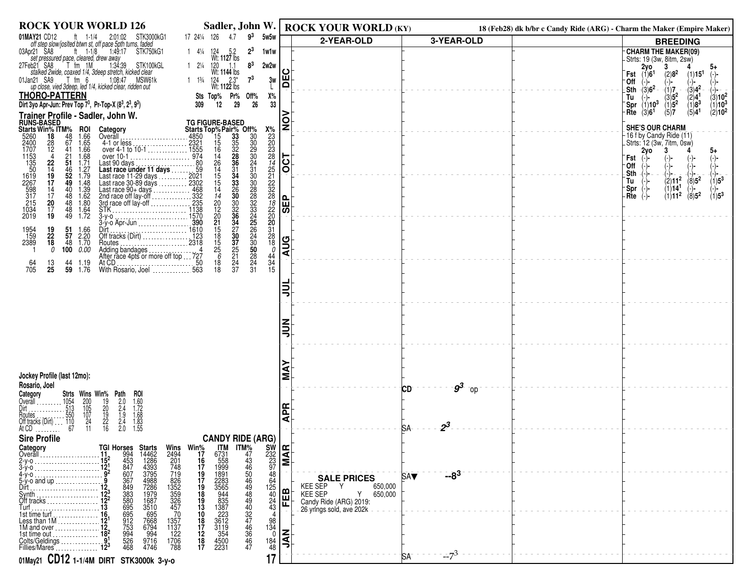| <b>ROCK YOUR WORLD 126</b>                                                                                                                                                                                                                                                                                | Sadler, John W.                                                                                                                                                                                                                                             |                                                       | <b>ROCK YOUR WORLD (KY)</b>                                                         |                    | 18 (Feb28) dk b/br c Candy Ride (ARG) - Charm the Maker (Empire Maker) |                                                                                                                                                                                           |
|-----------------------------------------------------------------------------------------------------------------------------------------------------------------------------------------------------------------------------------------------------------------------------------------------------------|-------------------------------------------------------------------------------------------------------------------------------------------------------------------------------------------------------------------------------------------------------------|-------------------------------------------------------|-------------------------------------------------------------------------------------|--------------------|------------------------------------------------------------------------|-------------------------------------------------------------------------------------------------------------------------------------------------------------------------------------------|
| 01MAY21 CD12<br>STK3000kG1<br>ft 1-1/4 2:01:02<br>off step slow/josited btwn st, off pace 5pth turns, faded                                                                                                                                                                                               | $9^3$<br>17 241/4 126<br>4.7<br>5w5w                                                                                                                                                                                                                        |                                                       | 2-YEAR-OLD                                                                          | 3-YEAR-OLD         |                                                                        | <b>BREEDING</b>                                                                                                                                                                           |
| 03Apr21 SA8<br>ft $1-1/8$<br>Set pressured pace, cleared, drew away<br>https://www.inductured.org/1.34.39<br>https://www.inductured.org/1.34.39<br>27Feb21 SA8<br>STK100kGL                                                                                                                               | $2^3$<br>1 $4\frac{1}{4}$ 124 5.2<br>Wt: 1127 lbs<br>1w1w<br>$8^3$<br>2w2w                                                                                                                                                                                  |                                                       |                                                                                     |                    |                                                                        | <b>CHARM THE MAKER(09)</b><br>-Strts: 19 (3w, 8itm, 2sw)<br>3                                                                                                                             |
| stalked 2wide, coaxed 1/4, 3deep stretch, kicked clear<br>01Jan21 SA9<br>$T$ fm $6$<br>1:08:47 MSW61k                                                                                                                                                                                                     | $12\frac{1}{4}$ $\frac{120}{1144}$ $\frac{11}{1144}$ lbs<br>$7^3$<br>1 $1\frac{13}{4}$ $\frac{124}{122}$ $\frac{2.3^*}{122}$ lbs<br>3w                                                                                                                      | ш                                                     |                                                                                     |                    |                                                                        | $2y0$<br>(1)6 <sup>1</sup><br>5+<br>(2)8 <sup>2</sup><br>(1)15 <sup>1</sup><br>Fst<br>∙Off<br>(-)-<br>(−)−<br>(−)−                                                                        |
| up close, vied 3deep, led 1/4, kicked clear, ridden out<br><b>THORO-PATTERN</b>                                                                                                                                                                                                                           | Sts Top% Pr% Off%<br>Х%                                                                                                                                                                                                                                     | ⊺⊺                                                    |                                                                                     |                    |                                                                        | $-(3)6^2$<br>$-(3)4^2$<br>.Sth<br>(2)4 <sup>1</sup><br>$(3)10^{2}$<br>Tu                                                                                                                  |
| Dirt 3yo Apr-Jun: Prev Top 73, Pr-Top-X (83, 23, 93)                                                                                                                                                                                                                                                      |                                                                                                                                                                                                                                                             |                                                       |                                                                                     |                    |                                                                        | $\begin{array}{c} (1)7 \ (3)5^2 \ (1)5^2 \ (5)7 \end{array}$<br>$\sqrt{1/8^3}$<br>Spr $(1)10^3$<br>$(1)10^{3}$<br>$(2)^1$ 0 <sup>2</sup><br>(3)6 <sup>1</sup><br>(5)4 <sup>1</sup><br>Rte |
| Trainer Profile - Sadler, John W.<br>RUNS-BASED<br>Starts Win% ITM% ROI Category<br>5260 18 48 1.66 Overall                                                                                                                                                                                               |                                                                                                                                                                                                                                                             | $\frac{1}{2}$                                         |                                                                                     |                    |                                                                        | <b>SHE'S OUR CHARM</b>                                                                                                                                                                    |
| Overall [1, 2001] Overall 1, 2002<br>$\frac{28}{12}$<br>67<br>1.65                                                                                                                                                                                                                                        |                                                                                                                                                                                                                                                             |                                                       |                                                                                     |                    |                                                                        | 16 f by Candy Ride (11)<br>. Strts: 12 (3w, 7itm, 0̀sẃ)                                                                                                                                   |
| $4.1$ or less<br>over 4-1 to 10-1<br>over 10-1<br>over 10-1<br>41<br>1.66<br>1.68<br>$\frac{21}{51}$<br>1.71                                                                                                                                                                                              | 12<br>TG FIGURE-BASED<br>Starts Top% Pair% Off%<br>4850<br>15 335 30<br>16 322 29 23<br>14 28 30<br>14 28 30<br>27<br>31                                                                                                                                    | OCT                                                   |                                                                                     |                    |                                                                        | 2yo<br>5+<br>Fst                                                                                                                                                                          |
| 2400<br>1707<br>1153<br>135<br>509<br>161<br>22<br>599<br>317<br>5<br>312<br>15<br>$\frac{22}{14}$<br>$\frac{14}{19}$<br>$\frac{17}{17}$<br>46 1.27<br>52 1.79                                                                                                                                            | $\frac{24}{31}$<br>$30$<br>$\frac{26}{14}$<br>$\frac{31}{34}$<br>15                                                                                                                                                                                         |                                                       |                                                                                     |                    |                                                                        | <b>Off</b><br>Sth<br>$(2)11^{2}$<br>$(8)5^2$<br>$(1)5^3$<br>Tu                                                                                                                            |
| 49<br>1.48<br>$^{40}_{48}$<br>$^{14}_{17}$                                                                                                                                                                                                                                                                | $\frac{15}{14}$<br>$\frac{33}{26}$<br>30                                                                                                                                                                                                                    |                                                       |                                                                                     |                    |                                                                        | (1)14 <sup>1</sup><br>∵Spr<br>$\binom{-}{1}$ =3<br>$\langle 8\rangle$ 5 <sup>2</sup><br>(1)11 <sup>2</sup><br>Rte                                                                         |
| $\begin{array}{c} 1.39 \\ 1.62 \\ 1.80 \\ 1.64 \\ 1.72 \end{array}$<br>20<br>$\frac{48}{48}$<br>48<br>1034<br>2019<br>17                                                                                                                                                                                  | $\frac{20}{12}$<br>20<br>$\frac{30}{32}$<br>38                                                                                                                                                                                                              | l읎<br> あ                                              |                                                                                     |                    |                                                                        |                                                                                                                                                                                           |
| 19<br>3-y-o Apr-Jun                                                                                                                                                                                                                                                                                       | $\frac{21}{15}$<br>18<br>.390<br>$\frac{34}{27}$<br>30                                                                                                                                                                                                      |                                                       |                                                                                     |                    |                                                                        |                                                                                                                                                                                           |
| 1954<br>159<br>2389<br>$\begin{array}{c} 19 \\ 22 \\ 18 \end{array}$<br>$\frac{51}{57}$<br>1.66<br>2.20<br>48<br>1.70<br>Routes.<br>.                                                                                                                                                                     | 37<br>2318                                                                                                                                                                                                                                                  | <b>AUG</b>                                            |                                                                                     |                    |                                                                        |                                                                                                                                                                                           |
| 0<br>100 0.00<br>-1<br>At CD.                                                                                                                                                                                                                                                                             | $\frac{15}{25}$<br>$\frac{25}{21}$<br>$\frac{0}{44}$<br>34<br>15<br>$\frac{24}{37}$<br>$\frac{24}{31}$<br>$\frac{18}{18}$                                                                                                                                   |                                                       |                                                                                     |                    |                                                                        |                                                                                                                                                                                           |
| $\frac{64}{705}$<br>$\frac{13}{25}$<br>44<br>59<br>1.19<br>1.76<br>With Rosario, Joel                                                                                                                                                                                                                     |                                                                                                                                                                                                                                                             |                                                       |                                                                                     |                    |                                                                        |                                                                                                                                                                                           |
|                                                                                                                                                                                                                                                                                                           |                                                                                                                                                                                                                                                             |                                                       |                                                                                     |                    |                                                                        |                                                                                                                                                                                           |
|                                                                                                                                                                                                                                                                                                           |                                                                                                                                                                                                                                                             |                                                       |                                                                                     |                    |                                                                        |                                                                                                                                                                                           |
|                                                                                                                                                                                                                                                                                                           |                                                                                                                                                                                                                                                             |                                                       |                                                                                     |                    |                                                                        |                                                                                                                                                                                           |
|                                                                                                                                                                                                                                                                                                           |                                                                                                                                                                                                                                                             |                                                       |                                                                                     |                    |                                                                        |                                                                                                                                                                                           |
|                                                                                                                                                                                                                                                                                                           |                                                                                                                                                                                                                                                             |                                                       |                                                                                     |                    |                                                                        |                                                                                                                                                                                           |
| Jockey Profile (last 12mo):                                                                                                                                                                                                                                                                               |                                                                                                                                                                                                                                                             | Σ                                                     |                                                                                     |                    |                                                                        |                                                                                                                                                                                           |
| Rosario, Joel<br>Category<br>Overall<br>Strts Wins Win% Path<br>roi                                                                                                                                                                                                                                       |                                                                                                                                                                                                                                                             |                                                       |                                                                                     | $g^3$<br>CD<br>-op |                                                                        |                                                                                                                                                                                           |
| Overall<br>Dirt<br>Dirt<br>Routes 550<br>Ciff tracks (Dirt) 110<br>At CD<br>2000 1110<br>$\frac{200}{105}$<br>$\frac{105}{24}$<br>$\frac{24}{11}$<br>$2.0$<br>$2.4$<br>$1.9$<br>$2.4$<br>$2.0$<br>$1.60$<br>$1.72$<br>$1.68$<br>$1.83$<br>$1.55$<br>$\frac{19}{20}$<br>$\frac{19}{22}$<br>$\frac{22}{16}$ |                                                                                                                                                                                                                                                             | ᅂ                                                     |                                                                                     |                    |                                                                        |                                                                                                                                                                                           |
|                                                                                                                                                                                                                                                                                                           |                                                                                                                                                                                                                                                             | ₹                                                     |                                                                                     | $2^3$<br>SA.       |                                                                        |                                                                                                                                                                                           |
| <b>Sire Profile</b><br>Category                                                                                                                                                                                                                                                                           | <b>CANDY RIDE (ARG)</b><br><b>ITM</b>                                                                                                                                                                                                                       |                                                       |                                                                                     |                    |                                                                        |                                                                                                                                                                                           |
| Overall<br>2-у-о<br>3-у-о                                                                                                                                                                                                                                                                                 | Wins Win <sup>%</sup><br>2494 17<br>201 16<br>748 17                                                                                                                                                                                                        | $\begin{bmatrix} 5W \\ 232 \\ 23 \\ 97 \end{bmatrix}$ |                                                                                     |                    |                                                                        |                                                                                                                                                                                           |
| 4-y-o<br>5-y-o and up                                                                                                                                                                                                                                                                                     | $\ddot{48}$<br>64                                                                                                                                                                                                                                           |                                                       | <b>SALE PRICES</b>                                                                  | $-8^{3}$<br>SA▼    |                                                                        |                                                                                                                                                                                           |
| 719<br>826<br>1352<br>1359<br>326<br>457<br>457<br>70<br>Dirt<br>Svnth<br>Off tracks $\ldots$ $\ldots$ $\ldots$ $\ldots$                                                                                                                                                                                  | 125<br>40                                                                                                                                                                                                                                                   | <b>FEB</b>                                            | KEE SEP<br>Y<br>650,000<br><b>KEE SEP</b><br>650,000<br>Y<br>Candy Ride (ARG) 2019: |                    |                                                                        |                                                                                                                                                                                           |
| <b>TGI Horses Starts<br/> 112</b> 994 14462<br>1924 453 1288<br>1924 667 4988<br>1924 867 4988<br>1922 383 1979<br>1222 5880 1687<br>1222 7586 695<br>1912 7668<br>1912 7668<br>1912 7688<br>1912 7688<br>1912 7688<br>1912 994 994<br>1912 994 994<br>1912 994 994                                       | ITM%<br>47346<br>5044949444443444434444344443444<br>6731<br>5589913991<br>199913283564<br>3856933722<br>36433722<br>36133722<br>3613322<br>4500<br>2231<br>19<br>17<br>18<br>19<br>13<br>10<br>18<br>17<br>12<br>18<br>17<br>$^{24}_{43}$<br>$\overline{4}$ |                                                       | 26-yrlngs-sold, ave 202k                                                            |                    |                                                                        |                                                                                                                                                                                           |
| 1357<br>1137<br>1M and over $\ldots$ 12,<br>1st time out                                                                                                                                                                                                                                                  | $\begin{array}{c} 98 \\ 134 \\ 0 \end{array}$                                                                                                                                                                                                               |                                                       |                                                                                     |                    |                                                                        |                                                                                                                                                                                           |
| $\frac{122}{1706}$<br>788<br>Colts/Geldings<br>Fillies/Mares                                                                                                                                                                                                                                              | $\frac{184}{48}$                                                                                                                                                                                                                                            | K                                                     |                                                                                     |                    |                                                                        |                                                                                                                                                                                           |
| 01May21 CD12 1-1/4M DIRT STK3000k 3-y-0                                                                                                                                                                                                                                                                   | 17                                                                                                                                                                                                                                                          |                                                       |                                                                                     | $-7^{3}$<br>SA     |                                                                        |                                                                                                                                                                                           |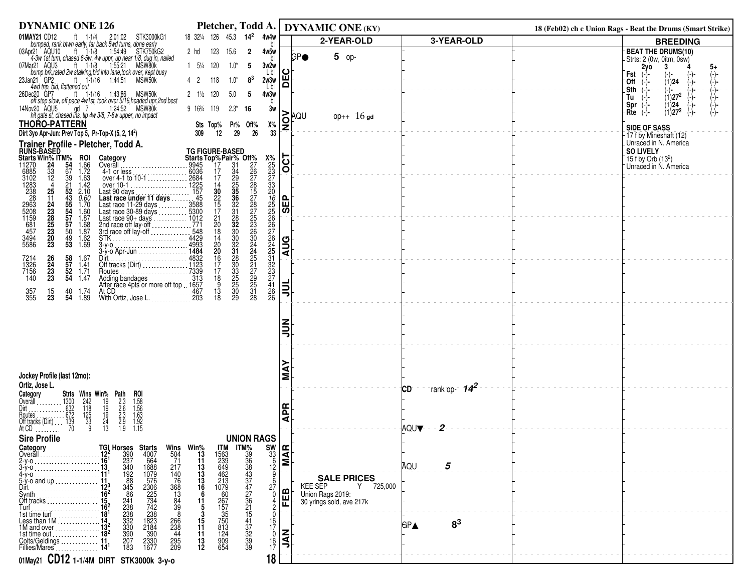| <b>DYNAMIC ONE 126</b>                                                                                                                                                                                                                                                                                                                                                                                                                                         |                                                                                                                                                                                                                                                                                |                                                                              |                  | Pletcher, Todd A.   DYNAMIC ONE (KY)     |                              | 18 (Feb02) ch c Union Rags - Beat the Drums (Smart Strike)  |
|----------------------------------------------------------------------------------------------------------------------------------------------------------------------------------------------------------------------------------------------------------------------------------------------------------------------------------------------------------------------------------------------------------------------------------------------------------------|--------------------------------------------------------------------------------------------------------------------------------------------------------------------------------------------------------------------------------------------------------------------------------|------------------------------------------------------------------------------|------------------|------------------------------------------|------------------------------|-------------------------------------------------------------|
| 01MAY21 CD12<br>ft 1-1/4<br>2:01:02 STK3000kG1<br>bumped, rank btwn early, far back 5wd turns, done early                                                                                                                                                                                                                                                                                                                                                      | 18 321/4 126 45.3 14 <sup>2</sup> 4w4w                                                                                                                                                                                                                                         |                                                                              |                  | 2-YEAR-OLD                               | 3-YEAR-OLD                   | <b>BREEDING</b>                                             |
| 03Apr21 AQU10 ft 1-1/8<br>1:54:49<br>STK750kG2                                                                                                                                                                                                                                                                                                                                                                                                                 | 2 hd<br>123<br>15.6                                                                                                                                                                                                                                                            | $\overline{2}$<br>4w5w                                                       | <b>GP●</b>       | 5 op-                                    |                              | <b>BEAT THE DRUMS(10)</b>                                   |
| 4-3w 1st turn, chased 6-5w, 4w uppr, up near 1/8, dug in, nailed<br>ar21 AQU3 tt 1-1/8 1:55:21 MSW80k<br>07Mar21 AQU3                                                                                                                                                                                                                                                                                                                                          | $1\quad 5\frac{1}{4}$ 120<br>$1.0*$                                                                                                                                                                                                                                            | - 5                                                                          |                  |                                          |                              | Strts: 2 (0w, 0itm, 0sw)<br>2yo<br>3<br>5+                  |
| ar21 AQU3 <sup>7</sup> ft 1-1/8 1-155:21 MSW80k<br>bump brk, rated 2w stalking, bid into lane, took over, kept busy<br>nn21 GP2, ft 1-1/16 1:44:51 MSW50k                                                                                                                                                                                                                                                                                                      |                                                                                                                                                                                                                                                                                | 3w2w<br>L bl                                                                 | $\mathbf C$      |                                          |                              | Fst<br>$\binom{-}{-}$<br>$(-)$<br>(−)−                      |
| 23Jan21 GP2<br>4wd trip, bid, flattened out                                                                                                                                                                                                                                                                                                                                                                                                                    | 4 <sub>2</sub><br>118<br>$1.0*$                                                                                                                                                                                                                                                | $8^3$<br>2w3w<br>Lbl                                                         | B                |                                          |                              | (1) <b>24</b><br>'0ff<br>.Sth<br>(-)- −                     |
| 26Dec20 GP7<br>ec20 GP7 ft 1-1/16 1:43:86 MSW50k<br>off step slow, off pace 4w1st, took over 5/16,headed upr,2nd best                                                                                                                                                                                                                                                                                                                                          | $2 \frac{1}{2}$ 120<br>5.0                                                                                                                                                                                                                                                     | 4w3w<br>-5                                                                   |                  |                                          |                              | $\begin{pmatrix} -1 \\ -1 \end{pmatrix}$<br>$(1)27^2$<br>Tu |
| 14Nov20 AQU5<br>gd 7<br>1:24:52 MSW80k                                                                                                                                                                                                                                                                                                                                                                                                                         | 9 163/4 119<br>$2.3*$                                                                                                                                                                                                                                                          | 3w<br>-16                                                                    |                  |                                          |                              | <b>Spr</b><br>(1)24<br>$(1)27^2$                            |
| hit gate st, chased ins, tip 4w 3/8, 7-8w upper, no impact                                                                                                                                                                                                                                                                                                                                                                                                     |                                                                                                                                                                                                                                                                                |                                                                              | RAQU             | $opp++ 16$ gd                            |                              | Rte<br>$(-)$ -<br>(−)−                                      |
| <b>THORO-PATTERN</b><br>Dirt 3yo Apr-Jun: Prev Top 5, Pr-Top-X (5, 2, 14 <sup>2</sup> )                                                                                                                                                                                                                                                                                                                                                                        | Sts Top%<br>Pr% Off%<br>12<br>29<br>309                                                                                                                                                                                                                                        | Х%<br>33<br>26                                                               | <u>lo</u>        |                                          |                              | <b>SIDE OF SASS</b>                                         |
|                                                                                                                                                                                                                                                                                                                                                                                                                                                                |                                                                                                                                                                                                                                                                                |                                                                              |                  |                                          |                              | 17 f by Mineshaft (12)<br>Unraced in N. America             |
|                                                                                                                                                                                                                                                                                                                                                                                                                                                                |                                                                                                                                                                                                                                                                                |                                                                              |                  |                                          |                              | <b>SO LIVELY</b>                                            |
|                                                                                                                                                                                                                                                                                                                                                                                                                                                                |                                                                                                                                                                                                                                                                                |                                                                              | $\overline{OCT}$ |                                          |                              | 15 f by Orb $(13^2)$<br>Unraced in N. America               |
| Diri siyo Aprovince Profile - Pletcher, Todd A.<br>RUNS-BASED - Pletcher, Todd A.<br>Runs-BASED - 1.02<br>1270 - 24 54 1.66 Overall<br>6885 - 33 9 1.63 overall<br>3102 - 24 54 1.66 Overall<br>3102 - 24<br>$4-1$ or less<br>$4-1$ or less<br>$0$ over $4-1$ to $10-1$<br>$2684$<br>over $10-1$<br>Last 90 days<br>Last race under 11 days<br>Last race 11-29 days<br>Last race $30-89$ days<br>Last race $30-89$ days<br>Last race $30-89$ days<br>Last race |                                                                                                                                                                                                                                                                                |                                                                              |                  |                                          |                              |                                                             |
|                                                                                                                                                                                                                                                                                                                                                                                                                                                                |                                                                                                                                                                                                                                                                                |                                                                              |                  |                                          |                              |                                                             |
|                                                                                                                                                                                                                                                                                                                                                                                                                                                                |                                                                                                                                                                                                                                                                                |                                                                              |                  |                                          |                              |                                                             |
|                                                                                                                                                                                                                                                                                                                                                                                                                                                                |                                                                                                                                                                                                                                                                                |                                                                              | <b>ABS</b>       |                                          |                              |                                                             |
|                                                                                                                                                                                                                                                                                                                                                                                                                                                                |                                                                                                                                                                                                                                                                                |                                                                              |                  |                                          |                              |                                                             |
|                                                                                                                                                                                                                                                                                                                                                                                                                                                                |                                                                                                                                                                                                                                                                                |                                                                              |                  |                                          |                              |                                                             |
|                                                                                                                                                                                                                                                                                                                                                                                                                                                                |                                                                                                                                                                                                                                                                                |                                                                              | $\frac{1}{2}$    |                                          |                              |                                                             |
|                                                                                                                                                                                                                                                                                                                                                                                                                                                                |                                                                                                                                                                                                                                                                                |                                                                              |                  |                                          |                              |                                                             |
| 26<br>24<br>23<br>23<br>58<br>57<br>52<br>54<br>7214<br>1326<br>7156<br>140<br>1.67<br>1.41<br>1.71                                                                                                                                                                                                                                                                                                                                                            |                                                                                                                                                                                                                                                                                |                                                                              |                  |                                          |                              |                                                             |
| Routes<br>Adding bandages<br>Adding bandages<br>After race 4pts or more off top 1657<br>1.47                                                                                                                                                                                                                                                                                                                                                                   |                                                                                                                                                                                                                                                                                |                                                                              |                  |                                          |                              |                                                             |
| At CD.<br>357<br>355<br>$\frac{15}{23}$<br>40<br>1.74                                                                                                                                                                                                                                                                                                                                                                                                          |                                                                                                                                                                                                                                                                                | X2223245666764512322222222222224222                                          | <b>TIT</b>       |                                          |                              |                                                             |
| 1.89<br>54<br>With Ortiz, Jose L. 203                                                                                                                                                                                                                                                                                                                                                                                                                          | <b>TG FIGURE-BASED</b><br><b>Starts Top%Pair% Off%</b><br>17 31 226<br>17 31 226<br>17 31 226<br>17 326<br>17 326<br>17 326<br>17 4225<br>17 548 30 225<br>17 548 18 30 225<br>17 548 18 30 225<br>17 548 18 30 225<br>11 4429<br>1434<br>1434<br>1434<br>1432 16<br>11333<br> |                                                                              |                  |                                          |                              |                                                             |
|                                                                                                                                                                                                                                                                                                                                                                                                                                                                |                                                                                                                                                                                                                                                                                |                                                                              |                  |                                          |                              |                                                             |
|                                                                                                                                                                                                                                                                                                                                                                                                                                                                |                                                                                                                                                                                                                                                                                |                                                                              | ミミ               |                                          |                              |                                                             |
|                                                                                                                                                                                                                                                                                                                                                                                                                                                                |                                                                                                                                                                                                                                                                                |                                                                              |                  |                                          |                              |                                                             |
|                                                                                                                                                                                                                                                                                                                                                                                                                                                                |                                                                                                                                                                                                                                                                                |                                                                              |                  |                                          |                              |                                                             |
|                                                                                                                                                                                                                                                                                                                                                                                                                                                                |                                                                                                                                                                                                                                                                                |                                                                              |                  |                                          |                              |                                                             |
| Jockey Profile (last 12mo):                                                                                                                                                                                                                                                                                                                                                                                                                                    |                                                                                                                                                                                                                                                                                |                                                                              | ⋖<br>Σ           |                                          |                              |                                                             |
| Ortiz, Jose L.                                                                                                                                                                                                                                                                                                                                                                                                                                                 |                                                                                                                                                                                                                                                                                |                                                                              |                  |                                          | -rank op- $14^2$<br>CD       |                                                             |
| Category<br>Overall<br>Strts Wins Win% Path                                                                                                                                                                                                                                                                                                                                                                                                                    |                                                                                                                                                                                                                                                                                |                                                                              |                  |                                          |                              |                                                             |
|                                                                                                                                                                                                                                                                                                                                                                                                                                                                |                                                                                                                                                                                                                                                                                |                                                                              | <b>APR</b>       |                                          |                              |                                                             |
| ROI<br>1.58<br>1.56<br>1.63<br>1.92<br>1.15<br>$\frac{242}{118}$<br>$\frac{125}{33}$<br>$\frac{33}{9}$<br>$\frac{19}{19}$<br>$\frac{19}{24}$<br>$\frac{24}{13}$<br>2:3<br>2:56<br>2:56<br>1:9                                                                                                                                                                                                                                                                  |                                                                                                                                                                                                                                                                                |                                                                              |                  |                                          |                              |                                                             |
| <b>Sire Profile</b>                                                                                                                                                                                                                                                                                                                                                                                                                                            |                                                                                                                                                                                                                                                                                | <b>UNION RAGS</b>                                                            |                  |                                          | 2<br><b>AQUV</b>             |                                                             |
|                                                                                                                                                                                                                                                                                                                                                                                                                                                                | <b>IIM</b>                                                                                                                                                                                                                                                                     |                                                                              |                  |                                          |                              |                                                             |
| Category<br>Overall<br>504<br>71                                                                                                                                                                                                                                                                                                                                                                                                                               | Wins Win <sup>%</sup><br>504 13                                                                                                                                                                                                                                                |                                                                              |                  |                                          |                              |                                                             |
| <b>TGI Horses Starts</b><br>12 <sup>2</sup> 390 4007<br>16 <sup>1</sup> 237 664<br>13 <sub>1</sub> 340 1688<br>217                                                                                                                                                                                                                                                                                                                                             | $\frac{11}{13}$                                                                                                                                                                                                                                                                | $\frac{\text{SW}}{\text{S}}$                                                 |                  |                                          | 5<br>AQU                     |                                                             |
| $\frac{192}{88}$<br>1079<br>576<br>140<br>4-y-o<br>76<br>$5-y$ -o and up                                                                                                                                                                                                                                                                                                                                                                                       | 1563<br>239<br>649<br>642<br>462<br>213<br>1079<br>13<br>$\frac{13}{16}$                                                                                                                                                                                                       |                                                                              |                  | <b>SALE PRICES</b>                       |                              |                                                             |
| 345<br>368<br>Dirt<br>86                                                                                                                                                                                                                                                                                                                                                                                                                                       | 6                                                                                                                                                                                                                                                                              | 27<br>0                                                                      | മ                | Y 725,000<br>KEE SEP<br>Union Rags 2019: |                              |                                                             |
| 2306<br>225<br>734<br>742<br>$\begin{array}{c} 13 \\ 84 \\ 39 \end{array}$<br>Un tracks<br>Turf<br>$16^2$<br>$16^2$                                                                                                                                                                                                                                                                                                                                            | 11                                                                                                                                                                                                                                                                             |                                                                              | 屉                | 30 yrlngs sold, ave 217k                 |                              |                                                             |
| 241<br>238<br>238<br>332<br>332<br>330<br>238<br>8                                                                                                                                                                                                                                                                                                                                                                                                             | 60<br>267<br>157<br>150<br>750<br>813                                                                                                                                                                                                                                          | $\Omega$                                                                     |                  |                                          |                              |                                                             |
| $\frac{1823}{2184}$<br>266<br>238                                                                                                                                                                                                                                                                                                                                                                                                                              | $\frac{15}{11}$                                                                                                                                                                                                                                                                | $^{16}_{17}$                                                                 |                  |                                          | 8 <sup>3</sup><br><b>GP▲</b> |                                                             |
| 390<br>$\frac{390}{2330}$<br>1677<br>44<br>1st time out<br>207<br>Colts/Geldings  11.<br>295<br>209                                                                                                                                                                                                                                                                                                                                                            | $\frac{124}{909}$<br>654<br>11<br>13                                                                                                                                                                                                                                           | ITM%9<br>388337776151723843777761515172999<br>$\mathbf 0$<br>$\frac{16}{17}$ | $rac{Z}{2}$      |                                          |                              |                                                             |
| 183<br>Fillies/Mares                                                                                                                                                                                                                                                                                                                                                                                                                                           | $12 \,$                                                                                                                                                                                                                                                                        |                                                                              |                  |                                          |                              |                                                             |
| 01May21 CD12 1-1/4M DIRT STK3000k 3-y-0                                                                                                                                                                                                                                                                                                                                                                                                                        |                                                                                                                                                                                                                                                                                | 18                                                                           |                  |                                          |                              |                                                             |